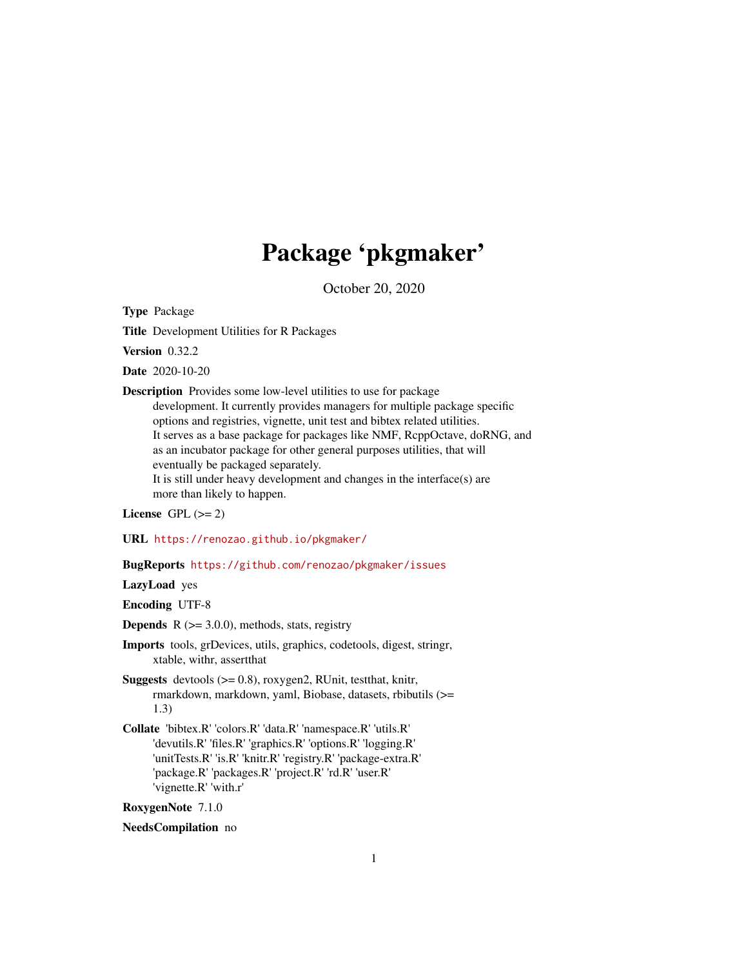# Package 'pkgmaker'

October 20, 2020

<span id="page-0-0"></span>Type Package

Title Development Utilities for R Packages

Version 0.32.2

Date 2020-10-20

Description Provides some low-level utilities to use for package development. It currently provides managers for multiple package specific options and registries, vignette, unit test and bibtex related utilities. It serves as a base package for packages like NMF, RcppOctave, doRNG, and as an incubator package for other general purposes utilities, that will eventually be packaged separately. It is still under heavy development and changes in the interface(s) are more than likely to happen.

#### License GPL  $(>= 2)$

URL <https://renozao.github.io/pkgmaker/>

# BugReports <https://github.com/renozao/pkgmaker/issues>

LazyLoad yes

Encoding UTF-8

**Depends**  $R$  ( $>= 3.0.0$ ), methods, stats, registry

Imports tools, grDevices, utils, graphics, codetools, digest, stringr, xtable, withr, assertthat

Suggests devtools (>= 0.8), roxygen2, RUnit, testthat, knitr, rmarkdown, markdown, yaml, Biobase, datasets, rbibutils (>= 1.3)

Collate 'bibtex.R' 'colors.R' 'data.R' 'namespace.R' 'utils.R' 'devutils.R' 'files.R' 'graphics.R' 'options.R' 'logging.R' 'unitTests.R' 'is.R' 'knitr.R' 'registry.R' 'package-extra.R' 'package.R' 'packages.R' 'project.R' 'rd.R' 'user.R' 'vignette.R' 'with.r'

RoxygenNote 7.1.0

#### NeedsCompilation no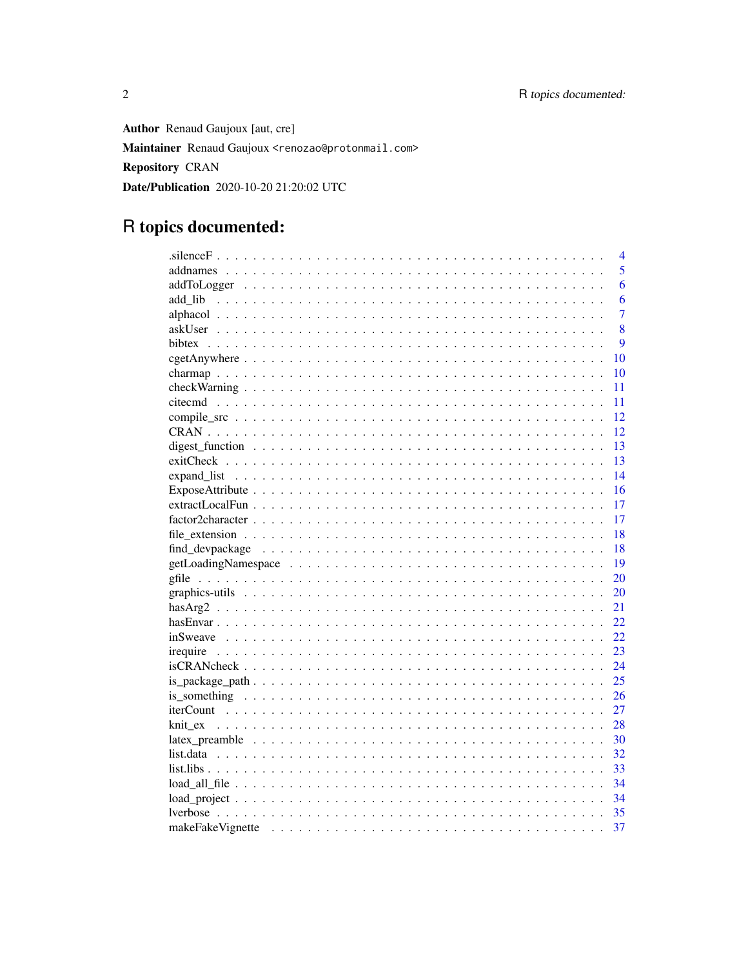**Author** Renaud Gaujoux [aut, cre] Maintainer Renaud Gaujoux <renozao@protonmail.com> **Repository CRAN** Date/Publication 2020-10-20 21:20:02 UTC

# R topics documented:

|                                                                                                                            | $\overline{4}$ |
|----------------------------------------------------------------------------------------------------------------------------|----------------|
| 5                                                                                                                          |                |
|                                                                                                                            | 6              |
|                                                                                                                            | 6              |
| $\overline{7}$                                                                                                             |                |
| 8                                                                                                                          |                |
| $\mathbf Q$                                                                                                                |                |
| 10                                                                                                                         |                |
| 10                                                                                                                         |                |
| 11                                                                                                                         |                |
| 11                                                                                                                         |                |
| 12                                                                                                                         |                |
| 12                                                                                                                         |                |
| 13                                                                                                                         |                |
| 13                                                                                                                         |                |
| 14                                                                                                                         |                |
| 16                                                                                                                         |                |
| 17                                                                                                                         |                |
| 17                                                                                                                         |                |
| 18                                                                                                                         |                |
| 18                                                                                                                         |                |
| 19                                                                                                                         |                |
| 20                                                                                                                         |                |
| 20                                                                                                                         |                |
| 21                                                                                                                         |                |
| 22                                                                                                                         |                |
| 22                                                                                                                         |                |
| 23                                                                                                                         |                |
| 24<br>$isCRAN check \dots \dots \dots \dots \dots \dots \dots \dots \dots \dots \dots \dots \dots \dots \dots \dots \dots$ |                |
| 25                                                                                                                         |                |
| 26                                                                                                                         |                |
| 27                                                                                                                         |                |
| 28                                                                                                                         |                |
| 30                                                                                                                         |                |
| 32                                                                                                                         |                |
| 33                                                                                                                         |                |
| 34                                                                                                                         |                |
| 34                                                                                                                         |                |
| 35                                                                                                                         |                |
| 37                                                                                                                         |                |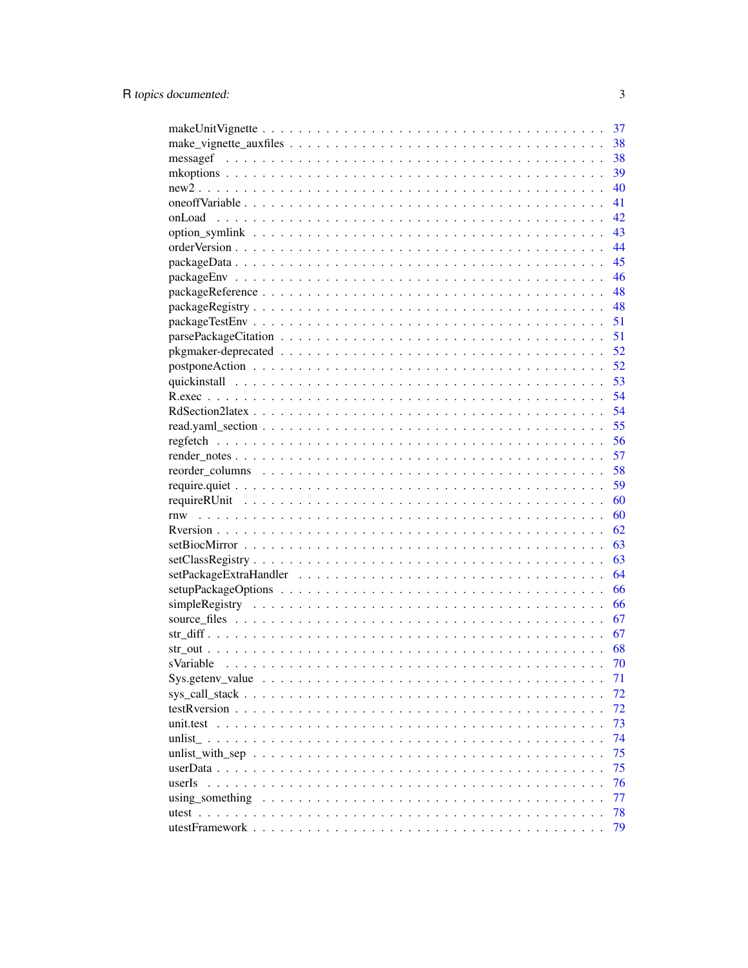|                 | 37       |
|-----------------|----------|
|                 | 38       |
|                 | 38       |
|                 | 39       |
|                 | 40       |
|                 | 41       |
|                 | 42       |
|                 | 43       |
|                 | 44       |
|                 | 45       |
|                 | 46       |
|                 | 48       |
|                 | 48       |
|                 | 51       |
|                 | 51       |
|                 | 52       |
|                 | 52       |
|                 | 53       |
|                 | 54       |
|                 | 54       |
|                 | 55       |
|                 | 56       |
|                 | 57       |
|                 | 58       |
|                 | 59       |
|                 | 60       |
|                 | 60       |
|                 | 62       |
|                 | 63       |
|                 |          |
|                 | 63<br>64 |
|                 |          |
|                 | 66       |
|                 | 66       |
|                 | 67       |
|                 | 67       |
|                 | 68       |
|                 | 70       |
|                 | 71       |
|                 | 72       |
|                 | 72       |
| unit.test       | 73       |
|                 | 74       |
|                 | 75       |
|                 | 75       |
| userIs          | 76       |
| using something | 77       |
| utest $\ldots$  | 78       |
|                 | 79       |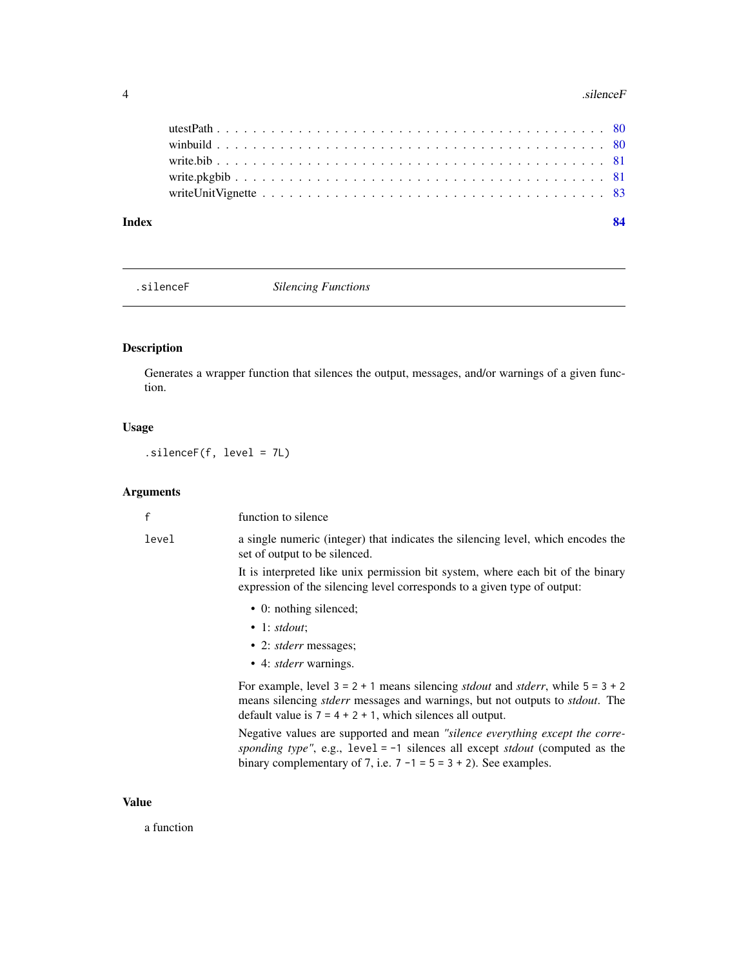#### <span id="page-3-0"></span>4 . Silence F

| Index |  |
|-------|--|
|       |  |
|       |  |
|       |  |
|       |  |
|       |  |

.silenceF *Silencing Functions*

# Description

Generates a wrapper function that silences the output, messages, and/or warnings of a given function.

# Usage

.silenceF(f, level = 7L)

# Arguments

| $\mathsf{f}$ | function to silence                                                                                                                                                                                                                                                |
|--------------|--------------------------------------------------------------------------------------------------------------------------------------------------------------------------------------------------------------------------------------------------------------------|
| level        | a single numeric (integer) that indicates the silencing level, which encodes the<br>set of output to be silenced.                                                                                                                                                  |
|              | It is interpreted like unix permission bit system, where each bit of the binary<br>expression of the silencing level corresponds to a given type of output:                                                                                                        |
|              | • 0: nothing silenced;                                                                                                                                                                                                                                             |
|              | $\bullet$ 1: stdout:                                                                                                                                                                                                                                               |
|              | • 2: <i>stderr</i> messages;                                                                                                                                                                                                                                       |
|              | • 4: <i>stderr</i> warnings.                                                                                                                                                                                                                                       |
|              | For example, level $3 = 2 + 1$ means silencing <i>stdout</i> and <i>stderr</i> , while $5 = 3 + 2$<br>means silencing <i>stderr</i> messages and warnings, but not outputs to <i>stdout</i> . The<br>default value is $7 = 4 + 2 + 1$ , which silences all output. |
|              | Negative values are supported and mean "silence everything except the corre-<br>sponding type", e.g., $level = -1$ silences all except <i>stdout</i> (computed as the<br>binary complementary of 7, i.e. $7 - 1 = 5 = 3 + 2$ ). See examples.                      |
|              |                                                                                                                                                                                                                                                                    |

# Value

a function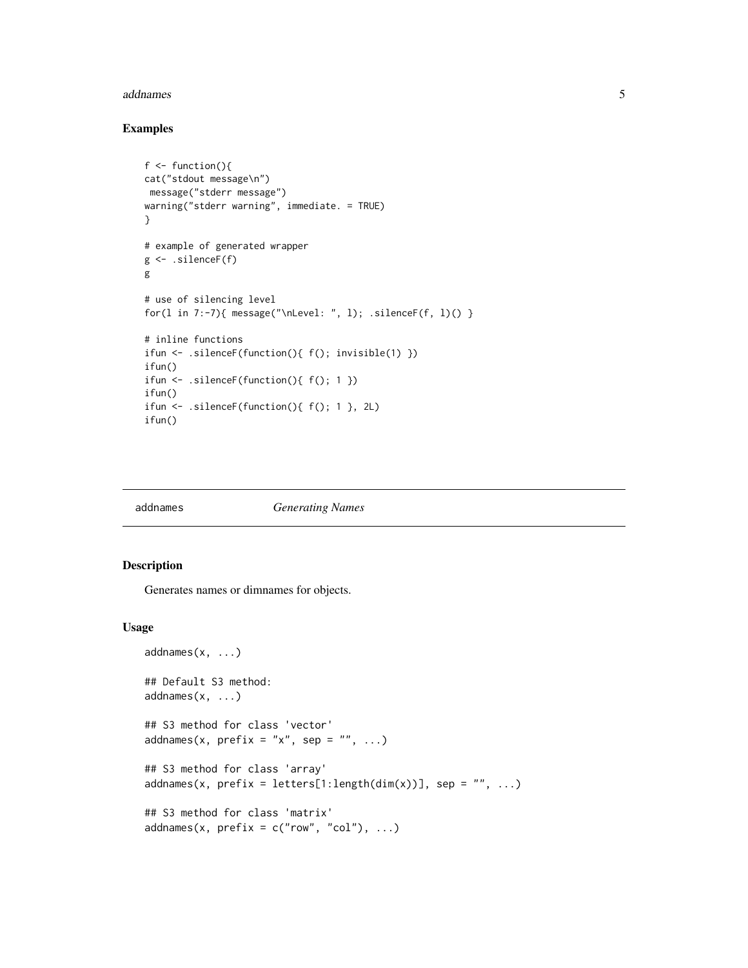#### <span id="page-4-0"></span>addnames 5

#### Examples

```
f \leftarrow function()cat("stdout message\n")
message("stderr message")
warning("stderr warning", immediate. = TRUE)
}
# example of generated wrapper
g <- .silenceF(f)
g
# use of silencing level
for(l in 7:-7){ message("\nLevel: ", l); .silenceF(f, l)() }
# inline functions
ifun <- .silenceF(function(){ f(); invisible(1) })
ifun()
ifun \leq .silenceF(function(){ f(); 1 })
ifun()
ifun <- .silenceF(function(){ f(); 1 }, 2L)
ifun()
```
#### **Generating Names**

# Description

Generates names or dimnames for objects.

#### Usage

```
addnames(x, \ldots)## Default S3 method:
addnames(x, ...)
## S3 method for class 'vector'
addnames(x, prefix = "x", sep = "", ...)
## S3 method for class 'array'
addnames(x, prefix = letters[1:length(dim(x))], sep = "", ...)## S3 method for class 'matrix'
addnames(x, prefix = c("row", "col"), ...)
```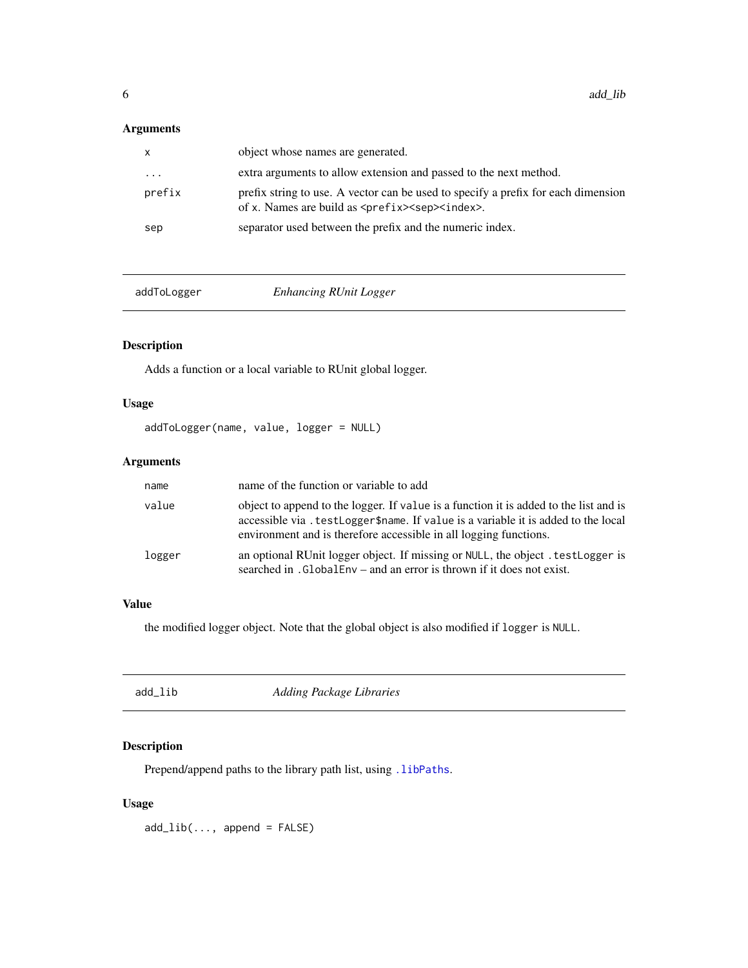# <span id="page-5-0"></span>Arguments

| $\mathsf{x}$ | object whose names are generated.                                                                                                                          |
|--------------|------------------------------------------------------------------------------------------------------------------------------------------------------------|
| $\cdots$     | extra arguments to allow extension and passed to the next method.                                                                                          |
| prefix       | prefix string to use. A vector can be used to specify a prefix for each dimension<br>of x. Names are build as <prefix><sep><index>.</index></sep></prefix> |
| sep          | separator used between the prefix and the numeric index.                                                                                                   |

addToLogger *Enhancing RUnit Logger*

# Description

Adds a function or a local variable to RUnit global logger.

# Usage

addToLogger(name, value, logger = NULL)

# Arguments

| name   | name of the function or variable to add                                                                                                                                                                                                         |
|--------|-------------------------------------------------------------------------------------------------------------------------------------------------------------------------------------------------------------------------------------------------|
| value  | object to append to the logger. If value is a function it is added to the list and is<br>accessible via. testLogger\$name. If value is a variable it is added to the local<br>environment and is therefore accessible in all logging functions. |
| logger | an optional RUnit logger object. If missing or NULL, the object . testLogger is<br>searched in .GlobalEnv – and an error is thrown if it does not exist.                                                                                        |

# Value

the modified logger object. Note that the global object is also modified if logger is NULL.

| Adding Package Libraries<br>add_lib |  |
|-------------------------------------|--|
|-------------------------------------|--|

# Description

Prepend/append paths to the library path list, using . libPaths.

# Usage

 $add\_lib(..., append = FALSE)$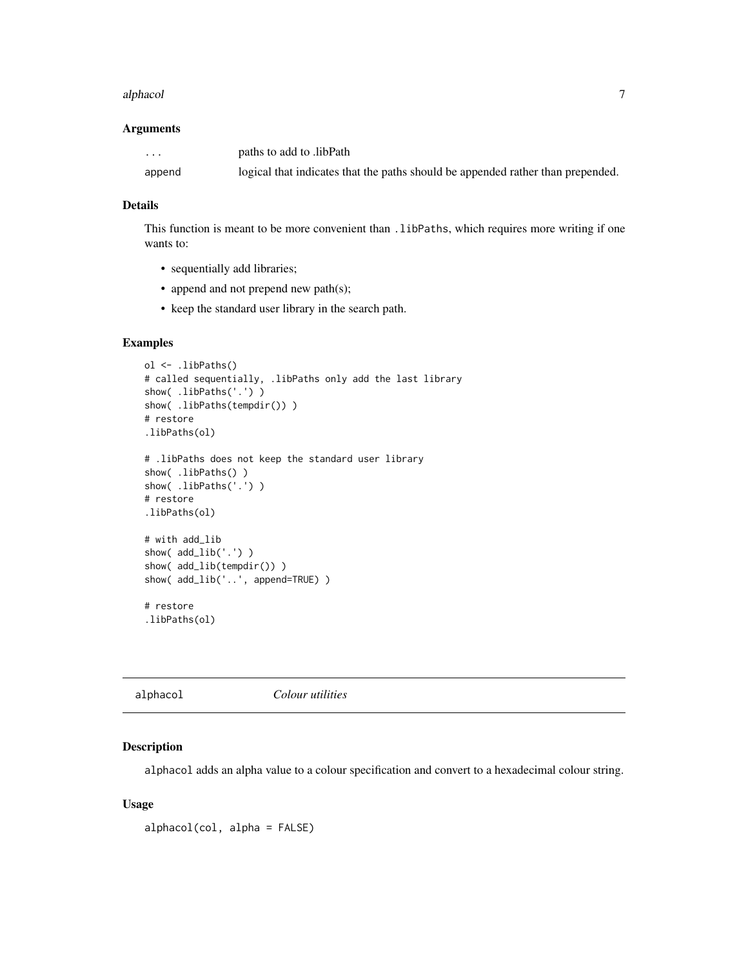#### <span id="page-6-0"></span>alphacol **7**

#### Arguments

| .      | paths to add to libPath                                                         |
|--------|---------------------------------------------------------------------------------|
| append | logical that indicates that the paths should be appended rather than prepended. |

#### Details

This function is meant to be more convenient than .libPaths, which requires more writing if one wants to:

- sequentially add libraries;
- append and not prepend new path(s);
- keep the standard user library in the search path.

# Examples

```
ol <- .libPaths()
# called sequentially, .libPaths only add the last library
show( .libPaths('.') )
show( .libPaths(tempdir()) )
# restore
.libPaths(ol)
# .libPaths does not keep the standard user library
show( .libPaths() )
show( .libPaths('.') )
# restore
.libPaths(ol)
# with add_lib
show( add_lib('.') )
show( add_lib(tempdir()) )
show( add_lib('..', append=TRUE) )
# restore
.libPaths(ol)
```

|  |  | Colour utilities | alphacol |
|--|--|------------------|----------|
|--|--|------------------|----------|

# Description

alphacol adds an alpha value to a colour specification and convert to a hexadecimal colour string.

#### Usage

alphacol(col, alpha = FALSE)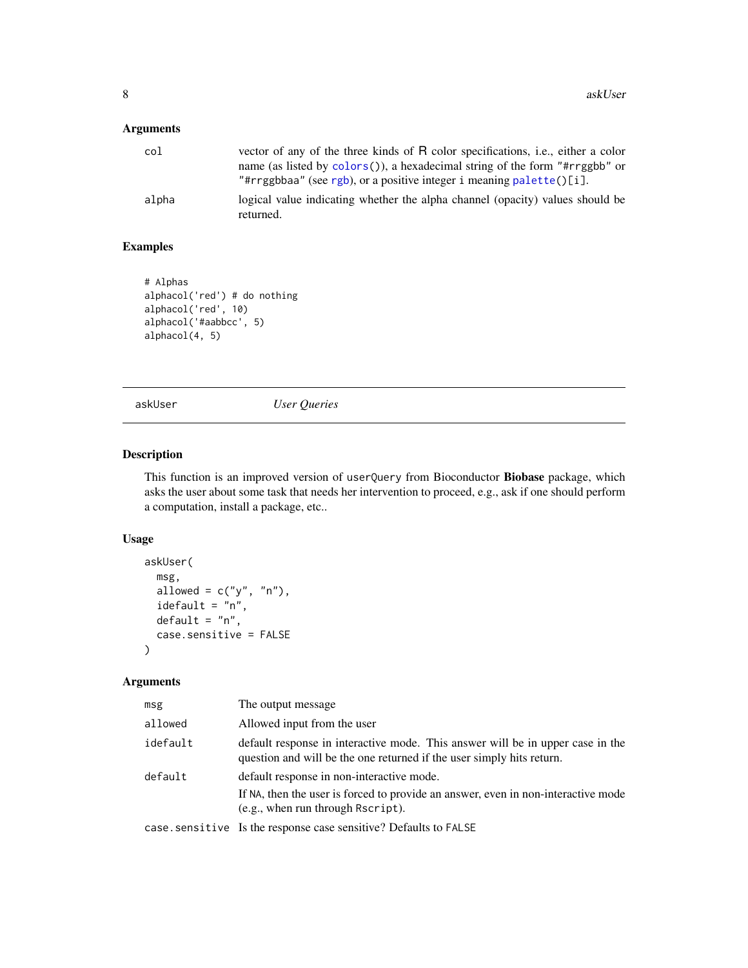# <span id="page-7-0"></span>Arguments

| col   | vector of any of the three kinds of R color specifications, i.e., either a color<br>name (as listed by colors()), a hexadecimal string of the form "#rrggbb" or<br>"#rrggbbaa" (see rgb), or a positive integer i meaning palette()[i]. |
|-------|-----------------------------------------------------------------------------------------------------------------------------------------------------------------------------------------------------------------------------------------|
| alpha | logical value indicating whether the alpha channel (opacity) values should be<br>returned.                                                                                                                                              |

# Examples

```
# Alphas
alphacol('red') # do nothing
alphacol('red', 10)
alphacol('#aabbcc', 5)
alphacol(4, 5)
```
askUser *User Queries*

# Description

This function is an improved version of userQuery from Bioconductor Biobase package, which asks the user about some task that needs her intervention to proceed, e.g., ask if one should perform a computation, install a package, etc..

# Usage

```
askUser(
  msg,
  allowed = c("y", "n"),
  idefault = "n",
  default = "n",case.sensitive = FALSE
)
```

| msg      | The output message                                                                                                                                                  |
|----------|---------------------------------------------------------------------------------------------------------------------------------------------------------------------|
| allowed  | Allowed input from the user                                                                                                                                         |
| idefault | default response in interactive mode. This answer will be in upper case in the<br>question and will be the one returned if the user simply hits return.             |
| default  | default response in non-interactive mode.<br>If NA, then the user is forced to provide an answer, even in non-interactive mode<br>(e.g., when run through Rscript). |
|          | case. sensitive Is the response case sensitive? Defaults to FALSE                                                                                                   |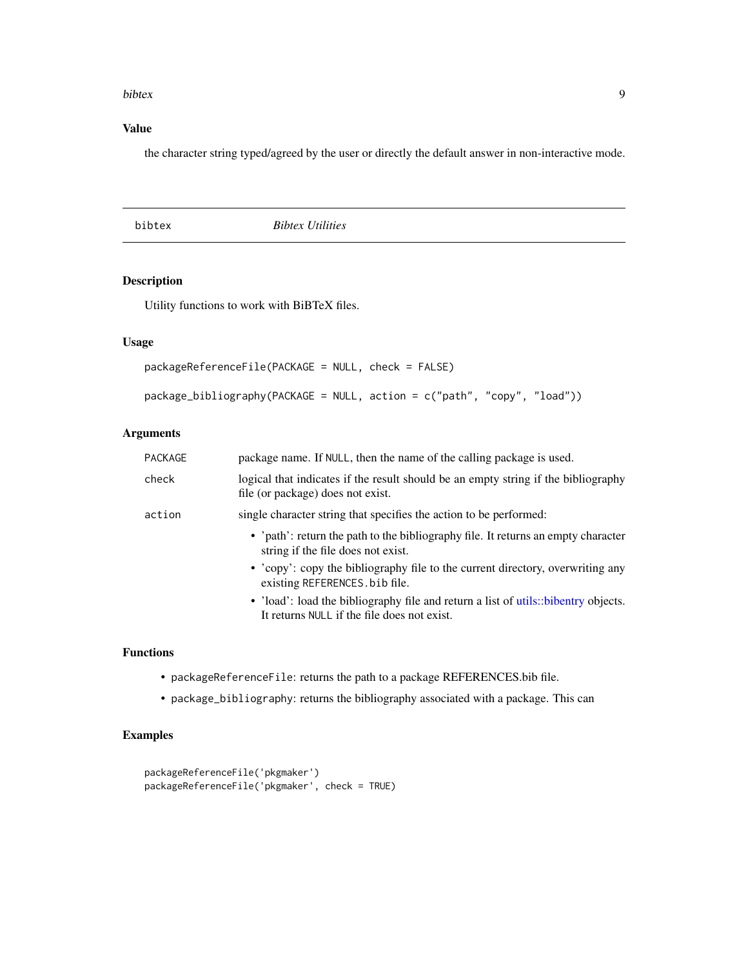#### <span id="page-8-0"></span>bibtex **9**

# Value

the character string typed/agreed by the user or directly the default answer in non-interactive mode.

bibtex *Bibtex Utilities*

# Description

Utility functions to work with BiBTeX files.

# Usage

```
packageReferenceFile(PACKAGE = NULL, check = FALSE)
package_bibliography(PACKAGE = NULL, action = c("path", "copy", "load"))
```
# Arguments

| PACKAGE | package name. If NULL, then the name of the calling package is used.                                                              |
|---------|-----------------------------------------------------------------------------------------------------------------------------------|
| check   | logical that indicates if the result should be an empty string if the bibliography<br>file (or package) does not exist.           |
| action  | single character string that specifies the action to be performed:                                                                |
|         | • 'path': return the path to the bibliography file. It returns an empty character<br>string if the file does not exist.           |
|         | • 'copy': copy the bibliography file to the current directory, overwriting any<br>existing REFERENCES. bib file.                  |
|         | • 'load': load the bibliography file and return a list of utils::bibentry objects.<br>It returns NULL if the file does not exist. |

# Functions

- packageReferenceFile: returns the path to a package REFERENCES.bib file.
- package\_bibliography: returns the bibliography associated with a package. This can

# Examples

```
packageReferenceFile('pkgmaker')
packageReferenceFile('pkgmaker', check = TRUE)
```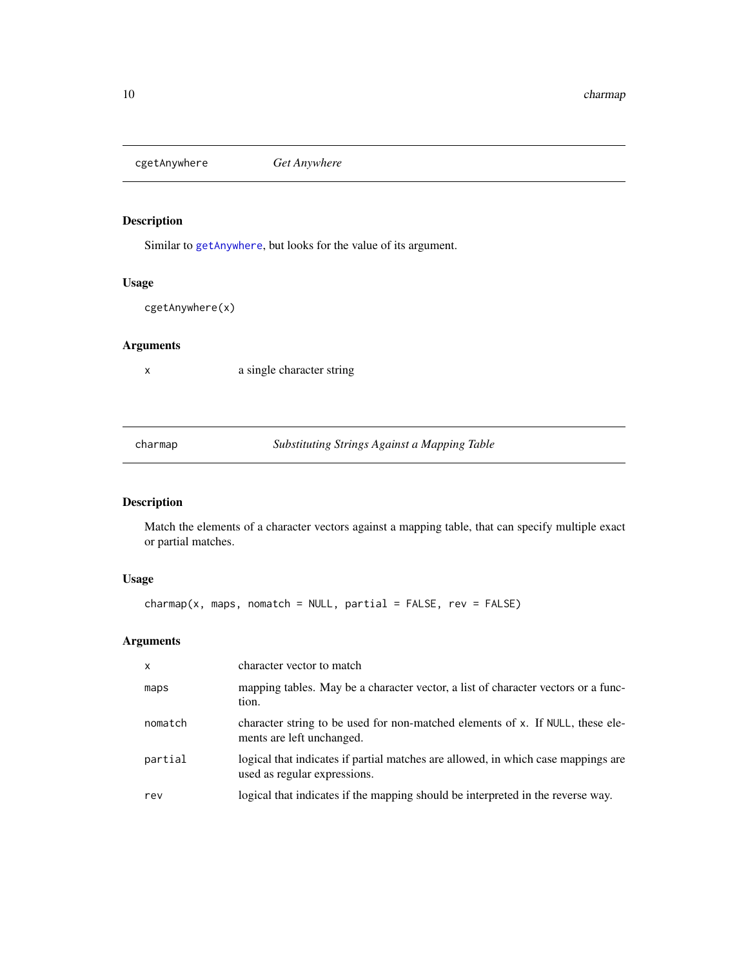<span id="page-9-0"></span>cgetAnywhere *Get Anywhere*

# Description

Similar to [getAnywhere](#page-0-0), but looks for the value of its argument.

# Usage

cgetAnywhere(x)

#### Arguments

x a single character string

charmap *Substituting Strings Against a Mapping Table*

# Description

Match the elements of a character vectors against a mapping table, that can specify multiple exact or partial matches.

# Usage

 $charmap(x, maps, nomatch = NULL, partial = FALSE, rev = FALSE)$ 

| X       | character vector to match                                                                                         |
|---------|-------------------------------------------------------------------------------------------------------------------|
| maps    | mapping tables. May be a character vector, a list of character vectors or a func-<br>tion.                        |
| nomatch | character string to be used for non-matched elements of x. If NULL, these ele-<br>ments are left unchanged.       |
| partial | logical that indicates if partial matches are allowed, in which case mappings are<br>used as regular expressions. |
| rev     | logical that indicates if the mapping should be interpreted in the reverse way.                                   |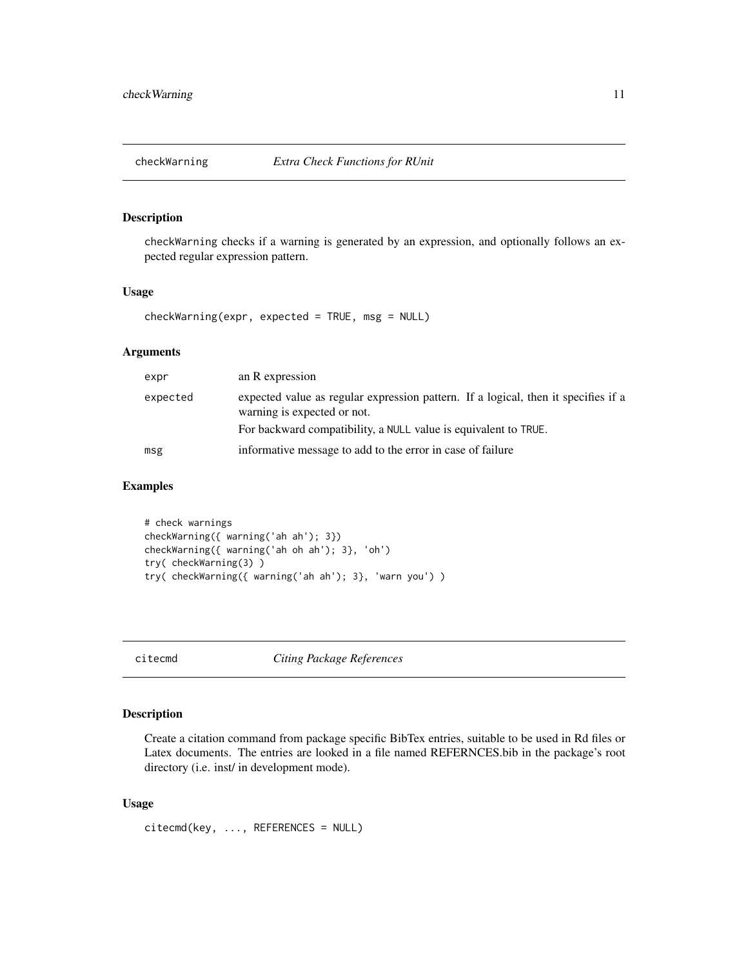<span id="page-10-0"></span>

checkWarning checks if a warning is generated by an expression, and optionally follows an expected regular expression pattern.

# Usage

```
checkWarning(expr, expected = TRUE, msg = NULL)
```
# Arguments

| expr     | an R expression                                                                                                   |
|----------|-------------------------------------------------------------------------------------------------------------------|
| expected | expected value as regular expression pattern. If a logical, then it specifies if a<br>warning is expected or not. |
|          | For backward compatibility, a NULL value is equivalent to TRUE.                                                   |
| msg      | informative message to add to the error in case of failure                                                        |

#### Examples

# check warnings checkWarning({ warning('ah ah'); 3}) checkWarning({ warning('ah oh ah'); 3}, 'oh') try( checkWarning(3) ) try( checkWarning({ warning('ah ah'); 3}, 'warn you') )

citecmd *Citing Package References*

# Description

Create a citation command from package specific BibTex entries, suitable to be used in Rd files or Latex documents. The entries are looked in a file named REFERNCES.bib in the package's root directory (i.e. inst/ in development mode).

#### Usage

citecmd(key, ..., REFERENCES = NULL)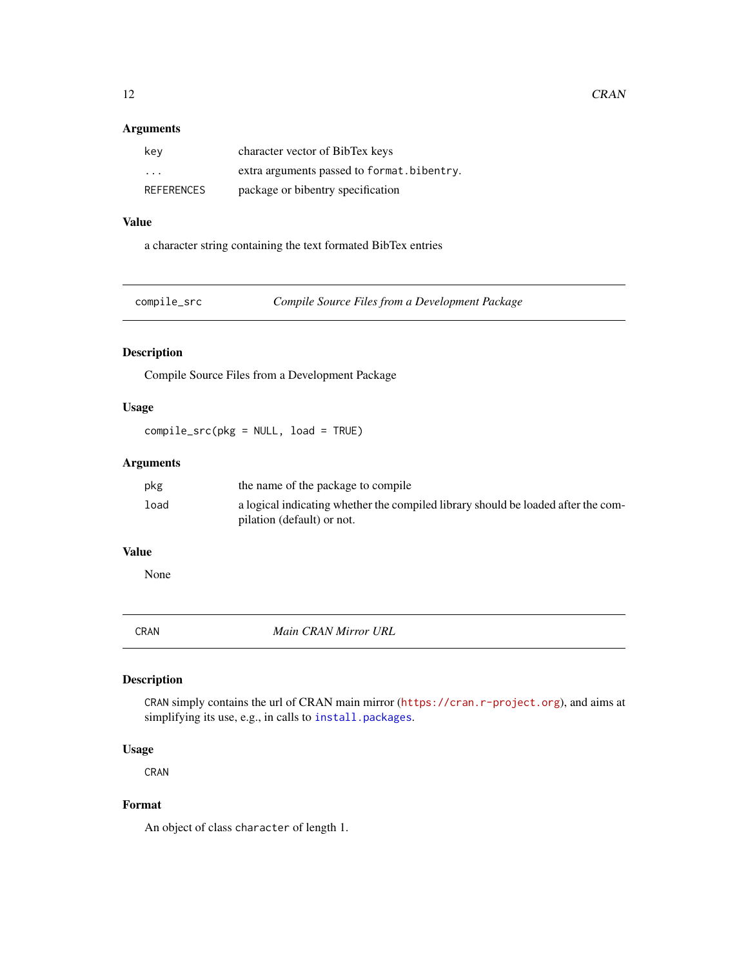# <span id="page-11-0"></span>Arguments

| key                     | character vector of BibTex keys            |
|-------------------------|--------------------------------------------|
| $\cdot$ $\cdot$ $\cdot$ | extra arguments passed to format.bibentry. |
| REFERENCES              | package or bibentry specification          |

# Value

a character string containing the text formated BibTex entries

compile\_src *Compile Source Files from a Development Package*

# Description

Compile Source Files from a Development Package

# Usage

compile\_src(pkg = NULL, load = TRUE)

# Arguments

| pkg  | the name of the package to compile                                                                              |
|------|-----------------------------------------------------------------------------------------------------------------|
| load | a logical indicating whether the compiled library should be loaded after the com-<br>pilation (default) or not. |

# Value

None

CRAN *Main CRAN Mirror URL*

# Description

CRAN simply contains the url of CRAN main mirror (<https://cran.r-project.org>), and aims at simplifying its use, e.g., in calls to [install.packages](#page-0-0).

# Usage

CRAN

# Format

An object of class character of length 1.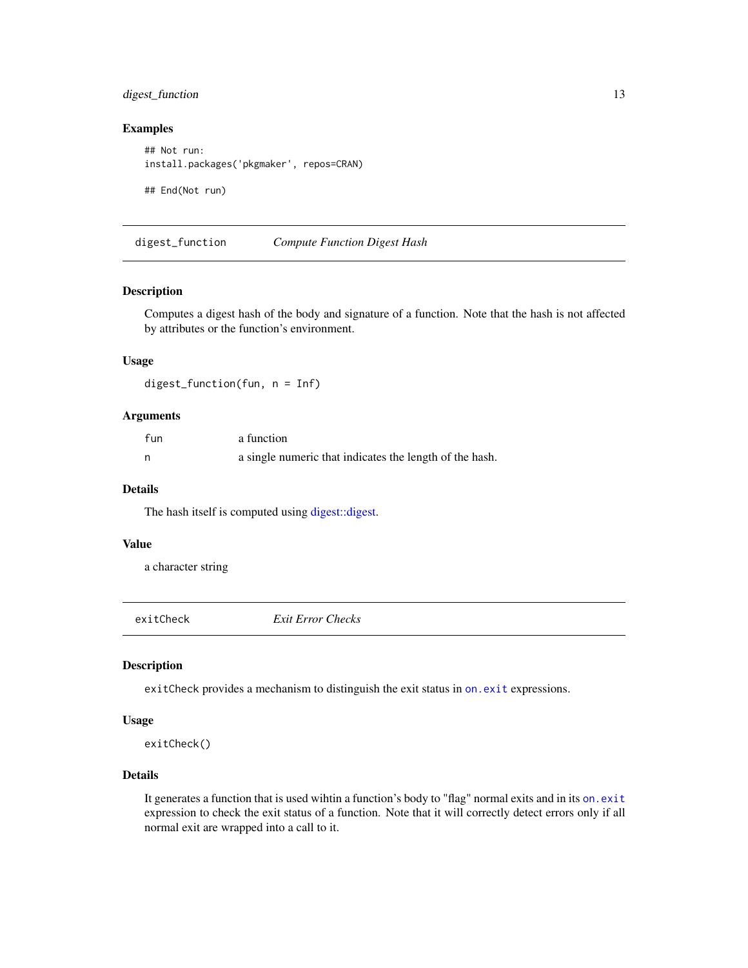# <span id="page-12-0"></span>digest\_function 13

# Examples

## Not run: install.packages('pkgmaker', repos=CRAN) ## End(Not run)

digest\_function *Compute Function Digest Hash*

#### Description

Computes a digest hash of the body and signature of a function. Note that the hash is not affected by attributes or the function's environment.

#### Usage

digest\_function(fun, n = Inf)

# Arguments

| fun | a function                                              |
|-----|---------------------------------------------------------|
| n   | a single numeric that indicates the length of the hash. |

#### Details

The hash itself is computed using [digest::digest.](#page-0-0)

#### Value

a character string

exitCheck *Exit Error Checks*

# Description

exitCheck provides a mechanism to distinguish the exit status in [on.exit](#page-0-0) expressions.

# Usage

exitCheck()

#### Details

It generates a function that is used wihtin a function's body to "flag" normal exits and in its [on.exit](#page-0-0) expression to check the exit status of a function. Note that it will correctly detect errors only if all normal exit are wrapped into a call to it.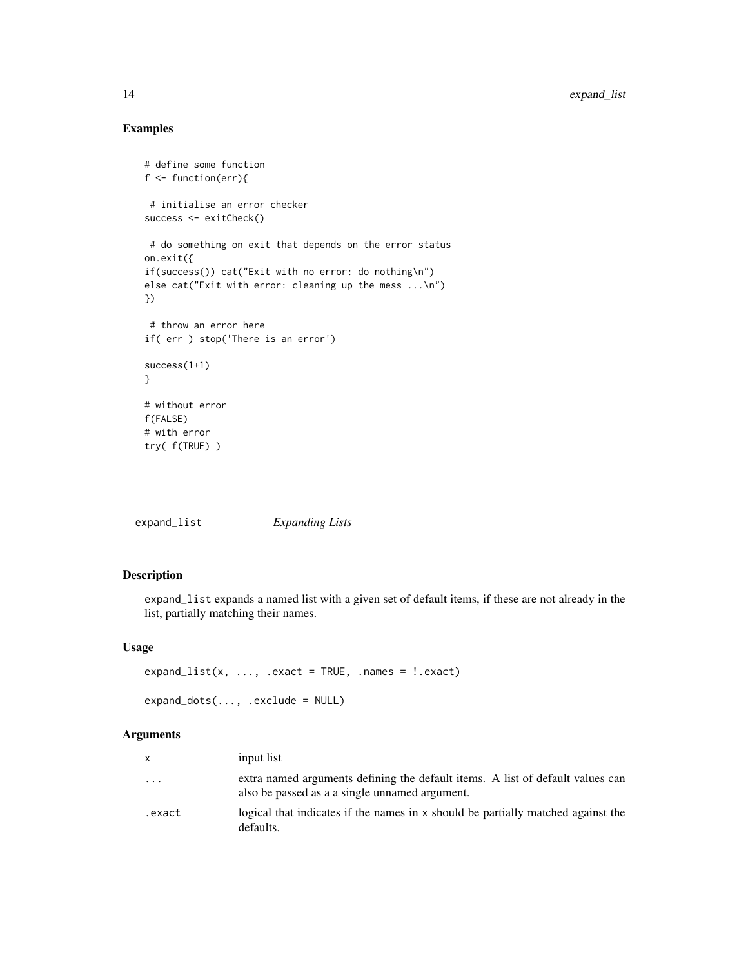# Examples

```
# define some function
f <- function(err){
 # initialise an error checker
success <- exitCheck()
 # do something on exit that depends on the error status
on.exit({
if(success()) cat("Exit with no error: do nothing\n")
else cat("Exit with error: cleaning up the mess ...\n")
})
 # throw an error here
if( err ) stop('There is an error')
success(1+1)
}
# without error
f(FALSE)
# with error
try( f(TRUE) )
```
expand\_list *Expanding Lists*

# Description

expand\_list expands a named list with a given set of default items, if these are not already in the list, partially matching their names.

#### Usage

```
expand_list(x, ..., .exact = TRUE, .names = !.exact)
expand_dots(..., .exclude = NULL)
```

| X      | input list                                                                                                                       |
|--------|----------------------------------------------------------------------------------------------------------------------------------|
| .      | extra named arguments defining the default items. A list of default values can<br>also be passed as a a single unnamed argument. |
| .exact | logical that indicates if the names in x should be partially matched against the<br>defaults.                                    |

<span id="page-13-0"></span>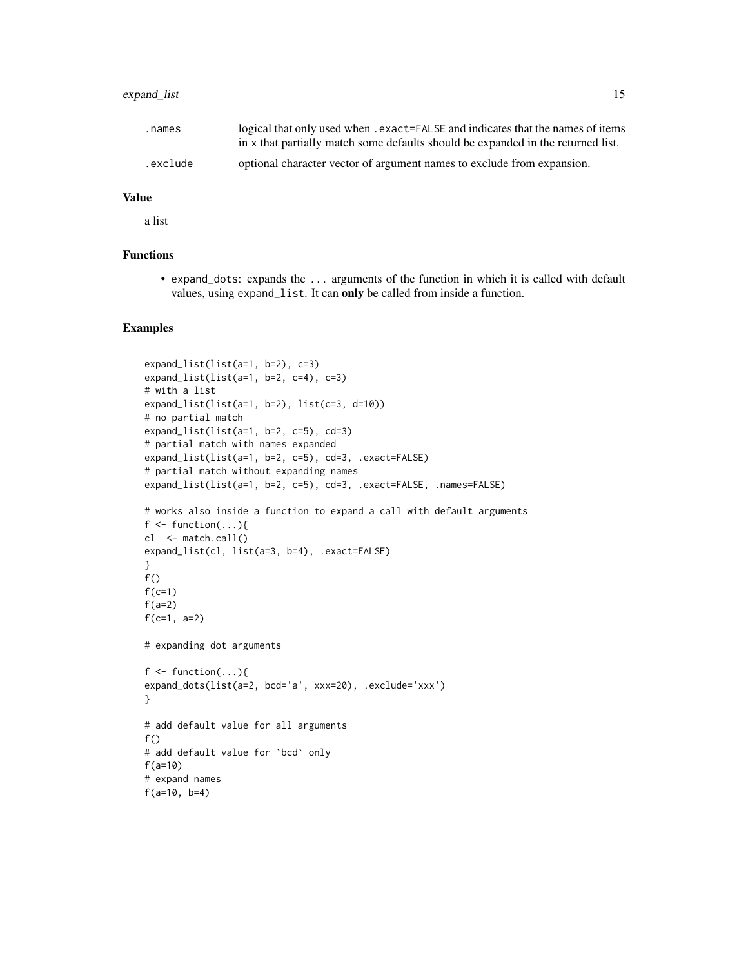# expand\_list 15

| .names   | logical that only used when . exact=FALSE and indicates that the names of items  |
|----------|----------------------------------------------------------------------------------|
|          | in x that partially match some defaults should be expanded in the returned list. |
| .exclude | optional character vector of argument names to exclude from expansion.           |

# Value

a list

# Functions

• expand\_dots: expands the ... arguments of the function in which it is called with default values, using expand\_list. It can only be called from inside a function.

#### Examples

```
expand_list(list(a=1, b=2), c=3)
expand_list(list(a=1, b=2, c=4), c=3)
# with a list
expand_list(list(a=1, b=2), list(c=3, d=10))
# no partial match
expand_list(list(a=1, b=2, c=5), cd=3)
# partial match with names expanded
expand_list(list(a=1, b=2, c=5), cd=3, .exact=FALSE)
# partial match without expanding names
expand_list(list(a=1, b=2, c=5), cd=3, .exact=FALSE, .names=FALSE)
# works also inside a function to expand a call with default arguments
f \leq function(...){
cl <- match.call()
expand_list(cl, list(a=3, b=4), .exact=FALSE)
}
f()
f(c=1)
f(a=2)f(c=1, a=2)
# expanding dot arguments
f \leftarrow function(...)\{expand_dots(list(a=2, bcd='a', xxx=20), .exclude='xxx')
}
# add default value for all arguments
f()# add default value for `bcd` only
f(a=10)
# expand names
f(a=10, b=4)
```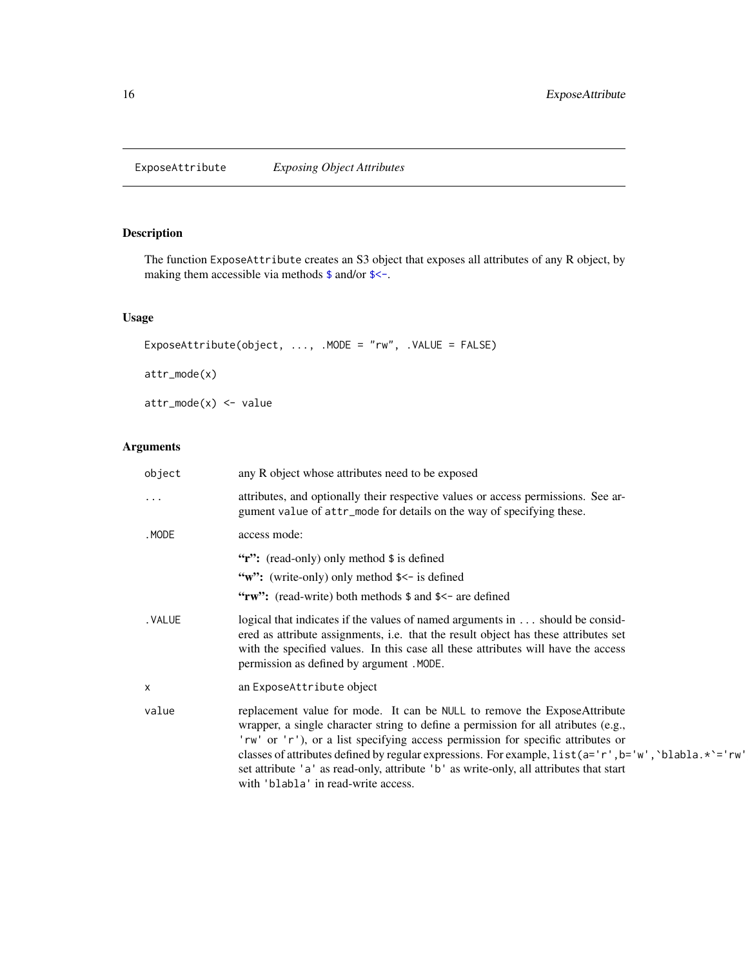<span id="page-15-0"></span>ExposeAttribute *Exposing Object Attributes*

# Description

The function ExposeAttribute creates an S3 object that exposes all attributes of any R object, by making them accessible via methods  $\frac{1}{2}$  and/or  $\frac{2}{5}$ .

# Usage

```
ExposeAttribute(object, ..., .MODE = "rw", .VALUE = FALSE)
attr_mode(x)
attr_mode(x) <- value
```

| object   | any R object whose attributes need to be exposed                                                                                                                                                                                                                                                                                                                                                                                                                                                |
|----------|-------------------------------------------------------------------------------------------------------------------------------------------------------------------------------------------------------------------------------------------------------------------------------------------------------------------------------------------------------------------------------------------------------------------------------------------------------------------------------------------------|
| .        | attributes, and optionally their respective values or access permissions. See ar-<br>gument value of attr_mode for details on the way of specifying these.                                                                                                                                                                                                                                                                                                                                      |
| .MODE    | access mode:                                                                                                                                                                                                                                                                                                                                                                                                                                                                                    |
|          | "r": (read-only) only method \$ is defined                                                                                                                                                                                                                                                                                                                                                                                                                                                      |
|          | "w": (write-only) only method \$<- is defined                                                                                                                                                                                                                                                                                                                                                                                                                                                   |
|          | "rw": (read-write) both methods \$ and \$<- are defined                                                                                                                                                                                                                                                                                                                                                                                                                                         |
| . VALUE  | logical that indicates if the values of named arguments in should be consid-<br>ered as attribute assignments, i.e. that the result object has these attributes set<br>with the specified values. In this case all these attributes will have the access<br>permission as defined by argument . MODE.                                                                                                                                                                                           |
| $\times$ | an ExposeAttribute object                                                                                                                                                                                                                                                                                                                                                                                                                                                                       |
| value    | replacement value for mode. It can be NULL to remove the ExposeAttribute<br>wrapper, a single character string to define a permission for all atributes (e.g.,<br>'rw' or 'r'), or a list specifying access permission for specific attributes or<br>classes of attributes defined by regular expressions. For example, $list(a='r', b='w', 'blabla, *')='rw'$<br>set attribute 'a' as read-only, attribute 'b' as write-only, all attributes that start<br>with 'blabla' in read-write access. |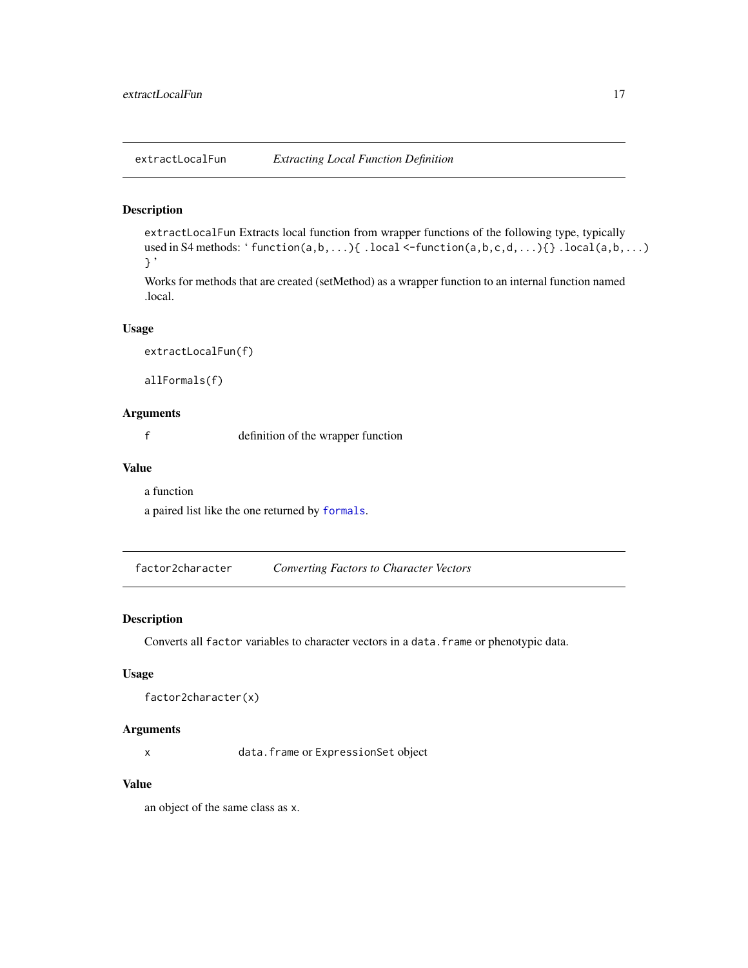<span id="page-16-0"></span>extractLocalFun *Extracting Local Function Definition*

# Description

extractLocalFun Extracts local function from wrapper functions of the following type, typically used in S4 methods: ' $function(a, b, \ldots)$  .  $local \leftarrow function(a, b, c, d, \ldots)$  .  $local(a, b, \ldots)$ } '

Works for methods that are created (setMethod) as a wrapper function to an internal function named .local.

#### Usage

extractLocalFun(f)

allFormals(f)

#### Arguments

f definition of the wrapper function

#### Value

a function

a paired list like the one returned by [formals](#page-0-0).

factor2character *Converting Factors to Character Vectors*

# Description

Converts all factor variables to character vectors in a data.frame or phenotypic data.

#### Usage

```
factor2character(x)
```
#### Arguments

x data.frame or ExpressionSet object

#### Value

an object of the same class as x.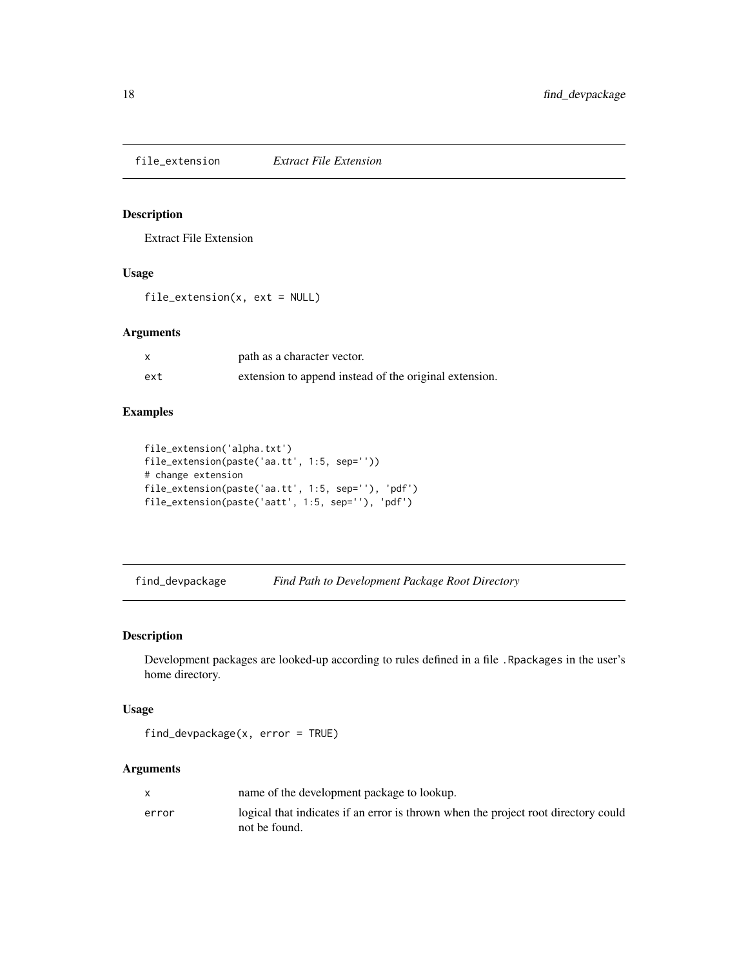<span id="page-17-0"></span>file\_extension *Extract File Extension*

# Description

Extract File Extension

#### Usage

file\_extension(x, ext = NULL)

# Arguments

|     | path as a character vector.                            |
|-----|--------------------------------------------------------|
| ext | extension to append instead of the original extension. |

# Examples

```
file_extension('alpha.txt')
file_extension(paste('aa.tt', 1:5, sep=''))
# change extension
file_extension(paste('aa.tt', 1:5, sep=''), 'pdf')
file_extension(paste('aatt', 1:5, sep=''), 'pdf')
```
find\_devpackage *Find Path to Development Package Root Directory*

# Description

Development packages are looked-up according to rules defined in a file .Rpackages in the user's home directory.

# Usage

```
find_devpackage(x, error = TRUE)
```

|       | name of the development package to lookup.                                                          |
|-------|-----------------------------------------------------------------------------------------------------|
| error | logical that indicates if an error is thrown when the project root directory could<br>not be found. |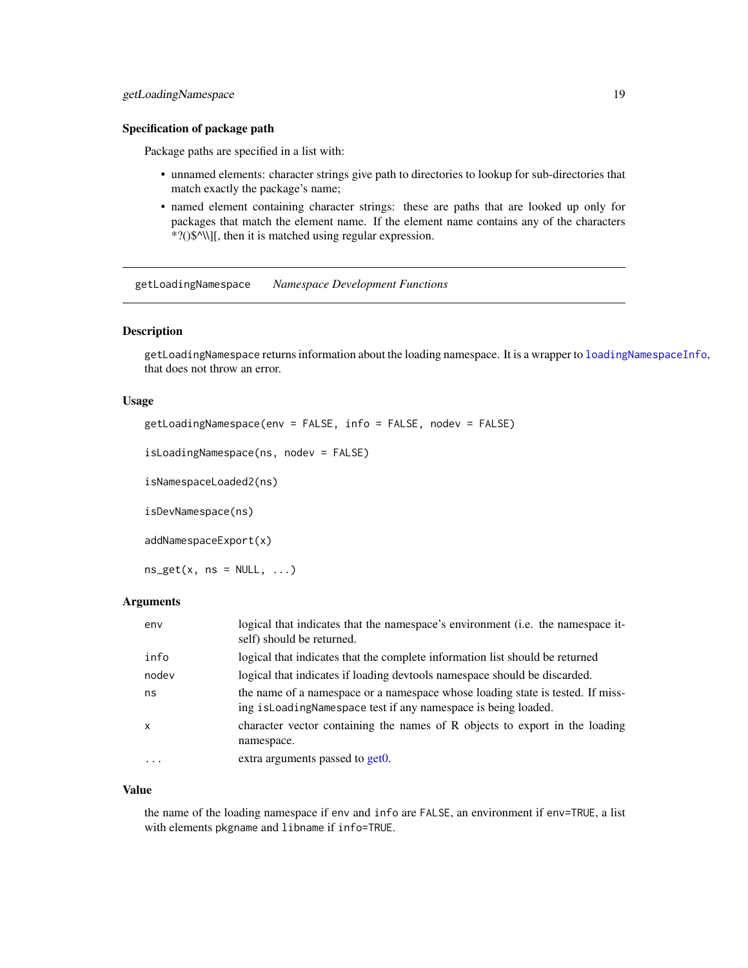#### <span id="page-18-0"></span>Specification of package path

Package paths are specified in a list with:

- unnamed elements: character strings give path to directories to lookup for sub-directories that match exactly the package's name;
- named element containing character strings: these are paths that are looked up only for packages that match the element name. If the element name contains any of the characters \*?()\$^\\][, then it is matched using regular expression.

getLoadingNamespace *Namespace Development Functions*

#### Description

getLoadingNamespace returns information about the loading namespace. It is a wrapper to [loadingNamespaceInfo](#page-0-0), that does not throw an error.

#### Usage

```
getLoadingNamespace(env = FALSE, info = FALSE, nodev = FALSE)
```

```
isLoadingNamespace(ns, nodev = FALSE)
```
isNamespaceLoaded2(ns)

isDevNamespace(ns)

addNamespaceExport(x)

 $ns\_get(x, ns = NULL, ...)$ 

#### Arguments

| env                     | logical that indicates that the namespace's environment (i.e. the namespace it-<br>self) should be returned.                                      |
|-------------------------|---------------------------------------------------------------------------------------------------------------------------------------------------|
| info                    | logical that indicates that the complete information list should be returned                                                                      |
| nodev                   | logical that indicates if loading devtools namespace should be discarded.                                                                         |
| ns                      | the name of a namespace or a namespace whose loading state is tested. If miss-<br>ing is Loading Namespace test if any namespace is being loaded. |
| $\mathsf{x}$            | character vector containing the names of R objects to export in the loading<br>namespace.                                                         |
| $\cdot$ $\cdot$ $\cdot$ | extra arguments passed to get0.                                                                                                                   |

#### Value

the name of the loading namespace if env and info are FALSE, an environment if env=TRUE, a list with elements pkgname and libname if info=TRUE.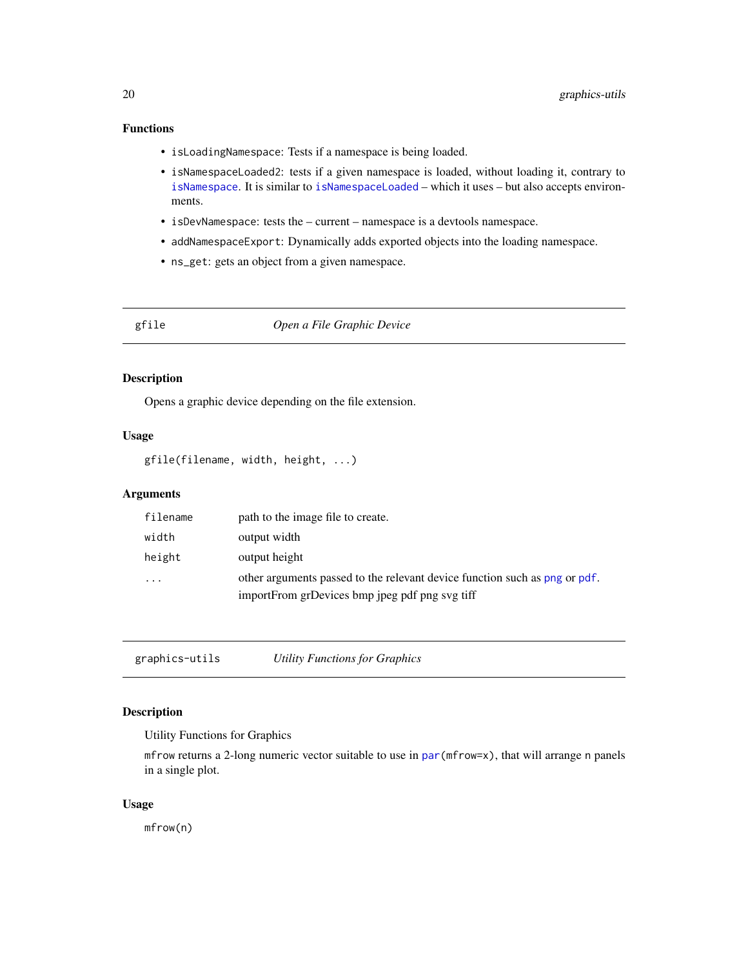# <span id="page-19-0"></span>Functions

- isLoadingNamespace: Tests if a namespace is being loaded.
- isNamespaceLoaded2: tests if a given namespace is loaded, without loading it, contrary to [isNamespace](#page-0-0). It is similar to [isNamespaceLoaded](#page-0-0) – which it uses – but also accepts environments.
- isDevNamespace: tests the current namespace is a devtools namespace.
- addNamespaceExport: Dynamically adds exported objects into the loading namespace.
- ns\_get: gets an object from a given namespace.

# gfile *Open a File Graphic Device*

#### Description

Opens a graphic device depending on the file extension.

# Usage

```
gfile(filename, width, height, ...)
```
#### Arguments

| filename                | path to the image file to create.                                          |
|-------------------------|----------------------------------------------------------------------------|
| width                   | output width                                                               |
| height                  | output height                                                              |
| $\cdot$ $\cdot$ $\cdot$ | other arguments passed to the relevant device function such as png or pdf. |
|                         | importFrom grDevices bmp jpeg pdf png svg tiff                             |

graphics-utils *Utility Functions for Graphics*

# Description

Utility Functions for Graphics

mfrow returns a 2-long numeric vector suitable to use in [par\(](#page-0-0)mfrow=x), that will arrange n panels in a single plot.

#### Usage

mfrow(n)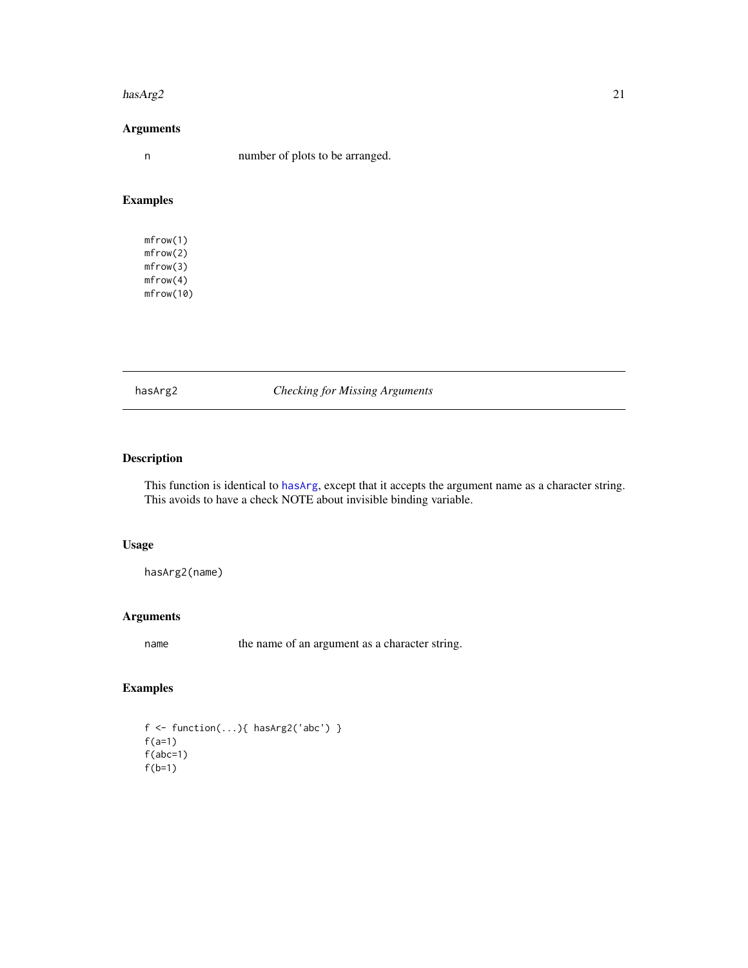#### <span id="page-20-0"></span>hasArg2 21

# Arguments

n number of plots to be arranged.

# Examples

mfrow(1) mfrow(2) mfrow(3) mfrow(4) mfrow(10)

hasArg2 *Checking for Missing Arguments*

# Description

This function is identical to [hasArg](#page-0-0), except that it accepts the argument name as a character string. This avoids to have a check NOTE about invisible binding variable.

# Usage

hasArg2(name)

# Arguments

name the name of an argument as a character string.

# Examples

f <- function(...){ hasArg2('abc') }  $f(a=1)$  $f(abc=1)$ f(b=1)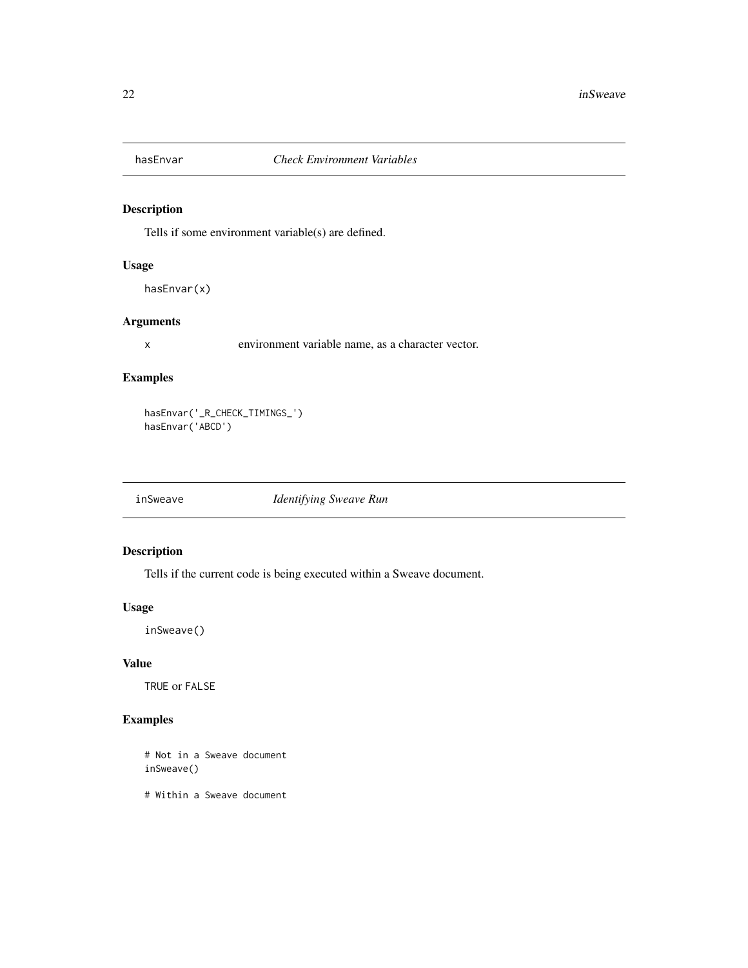<span id="page-21-0"></span>

Tells if some environment variable(s) are defined.

# Usage

hasEnvar(x)

#### Arguments

x environment variable name, as a character vector.

# Examples

hasEnvar('\_R\_CHECK\_TIMINGS\_') hasEnvar('ABCD')

inSweave *Identifying Sweave Run*

# Description

Tells if the current code is being executed within a Sweave document.

#### Usage

inSweave()

# Value

TRUE or FALSE

# Examples

# Not in a Sweave document inSweave()

# Within a Sweave document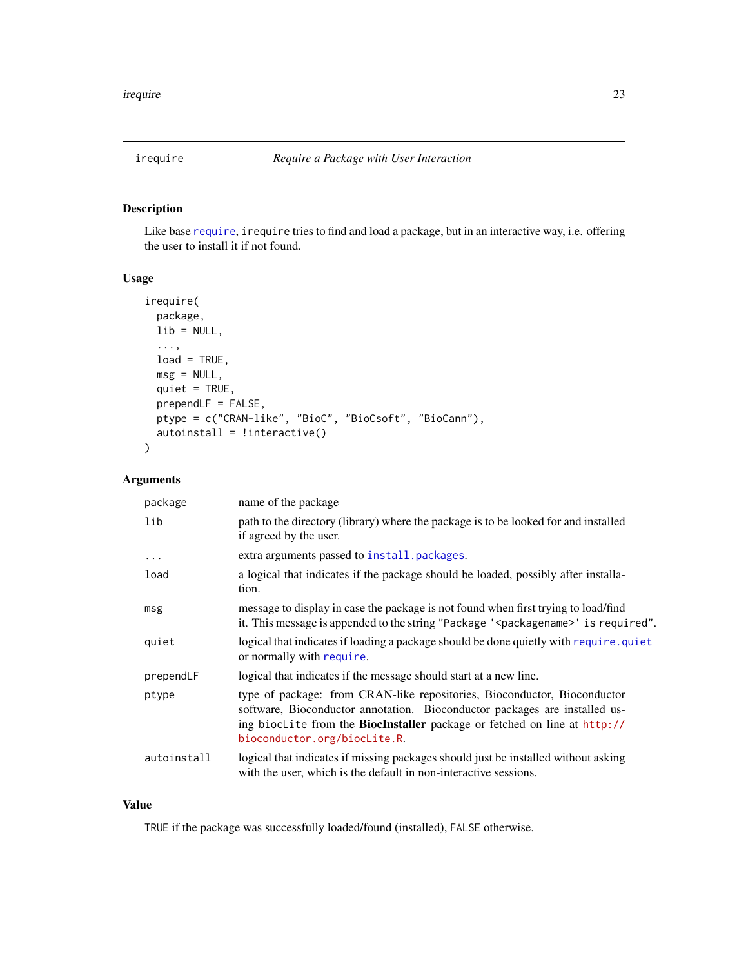<span id="page-22-0"></span>

Like base [require](#page-0-0), irequire tries to find and load a package, but in an interactive way, i.e. offering the user to install it if not found.

# Usage

```
irequire(
 package,
 lib = NULL,
  ...,
 load = TRUE,msg = NULL,quiet = TRUE,
 prependLF = FALSE,
 ptype = c("CRAN-like", "BioC", "BioCsoft", "BioCann"),
 autoinstall = !interactive()
)
```
# Arguments

| package     | name of the package                                                                                                                                                                                                                                                        |
|-------------|----------------------------------------------------------------------------------------------------------------------------------------------------------------------------------------------------------------------------------------------------------------------------|
| lib         | path to the directory (library) where the package is to be looked for and installed<br>if agreed by the user.                                                                                                                                                              |
| $\cdots$    | extra arguments passed to install. packages.                                                                                                                                                                                                                               |
| load        | a logical that indicates if the package should be loaded, possibly after installa-<br>tion.                                                                                                                                                                                |
| msg         | message to display in case the package is not found when first trying to load/find<br>it. This message is appended to the string "Package ' <packagename>' is required".</packagename>                                                                                     |
| quiet       | logical that indicates if loading a package should be done quietly with require, quiet<br>or normally with require.                                                                                                                                                        |
| prependLF   | logical that indicates if the message should start at a new line.                                                                                                                                                                                                          |
| ptype       | type of package: from CRAN-like repositories, Bioconductor, Bioconductor<br>software, Bioconductor annotation. Bioconductor packages are installed us-<br>ing bioclite from the <b>BiocInstaller</b> package or fetched on line at http://<br>bioconductor.org/biocLite.R. |
| autoinstall | logical that indicates if missing packages should just be installed without asking<br>with the user, which is the default in non-interactive sessions.                                                                                                                     |

# Value

TRUE if the package was successfully loaded/found (installed), FALSE otherwise.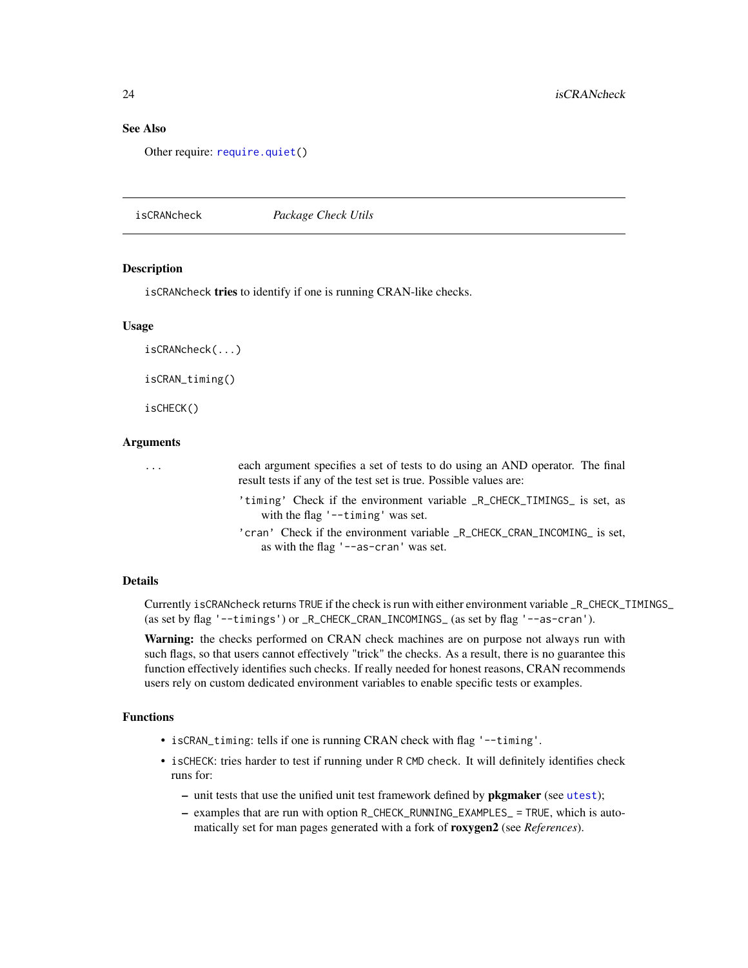# <span id="page-23-0"></span>See Also

Other require: [require.quiet\(](#page-58-1))

isCRANcheck *Package Check Utils*

# Description

isCRANcheck tries to identify if one is running CRAN-like checks.

#### Usage

isCRANcheck(...)

isCRAN\_timing()

isCHECK()

# Arguments

... each argument specifies a set of tests to do using an AND operator. The final result tests if any of the test set is true. Possible values are: 'timing' Check if the environment variable \_R\_CHECK\_TIMINGS\_ is set, as with the flag '--timing' was set. 'cran' Check if the environment variable \_R\_CHECK\_CRAN\_INCOMING\_ is set, as with the flag '--as-cran' was set.

#### Details

Currently isCRANcheck returns TRUE if the check is run with either environment variable \_R\_CHECK\_TIMINGS\_ (as set by flag '--timings') or \_R\_CHECK\_CRAN\_INCOMINGS\_ (as set by flag '--as-cran').

Warning: the checks performed on CRAN check machines are on purpose not always run with such flags, so that users cannot effectively "trick" the checks. As a result, there is no guarantee this function effectively identifies such checks. If really needed for honest reasons, CRAN recommends users rely on custom dedicated environment variables to enable specific tests or examples.

#### Functions

- isCRAN\_timing: tells if one is running CRAN check with flag '--timing'.
- isCHECK: tries harder to test if running under R CMD check. It will definitely identifies check runs for:
	- unit tests that use the unified unit test framework defined by pkgmaker (see [utest](#page-77-1));
	- examples that are run with option R\_CHECK\_RUNNING\_EXAMPLES\_ = TRUE, which is automatically set for man pages generated with a fork of roxygen2 (see *References*).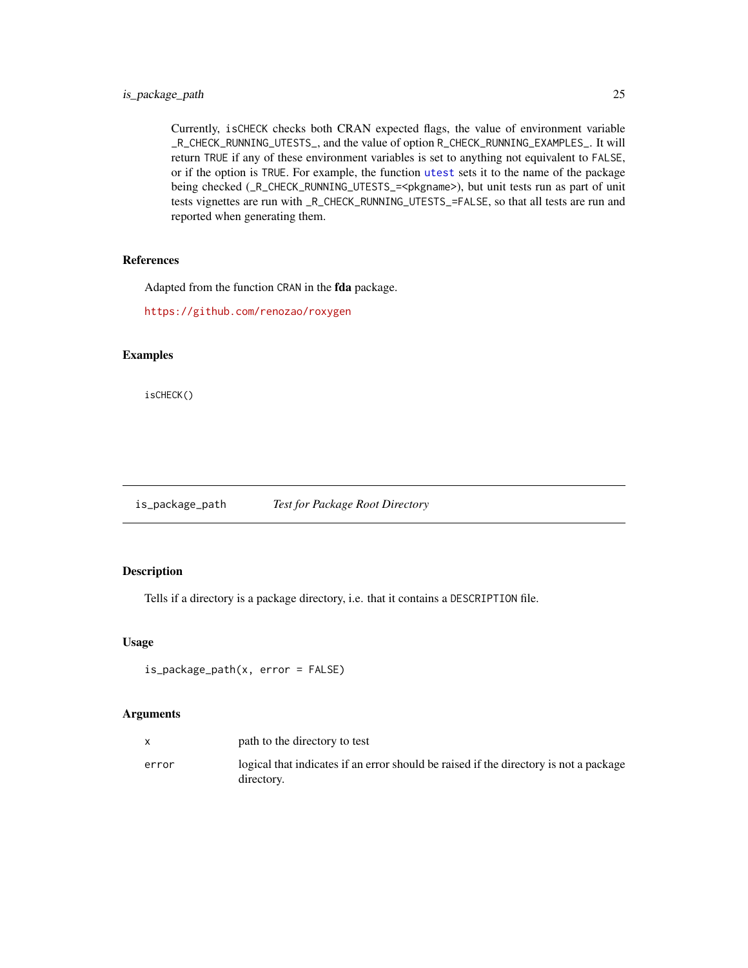# <span id="page-24-0"></span>is\_package\_path 25

Currently, isCHECK checks both CRAN expected flags, the value of environment variable \_R\_CHECK\_RUNNING\_UTESTS\_, and the value of option R\_CHECK\_RUNNING\_EXAMPLES\_. It will return TRUE if any of these environment variables is set to anything not equivalent to FALSE, or if the option is TRUE. For example, the function [utest](#page-77-1) sets it to the name of the package being checked (\_R\_CHECK\_RUNNING\_UTESTS\_=<pkgname>), but unit tests run as part of unit tests vignettes are run with \_R\_CHECK\_RUNNING\_UTESTS\_=FALSE, so that all tests are run and reported when generating them.

# References

Adapted from the function CRAN in the fda package.

<https://github.com/renozao/roxygen>

# Examples

isCHECK()

is\_package\_path *Test for Package Root Directory*

# Description

Tells if a directory is a package directory, i.e. that it contains a DESCRIPTION file.

#### Usage

```
is_package_path(x, error = FALSE)
```

|       | path to the directory to test                                                                       |
|-------|-----------------------------------------------------------------------------------------------------|
| error | logical that indicates if an error should be raised if the directory is not a package<br>directory. |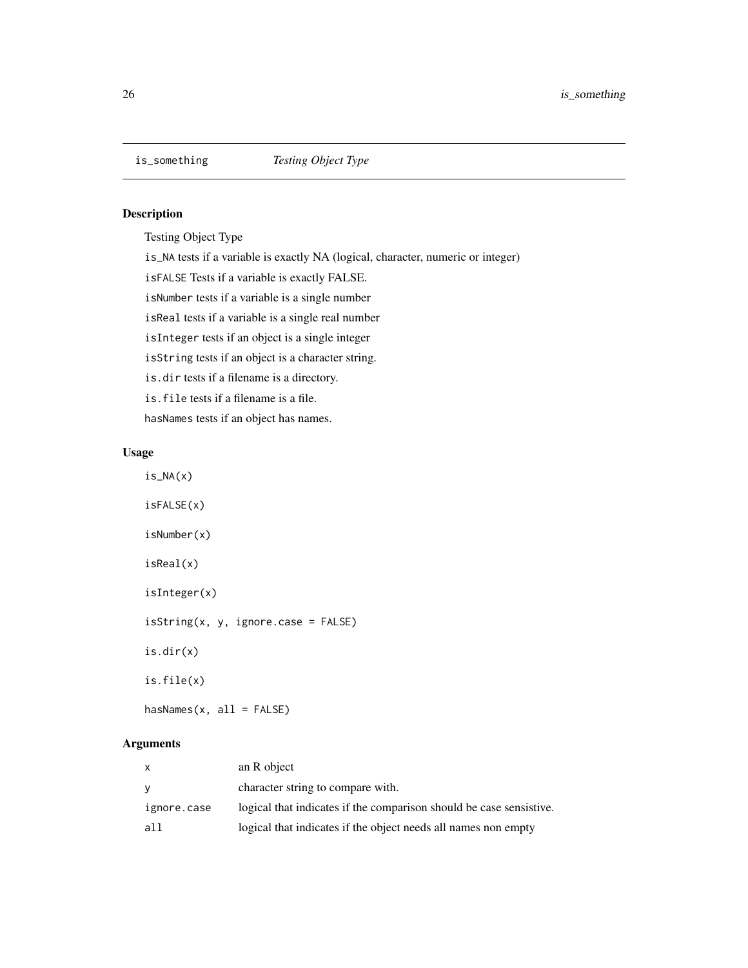<span id="page-25-0"></span>

Testing Object Type

is\_NA tests if a variable is exactly NA (logical, character, numeric or integer)

isFALSE Tests if a variable is exactly FALSE.

isNumber tests if a variable is a single number

isReal tests if a variable is a single real number

isInteger tests if an object is a single integer

isString tests if an object is a character string.

is.dir tests if a filename is a directory.

is.file tests if a filename is a file.

hasNames tests if an object has names.

# Usage

 $is\_NA(x)$ isFALSE(x) isNumber(x) isReal(x) isInteger(x) isString(x, y, ignore.case = FALSE) is.dir(x) is.file(x)  $hasNames(x, all = FALSE)$ 

| X           | an R object                                                         |
|-------------|---------------------------------------------------------------------|
| <b>y</b>    | character string to compare with.                                   |
| ignore.case | logical that indicates if the comparison should be case sensistive. |
| all         | logical that indicates if the object needs all names non empty      |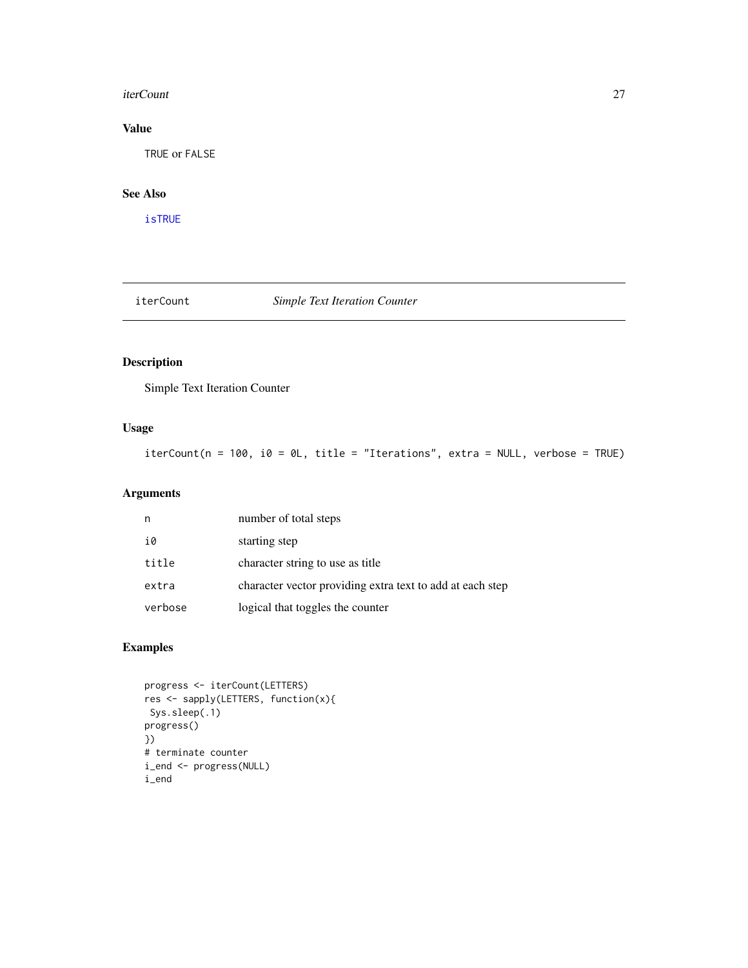#### <span id="page-26-0"></span>iterCount 27

# Value

TRUE or FALSE

# See Also

[isTRUE](#page-0-0)

iterCount *Simple Text Iteration Counter*

# Description

Simple Text Iteration Counter

# Usage

iterCount(n = 100, i0 = 0L, title = "Iterations", extra = NULL, verbose = TRUE)

# Arguments

| n       | number of total steps                                     |
|---------|-----------------------------------------------------------|
| i0      | starting step                                             |
| title   | character string to use as title                          |
| extra   | character vector providing extra text to add at each step |
| verbose | logical that toggles the counter                          |

# Examples

```
progress <- iterCount(LETTERS)
res <- sapply(LETTERS, function(x){
Sys.sleep(.1)
progress()
})
# terminate counter
i_end <- progress(NULL)
i_end
```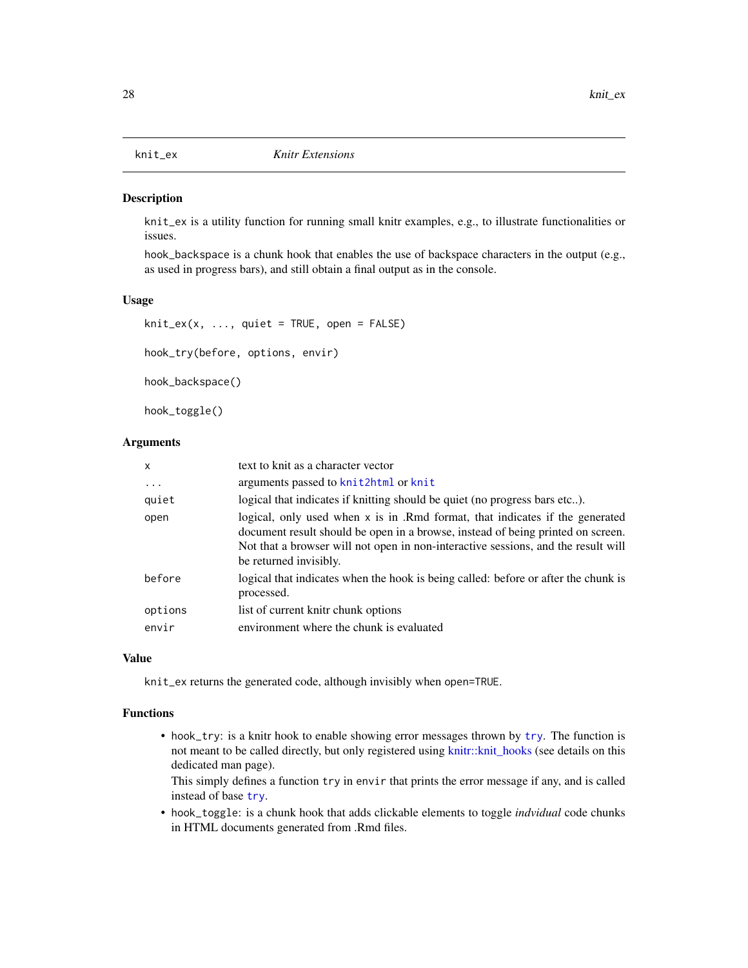<span id="page-27-0"></span>

knit\_ex is a utility function for running small knitr examples, e.g., to illustrate functionalities or issues.

hook\_backspace is a chunk hook that enables the use of backspace characters in the output (e.g., as used in progress bars), and still obtain a final output as in the console.

#### Usage

```
knit\_ex(x, ..., quite = TRUE, open = FALSE)
```
hook\_try(before, options, envir)

hook\_backspace()

hook\_toggle()

# Arguments

| $\mathsf{x}$     | text to knit as a character vector                                                                                                                                                                                                                                             |
|------------------|--------------------------------------------------------------------------------------------------------------------------------------------------------------------------------------------------------------------------------------------------------------------------------|
| $\ddots$         | arguments passed to knit2html or knit                                                                                                                                                                                                                                          |
| quiet            | logical that indicates if knitting should be quiet (no progress bars etc).                                                                                                                                                                                                     |
| open             | logical, only used when x is in .Rmd format, that indicates if the generated<br>document result should be open in a browse, instead of being printed on screen.<br>Not that a browser will not open in non-interactive sessions, and the result will<br>be returned invisibly. |
| before           | logical that indicates when the hook is being called: before or after the chunk is<br>processed.                                                                                                                                                                               |
| options<br>envir | list of current knitr chunk options<br>environment where the chunk is evaluated                                                                                                                                                                                                |

#### Value

knit\_ex returns the generated code, although invisibly when open=TRUE.

#### Functions

• hook\_try: is a knitr hook to enable showing error messages thrown by [try](#page-0-0). The function is not meant to be called directly, but only registered using [knitr::knit\\_hooks](#page-0-0) (see details on this dedicated man page).

This simply defines a function try in envir that prints the error message if any, and is called instead of base [try](#page-0-0).

• hook\_toggle: is a chunk hook that adds clickable elements to toggle *indvidual* code chunks in HTML documents generated from .Rmd files.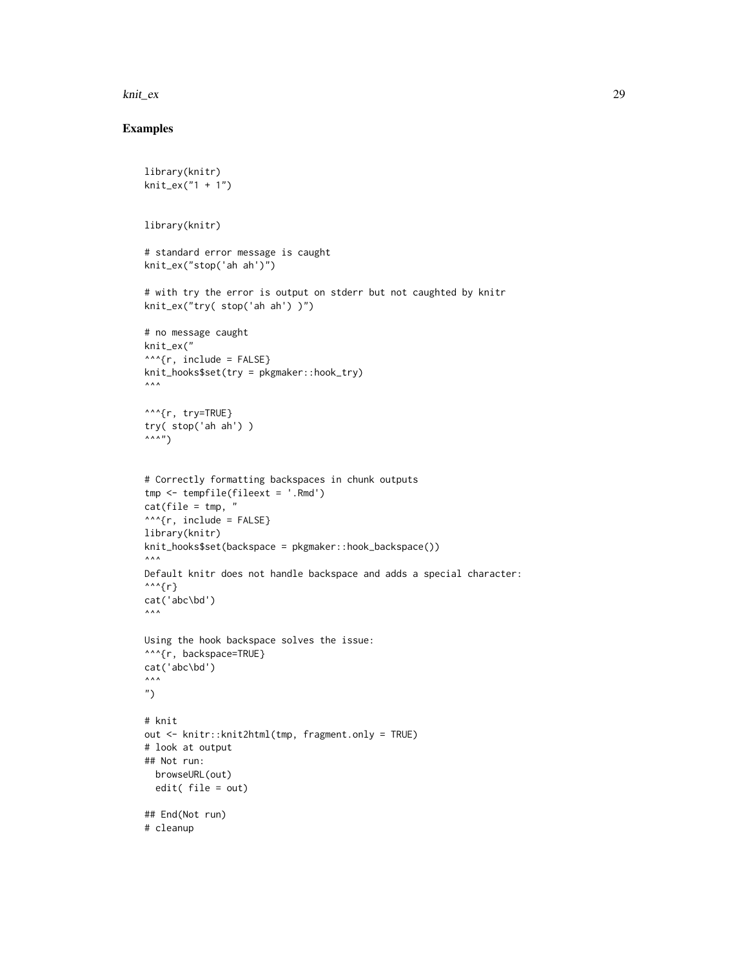knit\_ex 29

# Examples

```
library(knitr)
knit_ex("1 + 1")
library(knitr)
# standard error message is caught
knit_ex("stop('ah ah')")
# with try the error is output on stderr but not caughted by knitr
knit_ex("try( stop('ah ah') )")
# no message caught
knit_ex("
^^^{r, include = FALSE}
knit_hooks$set(try = pkgmaker::hook_try)
\land\land\land^^^{r, try=TRUE}
try( stop('ah ah') )
\wedge \wedge \wedge \wedge# Correctly formatting backspaces in chunk outputs
tmp <- tempfile(fileext = '.Rmd')
cat(file = tmp, "^^^{r, include = FALSE}
library(knitr)
knit_hooks$set(backspace = pkgmaker::hook_backspace())
\land\land\landDefault knitr does not handle backspace and adds a special character:
\wedge\wedge\wedge\{r\}cat('abc\bd')
\lambda \lambda \lambdaUsing the hook backspace solves the issue:
^^^{r, backspace=TRUE}
cat('abc\bd')
\lambda \lambda \lambda")
# knit
out <- knitr::knit2html(tmp, fragment.only = TRUE)
# look at output
## Not run:
  browseURL(out)
  edit( file = out)
## End(Not run)
# cleanup
```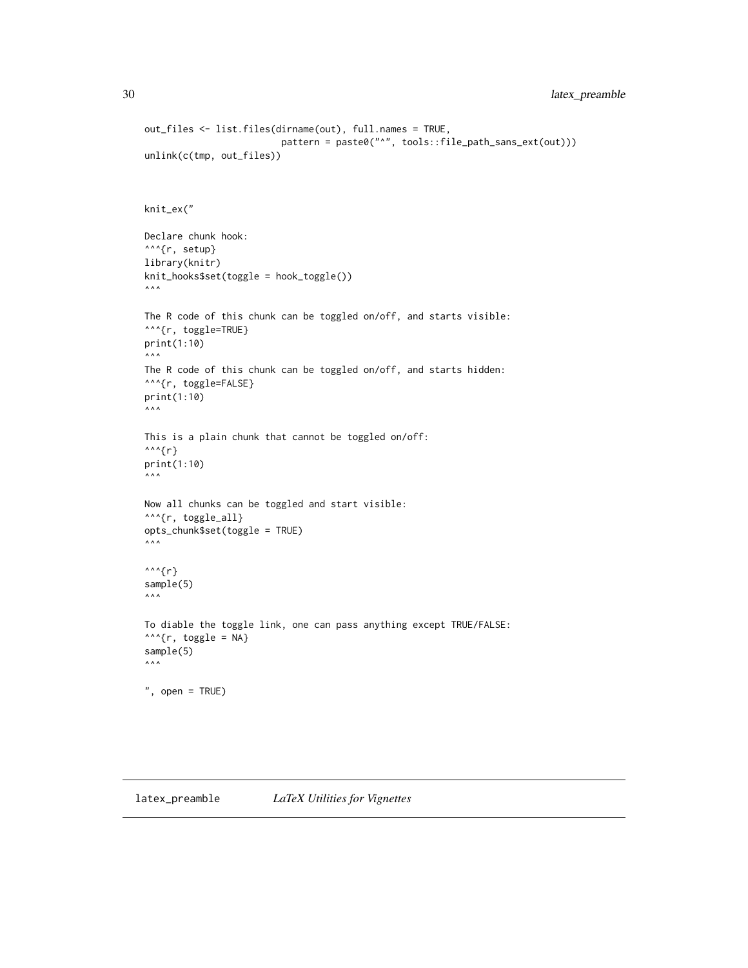```
out_files <- list.files(dirname(out), full.names = TRUE,
                              pattern = paste0("^", tools::file_path_sans_ext(out)))
unlink(c(tmp, out_files))
knit_ex("
Declare chunk hook:
^^^{r, setup}
library(knitr)
knit_hooks$set(toggle = hook_toggle())
\lambda \wedge \lambdaThe R code of this chunk can be toggled on/off, and starts visible:
^^^{r, toggle=TRUE}
print(1:10)
\land\land\landThe R code of this chunk can be toggled on/off, and starts hidden:
^^^{r, toggle=FALSE}
print(1:10)
\lambda \lambda \lambdaThis is a plain chunk that cannot be toggled on/off:
\wedge\wedge\wedge {r}
print(1:10)
\lambda \lambda \lambdaNow all chunks can be toggled and start visible:
^^^{r, toggle_all}
opts_chunk$set(toggle = TRUE)
\land\land\land\land \land \land \r}
sample(5)
\land\land\landTo diable the toggle link, one can pass anything except TRUE/FALSE:
^{\wedge\wedge\wedge} {r, toggle = NA}
sample(5)
\lambda \wedge \lambda", open = TRUE)
```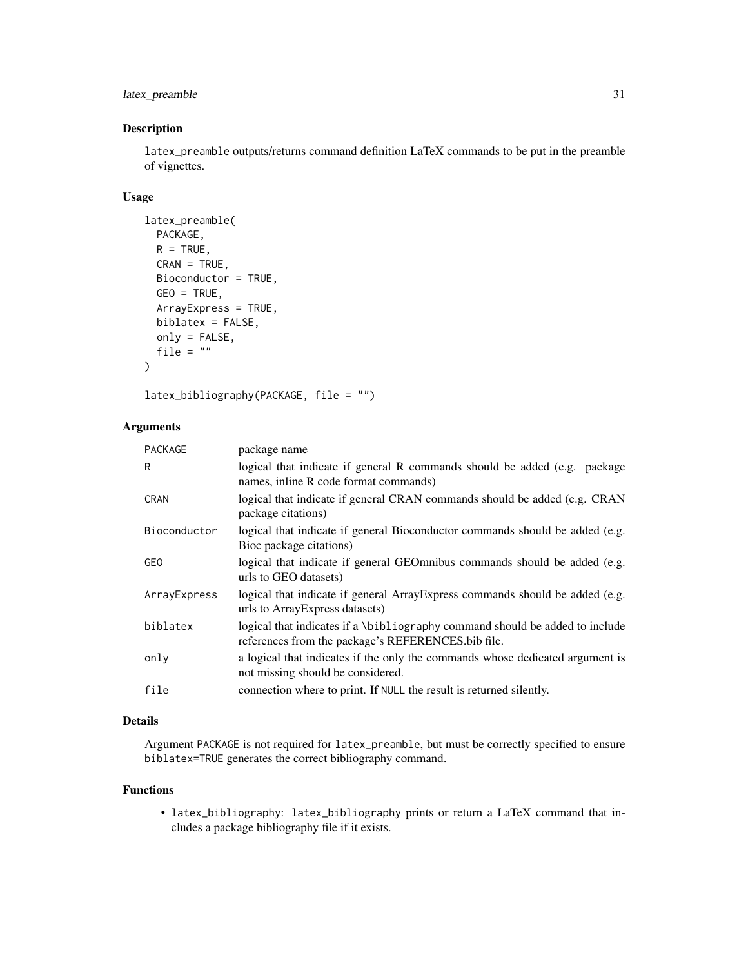# latex\_preamble 31

# Description

latex\_preamble outputs/returns command definition LaTeX commands to be put in the preamble of vignettes.

# Usage

```
latex_preamble(
 PACKAGE,
 R = TRUE,CRAN = TRUE,
 Bioconductor = TRUE,
  GEO = TRUE,
 ArrayExpress = TRUE,
 biblatex = FALSE,
 only = FALSE,
  file = "\mathcal{E}
```
latex\_bibliography(PACKAGE, file = "")

# Arguments

| <b>PACKAGE</b> | package name                                                                                                                       |
|----------------|------------------------------------------------------------------------------------------------------------------------------------|
| R              | logical that indicate if general R commands should be added (e.g. package<br>names, inline R code format commands)                 |
| <b>CRAN</b>    | logical that indicate if general CRAN commands should be added (e.g. CRAN<br>package citations)                                    |
| Bioconductor   | logical that indicate if general Bioconductor commands should be added (e.g.<br>Bioc package citations)                            |
| <b>GEO</b>     | logical that indicate if general GEOmnibus commands should be added (e.g.<br>urls to GEO datasets)                                 |
| ArrayExpress   | logical that indicate if general Array Express commands should be added (e.g.<br>urls to Array Express datasets)                   |
| biblatex       | logical that indicates if a \bibliography command should be added to include<br>references from the package's REFERENCES.bib file. |
| only           | a logical that indicates if the only the commands whose dedicated argument is<br>not missing should be considered.                 |
| file           | connection where to print. If NULL the result is returned silently.                                                                |

# Details

Argument PACKAGE is not required for latex\_preamble, but must be correctly specified to ensure biblatex=TRUE generates the correct bibliography command.

#### Functions

• latex\_bibliography: latex\_bibliography prints or return a LaTeX command that includes a package bibliography file if it exists.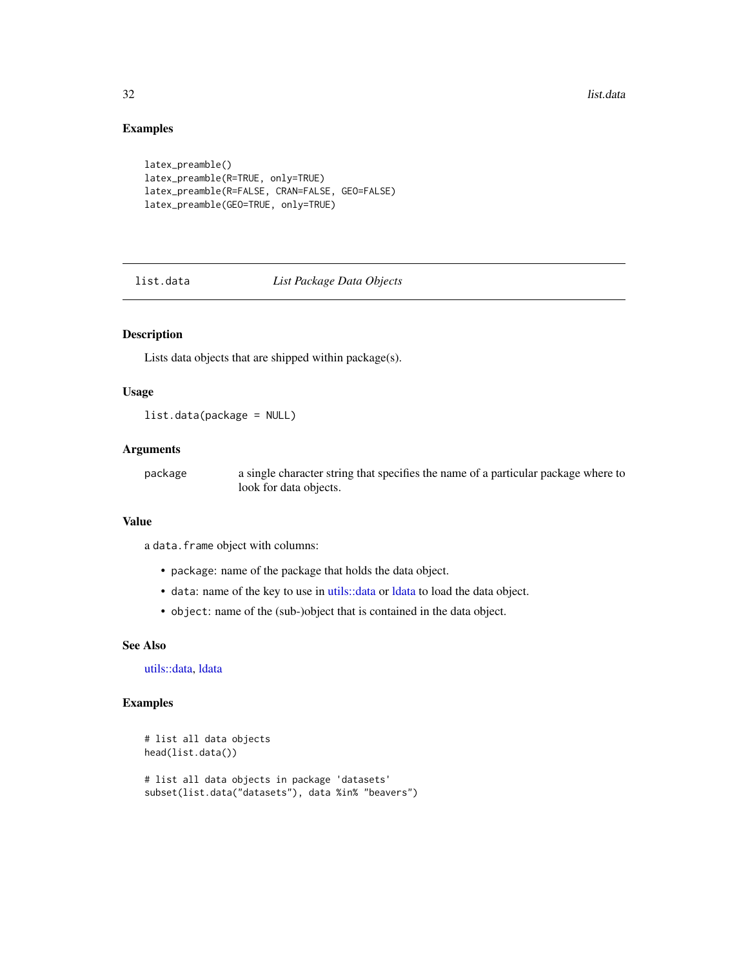32 list.data

# Examples

```
latex_preamble()
latex_preamble(R=TRUE, only=TRUE)
latex_preamble(R=FALSE, CRAN=FALSE, GEO=FALSE)
latex_preamble(GEO=TRUE, only=TRUE)
```
list.data *List Package Data Objects*

# Description

Lists data objects that are shipped within package(s).

# Usage

list.data(package = NULL)

# Arguments

package a single character string that specifies the name of a particular package where to look for data objects.

#### Value

a data.frame object with columns:

- package: name of the package that holds the data object.
- data: name of the key to use in [utils::data](#page-0-0) or [ldata](#page-44-1) to load the data object.
- object: name of the (sub-)object that is contained in the data object.

# See Also

[utils::data,](#page-0-0) [ldata](#page-44-1)

#### Examples

```
# list all data objects
head(list.data())
# list all data objects in package 'datasets'
subset(list.data("datasets"), data %in% "beavers")
```
<span id="page-31-0"></span>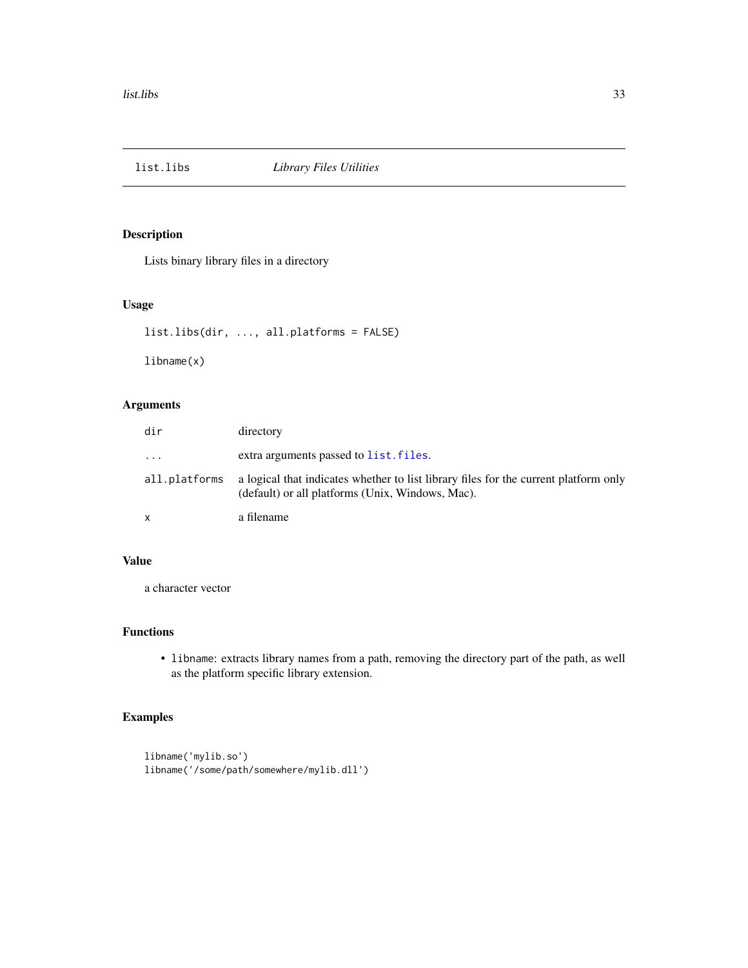<span id="page-32-0"></span>

Lists binary library files in a directory

#### Usage

```
list.libs(dir, ..., all.platforms = FALSE)
```
libname(x)

# Arguments

| dir                     | directory                                                                                                                                |
|-------------------------|------------------------------------------------------------------------------------------------------------------------------------------|
| $\cdot$ $\cdot$ $\cdot$ | extra arguments passed to list. files.                                                                                                   |
| all.platforms           | a logical that indicates whether to list library files for the current platform only<br>(default) or all platforms (Unix, Windows, Mac). |
| x                       | a filename                                                                                                                               |

# Value

a character vector

# Functions

• libname: extracts library names from a path, removing the directory part of the path, as well as the platform specific library extension.

# Examples

libname('mylib.so') libname('/some/path/somewhere/mylib.dll')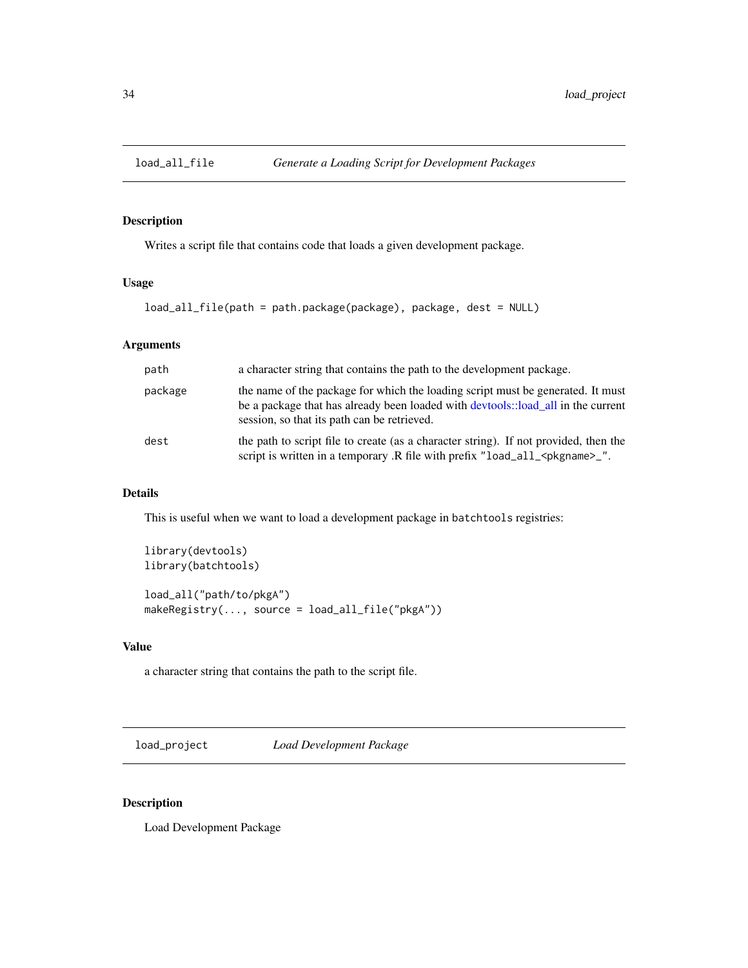<span id="page-33-0"></span>

Writes a script file that contains code that loads a given development package.

# Usage

```
load_all_file(path = path.package(package), package, dest = NULL)
```
# Arguments

| path    | a character string that contains the path to the development package.                                                                                                                                              |
|---------|--------------------------------------------------------------------------------------------------------------------------------------------------------------------------------------------------------------------|
| package | the name of the package for which the loading script must be generated. It must<br>be a package that has already been loaded with devtools::load all in the current<br>session, so that its path can be retrieved. |
| dest    | the path to script file to create (as a character string). If not provided, then the<br>script is written in a temporary .R file with prefix "load_all_ <pkgname>_".</pkgname>                                     |

# Details

This is useful when we want to load a development package in batchtools registries:

library(devtools) library(batchtools)

```
load_all("path/to/pkgA")
makeRegistry(..., source = load_all_file("pkgA"))
```
# Value

a character string that contains the path to the script file.

load\_project *Load Development Package*

#### Description

Load Development Package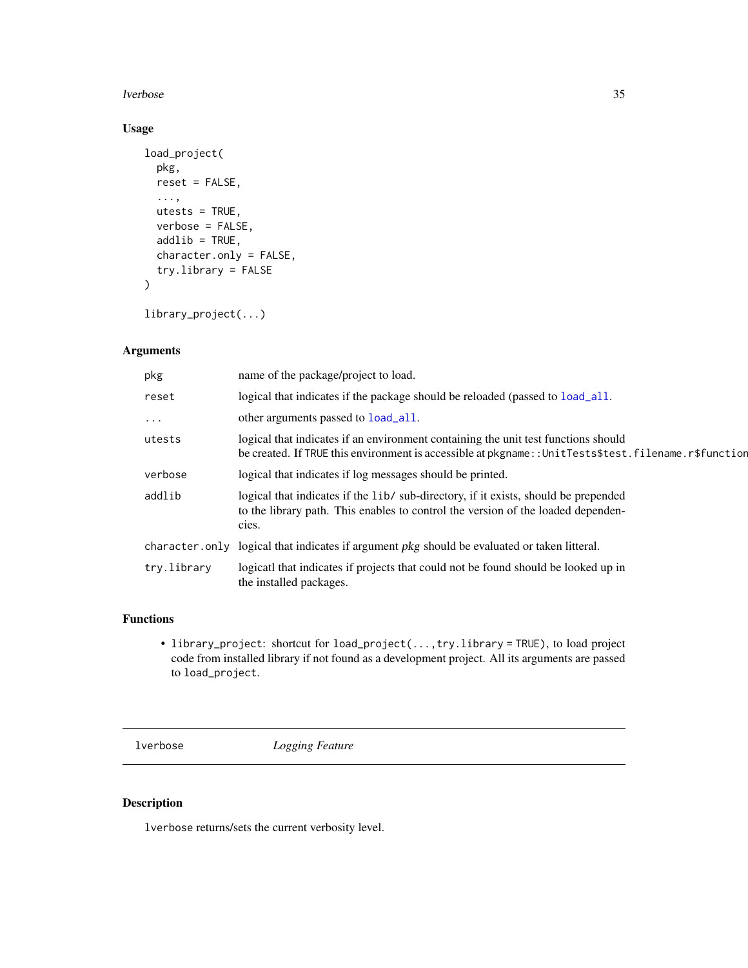#### <span id="page-34-0"></span>lverbose 35

# Usage

```
load_project(
  pkg,
  reset = FALSE,
  ...,
 utests = TRUE,
  verbose = FALSE,
  addlib = TRUE,character.only = FALSE,
  try.library = FALSE
)
```
library\_project(...)

# Arguments

| pkg            | name of the package/project to load.                                                                                                                                                       |
|----------------|--------------------------------------------------------------------------------------------------------------------------------------------------------------------------------------------|
| reset          | logical that indicates if the package should be reloaded (passed to load_all.                                                                                                              |
| $\cdots$       | other arguments passed to <b>load_all</b> .                                                                                                                                                |
| utests         | logical that indicates if an environment containing the unit test functions should<br>be created. If TRUE this environment is accessible at pkgname:: UnitTests\$test.filename.r\$function |
| verbose        | logical that indicates if log messages should be printed.                                                                                                                                  |
| addlib         | logical that indicates if the lib/ sub-directory, if it exists, should be prepended<br>to the library path. This enables to control the version of the loaded dependen-<br>cies.           |
| character.only | logical that indicates if argument <i>pkg</i> should be evaluated or taken litteral.                                                                                                       |
| try.library    | logicatl that indicates if projects that could not be found should be looked up in<br>the installed packages.                                                                              |
|                |                                                                                                                                                                                            |

# Functions

• library\_project: shortcut for load\_project(...,try.library = TRUE), to load project code from installed library if not found as a development project. All its arguments are passed to load\_project.

lverbose *Logging Feature*

# Description

lverbose returns/sets the current verbosity level.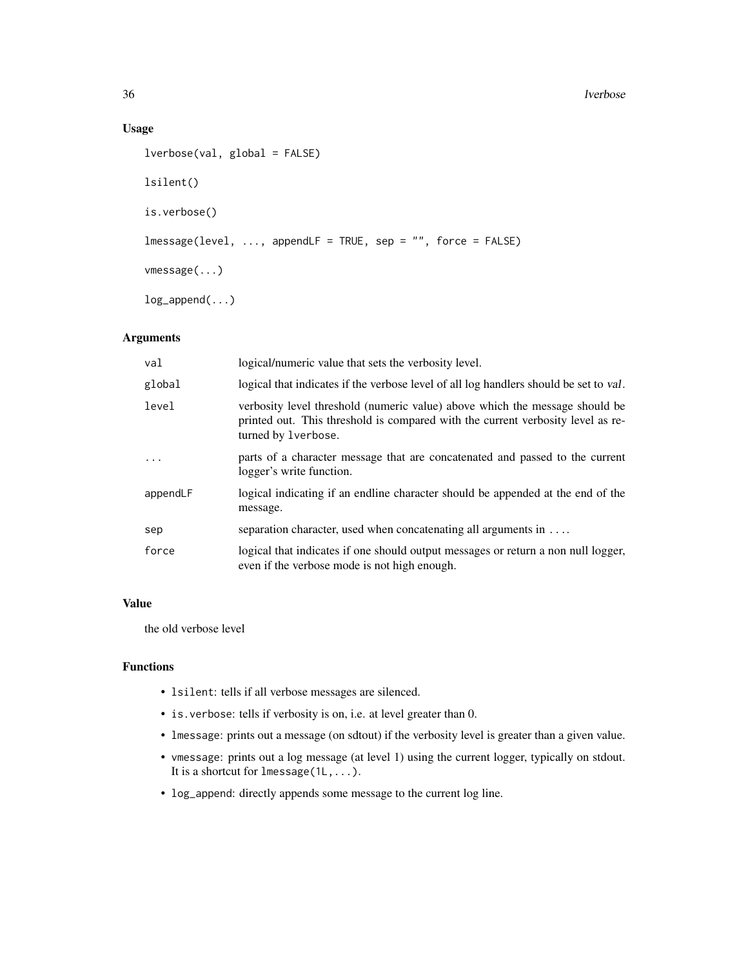#### 36 lverbose

# Usage

```
lverbose(val, global = FALSE)
lsilent()
is.verbose()
lmessage(level, ..., appendLF = TRUE, sep = "", force = FALSE)
vmessage(...)
log_append(...)
```
# Arguments

| val      | logical/numeric value that sets the verbosity level.                                                                                                                                  |
|----------|---------------------------------------------------------------------------------------------------------------------------------------------------------------------------------------|
| global   | logical that indicates if the verbose level of all log handlers should be set to val.                                                                                                 |
| level    | verbosity level threshold (numeric value) above which the message should be<br>printed out. This threshold is compared with the current verbosity level as re-<br>turned by lverbose. |
| $\ddots$ | parts of a character message that are concatenated and passed to the current<br>logger's write function.                                                                              |
| appendLF | logical indicating if an endline character should be appended at the end of the<br>message.                                                                                           |
| sep      | separation character, used when concatenating all arguments in                                                                                                                        |
| force    | logical that indicates if one should output messages or return a non null logger,<br>even if the verbose mode is not high enough.                                                     |

# Value

the old verbose level

# Functions

- lsilent: tells if all verbose messages are silenced.
- is.verbose: tells if verbosity is on, i.e. at level greater than 0.
- lmessage: prints out a message (on sdtout) if the verbosity level is greater than a given value.
- vmessage: prints out a log message (at level 1) using the current logger, typically on stdout. It is a shortcut for lmessage(1L,...).
- log\_append: directly appends some message to the current log line.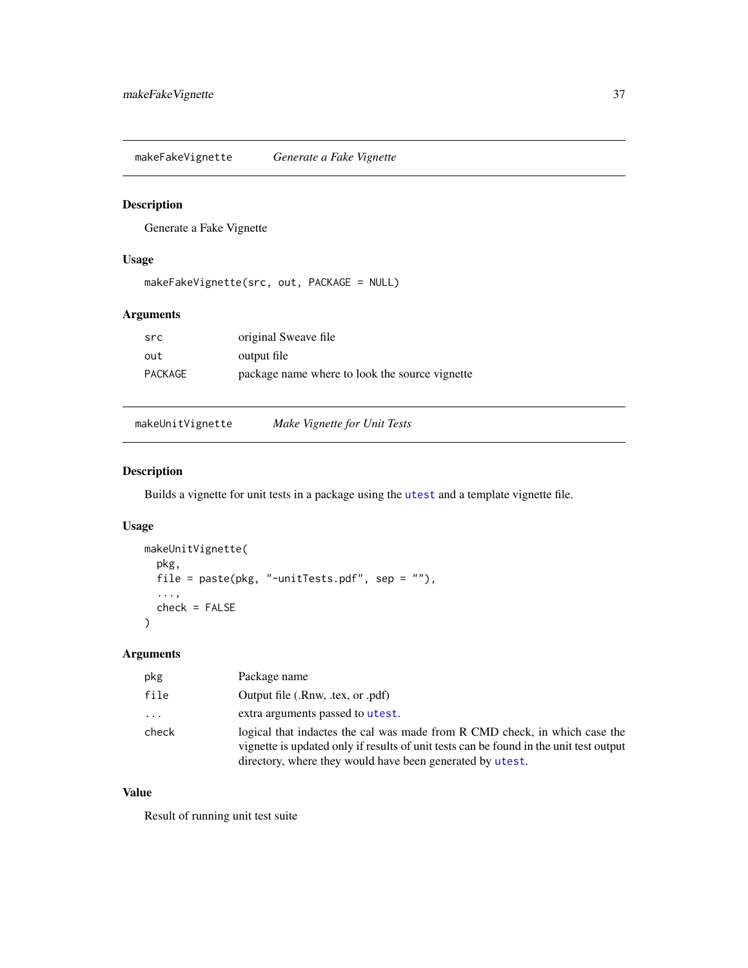makeFakeVignette *Generate a Fake Vignette*

#### Description

Generate a Fake Vignette

#### Usage

```
makeFakeVignette(src, out, PACKAGE = NULL)
```
# Arguments

| src     | original Sweave file                           |
|---------|------------------------------------------------|
| out     | output file                                    |
| PACKAGE | package name where to look the source vignette |

makeUnitVignette *Make Vignette for Unit Tests*

# Description

Builds a vignette for unit tests in a package using the [utest](#page-77-0) and a template vignette file.

# Usage

```
makeUnitVignette(
 pkg,
 file = paste(pkg, "-unitTests.pdf", sep = ""),
  ...,
 check = FALSE
\lambda
```
# Arguments

| pkg      | Package name                                                                                                                                                                                                                      |
|----------|-----------------------------------------------------------------------------------------------------------------------------------------------------------------------------------------------------------------------------------|
| file     | Output file (.Rnw, .tex, or .pdf)                                                                                                                                                                                                 |
| $\ddots$ | extra arguments passed to utest.                                                                                                                                                                                                  |
| check    | logical that inductes the cal was made from R CMD check, in which case the<br>vignette is updated only if results of unit tests can be found in the unit test output<br>directory, where they would have been generated by utest. |

#### Value

Result of running unit test suite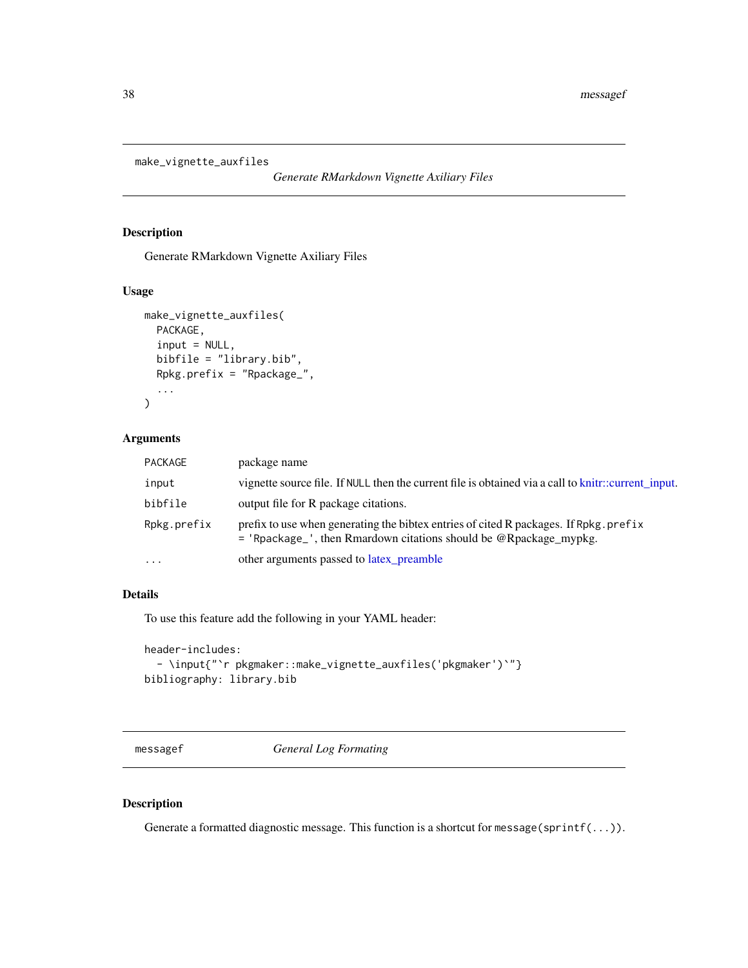```
make_vignette_auxfiles
```
*Generate RMarkdown Vignette Axiliary Files*

# Description

Generate RMarkdown Vignette Axiliary Files

#### Usage

```
make_vignette_auxfiles(
  PACKAGE,
  input = NULL,bibfile = "library.bib",
  Rpkg.prefix = "Rpackage_",
  ...
\mathcal{E}
```
#### Arguments

| <b>PACKAGE</b> | package name                                                                                                                                                |
|----------------|-------------------------------------------------------------------------------------------------------------------------------------------------------------|
| input          | vignette source file. If NULL then the current file is obtained via a call to knitr::current input.                                                         |
| bibfile        | output file for R package citations.                                                                                                                        |
| Rpkg.prefix    | prefix to use when generating the bibtex entries of cited R packages. If Rpkg prefix<br>$=$ 'Rpackage_', then Rmardown citations should be @Rpackage mypkg. |
| $\cdots$       | other arguments passed to latex_preamble                                                                                                                    |

# Details

To use this feature add the following in your YAML header:

```
header-includes:
  - \input{"`r pkgmaker::make_vignette_auxfiles('pkgmaker')`"}
bibliography: library.bib
```
messagef *General Log Formating*

# Description

Generate a formatted diagnostic message. This function is a shortcut for message(sprintf(...)).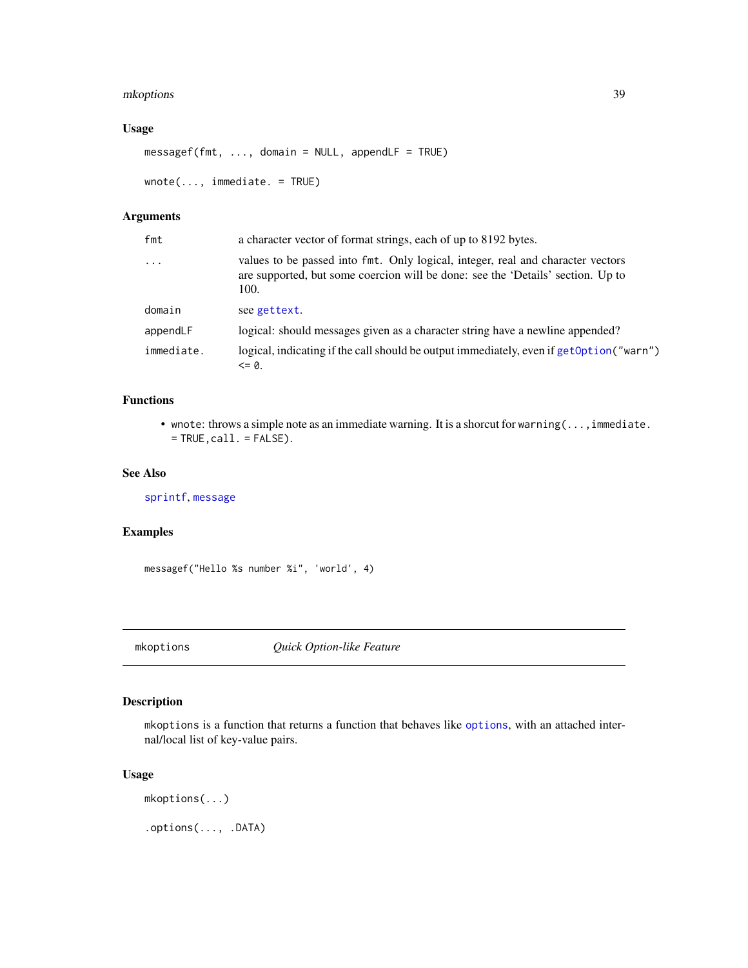# mkoptions 39

#### Usage

```
messagef(fmt, ..., domain = NULL, appendLF = TRUE)
wnote(..., immediate. = TRUE)
```
# Arguments

| a character vector of format strings, each of up to 8192 bytes.                                                                                                            |
|----------------------------------------------------------------------------------------------------------------------------------------------------------------------------|
| values to be passed into fmt. Only logical, integer, real and character vectors<br>are supported, but some coercion will be done: see the 'Details' section. Up to<br>100. |
| see gettext.                                                                                                                                                               |
| logical: should messages given as a character string have a newline appended?                                                                                              |
| logical, indicating if the call should be output immediately, even if get Option ("warn")<br>$= 0.$                                                                        |
|                                                                                                                                                                            |

# Functions

• wnote: throws a simple note as an immediate warning. It is a shorcut for warning( $\dots$ , immediate.  $=$  TRUE, call.  $=$  FALSE).

#### See Also

[sprintf](#page-0-0), [message](#page-0-0)

#### Examples

messagef("Hello %s number %i", 'world', 4)

mkoptions *Quick Option-like Feature*

#### Description

mkoptions is a function that returns a function that behaves like [options](#page-0-0), with an attached internal/local list of key-value pairs.

#### Usage

mkoptions(...)

.options(..., .DATA)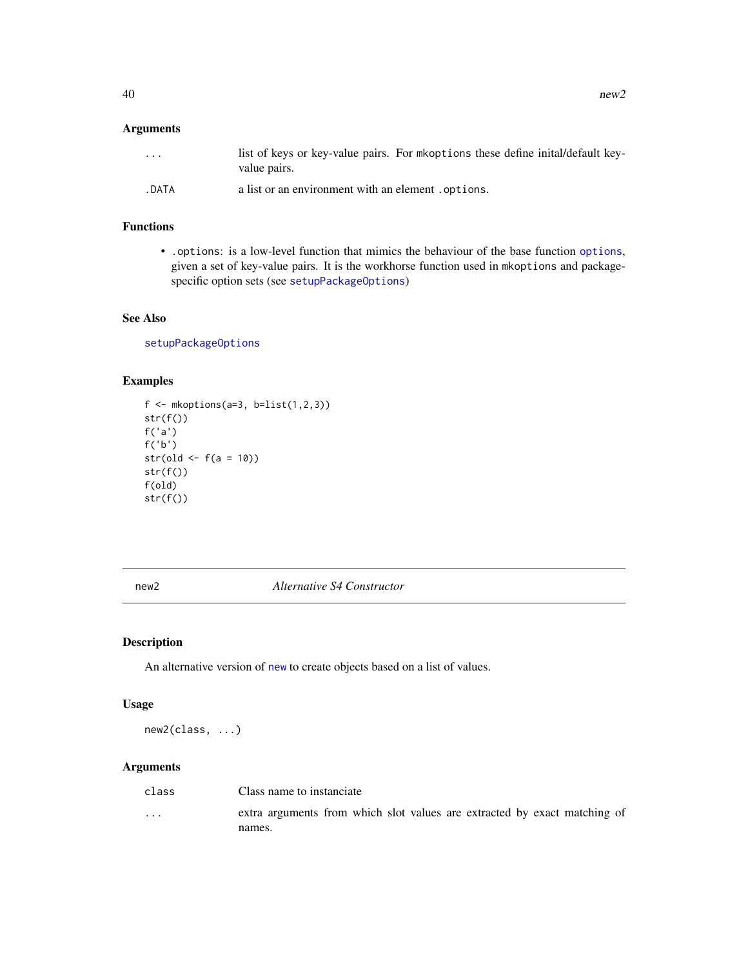#### Arguments

| $\cdots$ | list of keys or key-value pairs. For mkoptions these define inital/default key-<br>value pairs. |  |  |
|----------|-------------------------------------------------------------------------------------------------|--|--|
| . DATA   | a list or an environment with an element options.                                               |  |  |

#### Functions

• .options: is a low-level function that mimics the behaviour of the base function [options](#page-0-0), given a set of key-value pairs. It is the workhorse function used in mkoptions and packagespecific option sets (see [setupPackageOptions](#page-65-0))

# See Also

[setupPackageOptions](#page-65-0)

#### Examples

```
f \leq mkoptions(a=3, b=list(1,2,3))
str(f())
f('a')
f('b')
str(old \leq -f(a = 10))
str(f())f(old)
str(f())
```
new2 *Alternative S4 Constructor*

# Description

An alternative version of [new](#page-0-0) to create objects based on a list of values.

# Usage

new2(class, ...)

| class    | Class name to instanciate                                                 |
|----------|---------------------------------------------------------------------------|
| $\cdots$ | extra arguments from which slot values are extracted by exact matching of |
|          | names.                                                                    |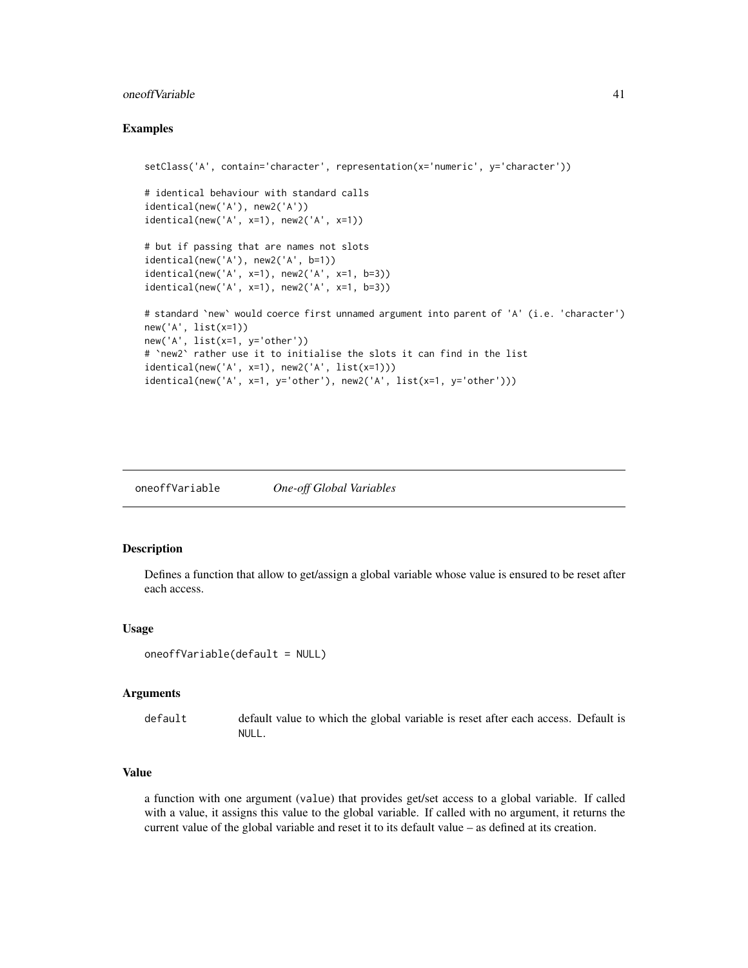#### oneoffVariable 41

#### Examples

```
setClass('A', contain='character', representation(x='numeric', y='character'))
# identical behaviour with standard calls
identical(new('A'), new2('A'))
identical(new('A', x=1), new2('A', x=1))
# but if passing that are names not slots
identical(new('A'), new2('A', b=1))
identical(new('A', x=1), new2('A', x=1, b=3))
identical(new('A', x=1), new2('A', x=1, b=3))
# standard `new` would coerce first unnamed argument into parent of 'A' (i.e. 'character')
new('A', list(x=1))
new('A', list(x=1, y='other'))
# `new2` rather use it to initialise the slots it can find in the list
identical(new('A', x=1), new2('A', list(x=1)))
identical(new('A', x=1, y='other'), new2('A', list(x=1, y='other')))
```
oneoffVariable *One-off Global Variables*

#### Description

Defines a function that allow to get/assign a global variable whose value is ensured to be reset after each access.

#### Usage

```
oneoffVariable(default = NULL)
```
#### Arguments

default default value to which the global variable is reset after each access. Default is NULL.

#### Value

a function with one argument (value) that provides get/set access to a global variable. If called with a value, it assigns this value to the global variable. If called with no argument, it returns the current value of the global variable and reset it to its default value – as defined at its creation.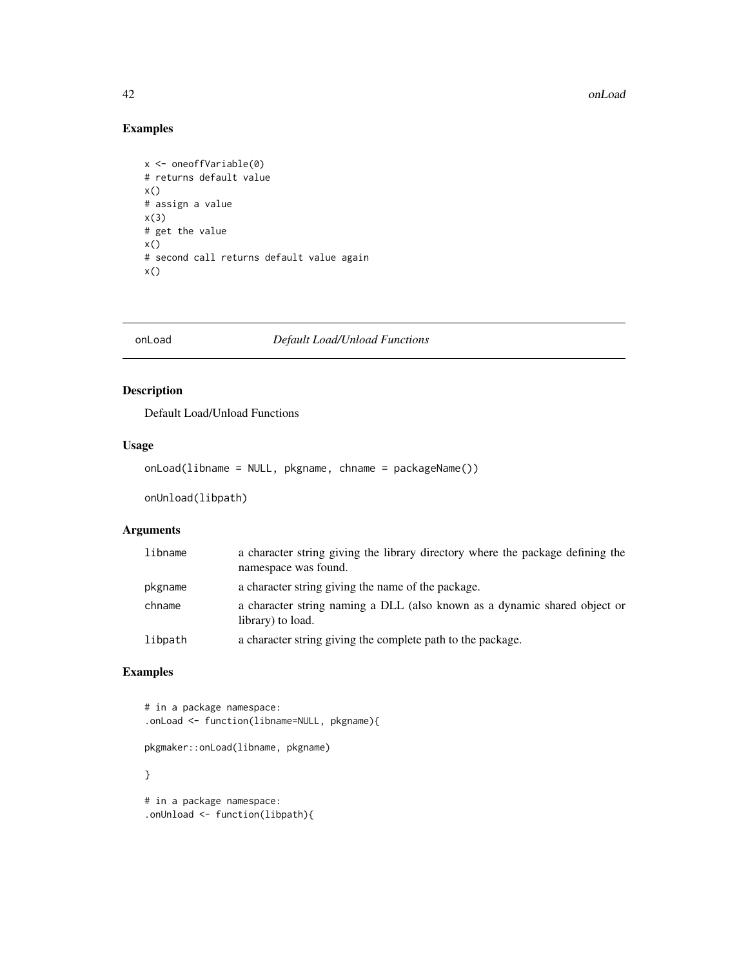#### 42 onLoad and the contract of the contract of the contract of the contract of the contract of the contract of the contract of the contract of the contract of the contract of the contract of the contract of the contract of

# Examples

```
x <- oneoffVariable(0)
# returns default value
x()# assign a value
x(3)
# get the value
x()
# second call returns default value again
x()
```
onLoad *Default Load/Unload Functions*

# Description

Default Load/Unload Functions

#### Usage

onLoad(libname = NULL, pkgname, chname = packageName())

onUnload(libpath)

# Arguments

| libname | a character string giving the library directory where the package defining the<br>namespace was found. |
|---------|--------------------------------------------------------------------------------------------------------|
| pkgname | a character string giving the name of the package.                                                     |
| chname  | a character string naming a DLL (also known as a dynamic shared object or<br>library) to load.         |
| libpath | a character string giving the complete path to the package.                                            |

# Examples

```
# in a package namespace:
.onLoad <- function(libname=NULL, pkgname){
pkgmaker::onLoad(libname, pkgname)
}
# in a package namespace:
```
.onUnload <- function(libpath){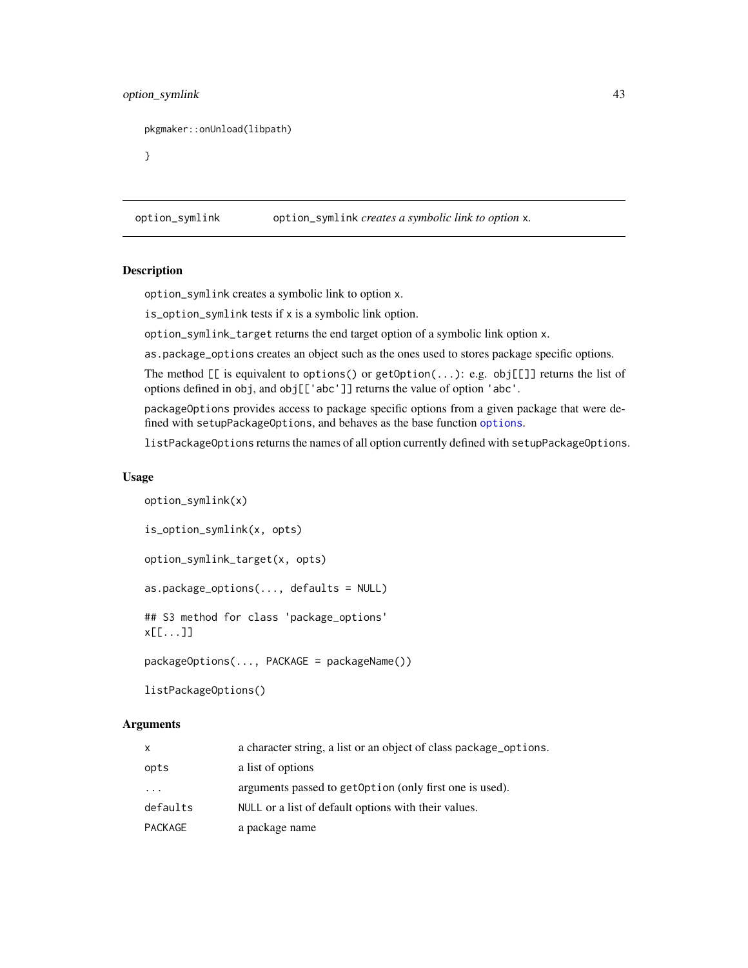# option\_symlink 43

```
pkgmaker::onUnload(libpath)
```
}

option\_symlink option\_symlink *creates a symbolic link to option* x*.*

# **Description**

option\_symlink creates a symbolic link to option x.

is\_option\_symlink tests if x is a symbolic link option.

option\_symlink\_target returns the end target option of a symbolic link option x.

as.package\_options creates an object such as the ones used to stores package specific options.

The method  $[\lceil \cdot \rceil]$  is equivalent to options() or getOption(...): e.g. obj $[\lceil \cdot \rceil]$  returns the list of options defined in obj, and obj[['abc']] returns the value of option 'abc'.

packageOptions provides access to package specific options from a given package that were defined with setupPackageOptions, and behaves as the base function [options](#page-0-0).

listPackageOptions returns the names of all option currently defined with setupPackageOptions.

#### Usage

```
option_symlink(x)
is_option_symlink(x, opts)
option_symlink_target(x, opts)
as.package_options(..., defaults = NULL)
## S3 method for class 'package_options'
x[[...]]
packageOptions(..., PACKAGE = packageName())
listPackageOptions()
```

| X        | a character string, a list or an object of class package options. |
|----------|-------------------------------------------------------------------|
| opts     | a list of options                                                 |
| $\cdot$  | arguments passed to get Option (only first one is used).          |
| defaults | NULL or a list of default options with their values.              |
| PACKAGE  | a package name                                                    |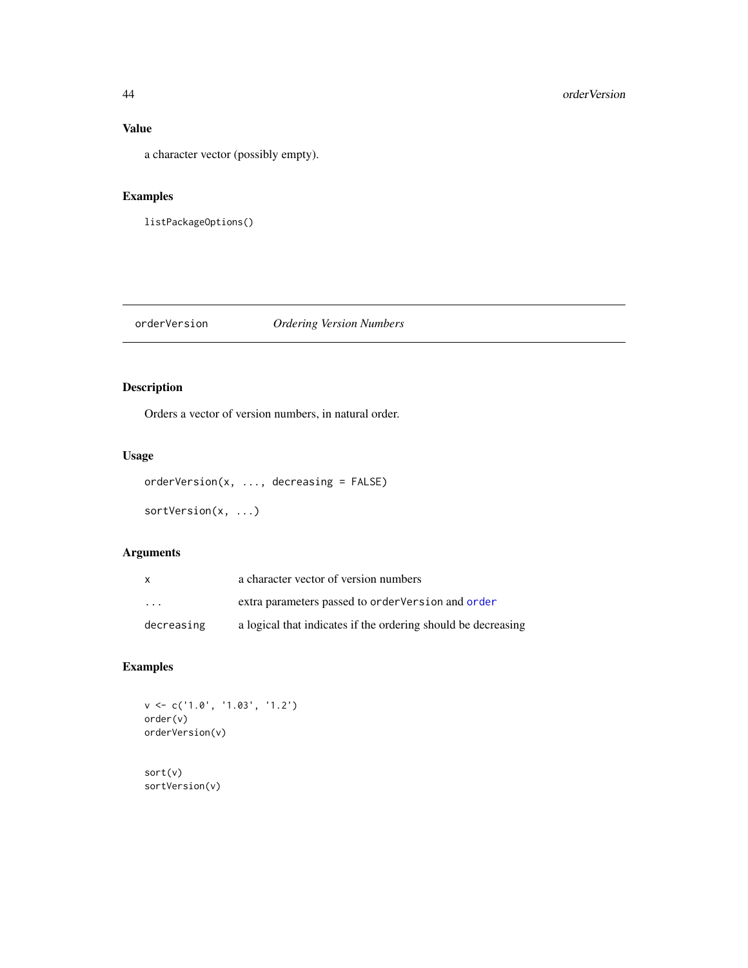# Value

a character vector (possibly empty).

# Examples

listPackageOptions()

# orderVersion *Ordering Version Numbers*

# Description

Orders a vector of version numbers, in natural order.

# Usage

```
orderVersion(x, ..., decreasing = FALSE)
```

```
sortVersion(x, ...)
```
# Arguments

| x                       | a character vector of version numbers                         |
|-------------------------|---------------------------------------------------------------|
| $\cdot$ $\cdot$ $\cdot$ | extra parameters passed to order Version and order            |
| decreasing              | a logical that indicates if the ordering should be decreasing |

# Examples

v <- c('1.0', '1.03', '1.2') order(v) orderVersion(v)

sort(v) sortVersion(v)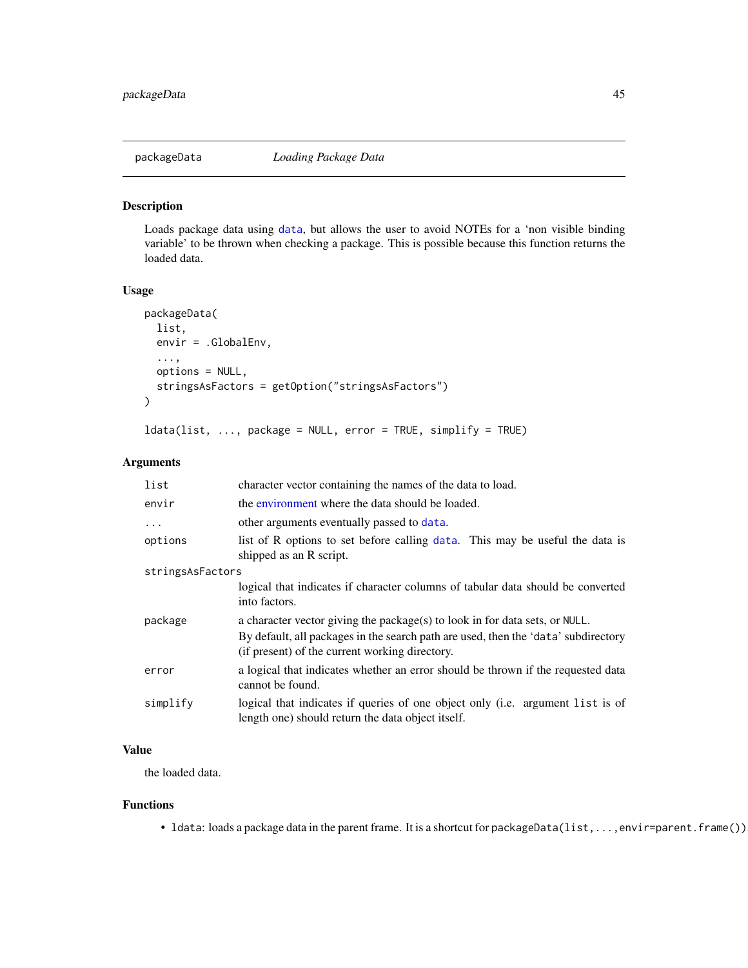#### Description

Loads package data using [data](#page-0-0), but allows the user to avoid NOTEs for a 'non visible binding variable' to be thrown when checking a package. This is possible because this function returns the loaded data.

#### Usage

```
packageData(
  list,
  envir = .GlobalEnv,
  ...,
 options = NULL,
  stringsAsFactors = getOption("stringsAsFactors")
)
```

```
ldata(list, ..., package = NULL, error = TRUE, simplify = TRUE)
```
#### Arguments

| list             | character vector containing the names of the data to load.                                                                           |  |
|------------------|--------------------------------------------------------------------------------------------------------------------------------------|--|
| envir            | the environment where the data should be loaded.                                                                                     |  |
| $\ddots$         | other arguments eventually passed to data.                                                                                           |  |
| options          | list of R options to set before calling data. This may be useful the data is<br>shipped as an R script.                              |  |
| stringsAsFactors |                                                                                                                                      |  |
|                  | logical that indicates if character columns of tabular data should be converted<br>into factors.                                     |  |
| package          | a character vector giving the package(s) to look in for data sets, or NULL.                                                          |  |
|                  | By default, all packages in the search path are used, then the 'data' subdirectory<br>(if present) of the current working directory. |  |
| error            | a logical that indicates whether an error should be thrown if the requested data<br>cannot be found.                                 |  |
| simplify         | logical that indicates if queries of one object only (i.e. argument list is of<br>length one) should return the data object itself.  |  |

# Value

the loaded data.

#### Functions

• Idata: loads a package data in the parent frame. It is a shortcut for packageData(list,...,envir=parent.frame())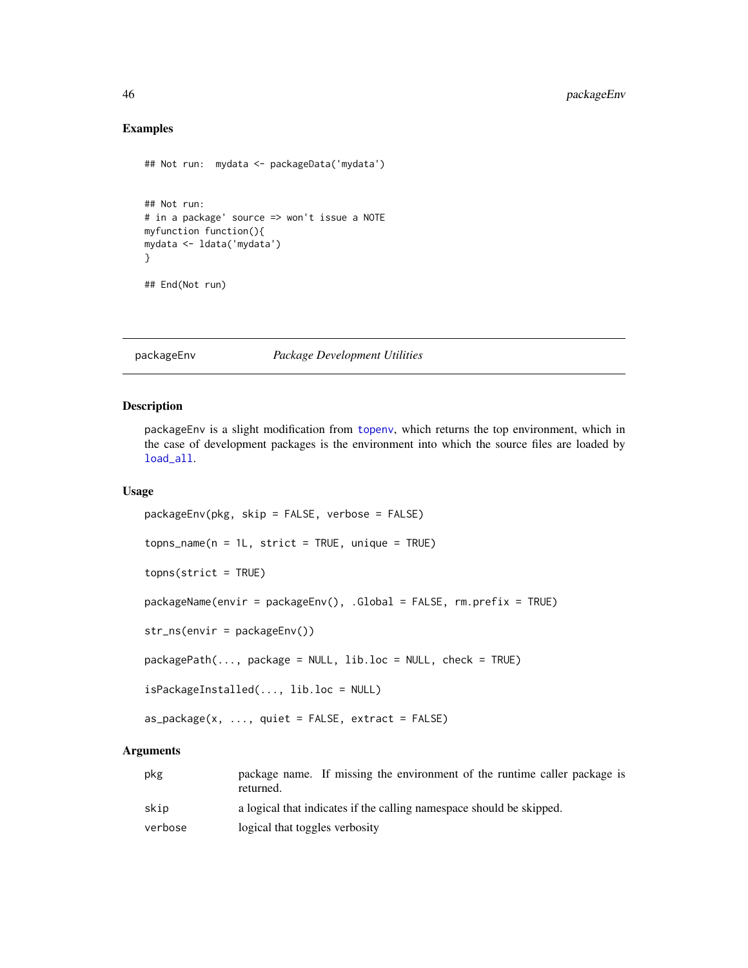# Examples

```
## Not run: mydata <- packageData('mydata')
## Not run:
# in a package' source => won't issue a NOTE
myfunction function(){
mydata <- ldata('mydata')
}
## End(Not run)
```
# packageEnv *Package Development Utilities*

#### <span id="page-45-0"></span>Description

packageEnv is a slight modification from [topenv](#page-0-0), which returns the top environment, which in the case of development packages is the environment into which the source files are loaded by [load\\_all](#page-0-0).

#### Usage

```
packageEnv(pkg, skip = FALSE, verbose = FALSE)
topns_name(n = 1L, strict = TRUE, unique = TRUE)topns(strict = TRUE)
packageName(envir = packageEnv(), .Global = FALSE, rm.prefix = TRUE)
str_ns(envir = packageEnv())
packagePath(..., package = NULL, lib.loc = NULL, check = TRUE)
isPackageInstalled(..., lib.loc = NULL)
as_package(x, ..., quite = FALSE, extract = FALSE)
```

| pkg     | package name. If missing the environment of the runtime caller package is<br>returned. |
|---------|----------------------------------------------------------------------------------------|
| skip    | a logical that indicates if the calling namespace should be skipped.                   |
| verbose | logical that toggles verbosity                                                         |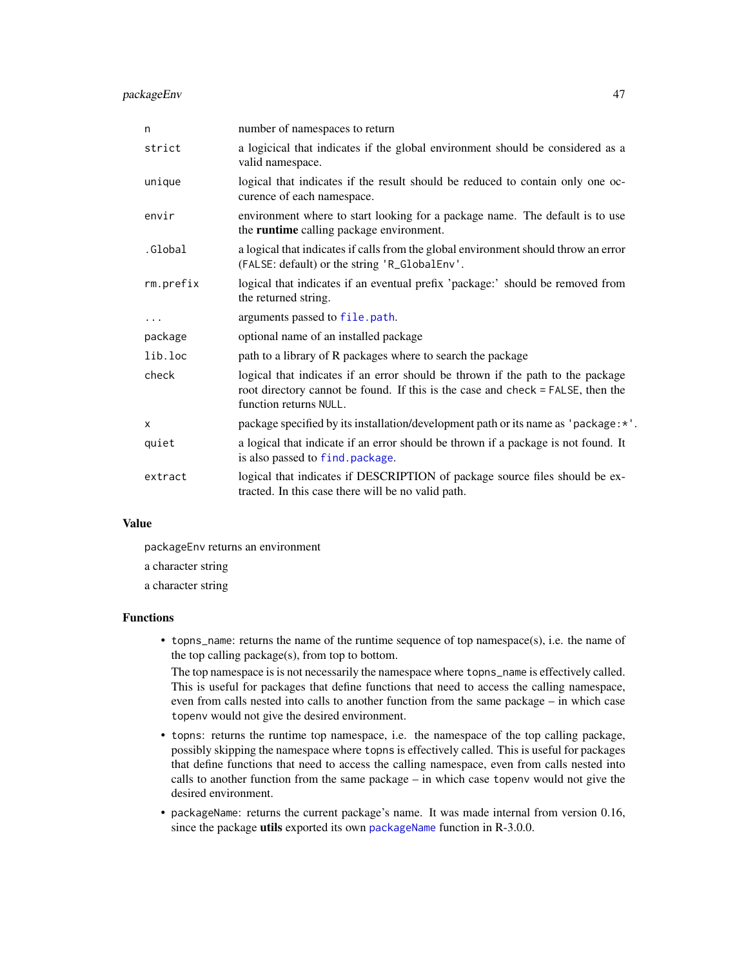#### packageEnv 47

| n         | number of namespaces to return                                                                                                                                                              |
|-----------|---------------------------------------------------------------------------------------------------------------------------------------------------------------------------------------------|
| strict    | a logicical that indicates if the global environment should be considered as a<br>valid namespace.                                                                                          |
| unique    | logical that indicates if the result should be reduced to contain only one oc-<br>curence of each namespace.                                                                                |
| envir     | environment where to start looking for a package name. The default is to use<br>the runtime calling package environment.                                                                    |
| .Global   | a logical that indicates if calls from the global environment should throw an error<br>(FALSE: default) or the string 'R_GlobalEnv'.                                                        |
| rm.prefix | logical that indicates if an eventual prefix 'package:' should be removed from<br>the returned string.                                                                                      |
| $\cdots$  | arguments passed to file.path.                                                                                                                                                              |
| package   | optional name of an installed package                                                                                                                                                       |
| lib.loc   | path to a library of R packages where to search the package                                                                                                                                 |
| check     | logical that indicates if an error should be thrown if the path to the package<br>root directory cannot be found. If this is the case and check = FALSE, then the<br>function returns NULL. |
| $\times$  | package specified by its installation/development path or its name as 'package: *'.                                                                                                         |
| quiet     | a logical that indicate if an error should be thrown if a package is not found. It<br>is also passed to find. package.                                                                      |
| extract   | logical that indicates if DESCRIPTION of package source files should be ex-<br>tracted. In this case there will be no valid path.                                                           |

# Value

packageEnv returns an environment

a character string

a character string

#### Functions

• topns\_name: returns the name of the runtime sequence of top namespace(s), i.e. the name of the top calling package(s), from top to bottom.

The top namespace is is not necessarily the namespace where topns\_name is effectively called. This is useful for packages that define functions that need to access the calling namespace, even from calls nested into calls to another function from the same package – in which case topenv would not give the desired environment.

- topns: returns the runtime top namespace, i.e. the namespace of the top calling package, possibly skipping the namespace where topns is effectively called. This is useful for packages that define functions that need to access the calling namespace, even from calls nested into calls to another function from the same package – in which case topenv would not give the desired environment.
- packageName: returns the current package's name. It was made internal from version 0.16, since the package utils exported its own [packageName](#page-45-0) function in R-3.0.0.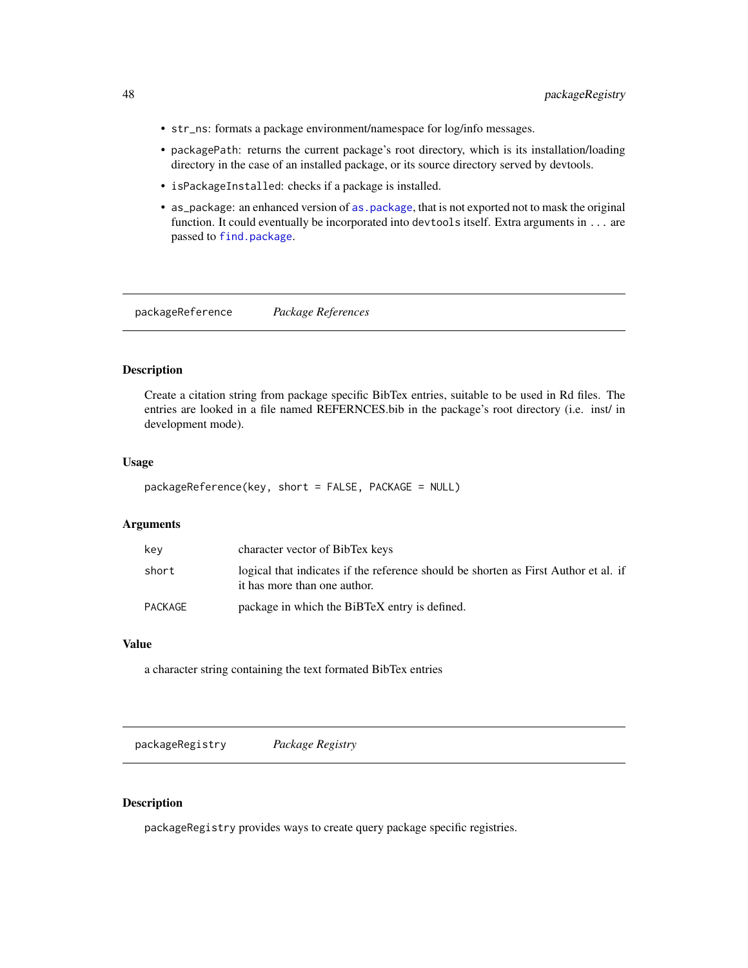- str\_ns: formats a package environment/namespace for log/info messages.
- packagePath: returns the current package's root directory, which is its installation/loading directory in the case of an installed package, or its source directory served by devtools.
- isPackageInstalled: checks if a package is installed.
- as\_package: an enhanced version of [as.package](#page-0-0), that is not exported not to mask the original function. It could eventually be incorporated into devtools itself. Extra arguments in ... are passed to [find.package](#page-0-0).

packageReference *Package References*

#### Description

Create a citation string from package specific BibTex entries, suitable to be used in Rd files. The entries are looked in a file named REFERNCES.bib in the package's root directory (i.e. inst/ in development mode).

#### Usage

```
packageReference(key, short = FALSE, PACKAGE = NULL)
```
#### Arguments

| key     | character vector of BibTex keys                                                                                     |
|---------|---------------------------------------------------------------------------------------------------------------------|
| short   | logical that indicates if the reference should be shorten as First Author et al. if<br>it has more than one author. |
| PACKAGE | package in which the BiBTeX entry is defined.                                                                       |

# Value

a character string containing the text formated BibTex entries

packageRegistry *Package Registry*

#### <span id="page-47-0"></span>Description

packageRegistry provides ways to create query package specific registries.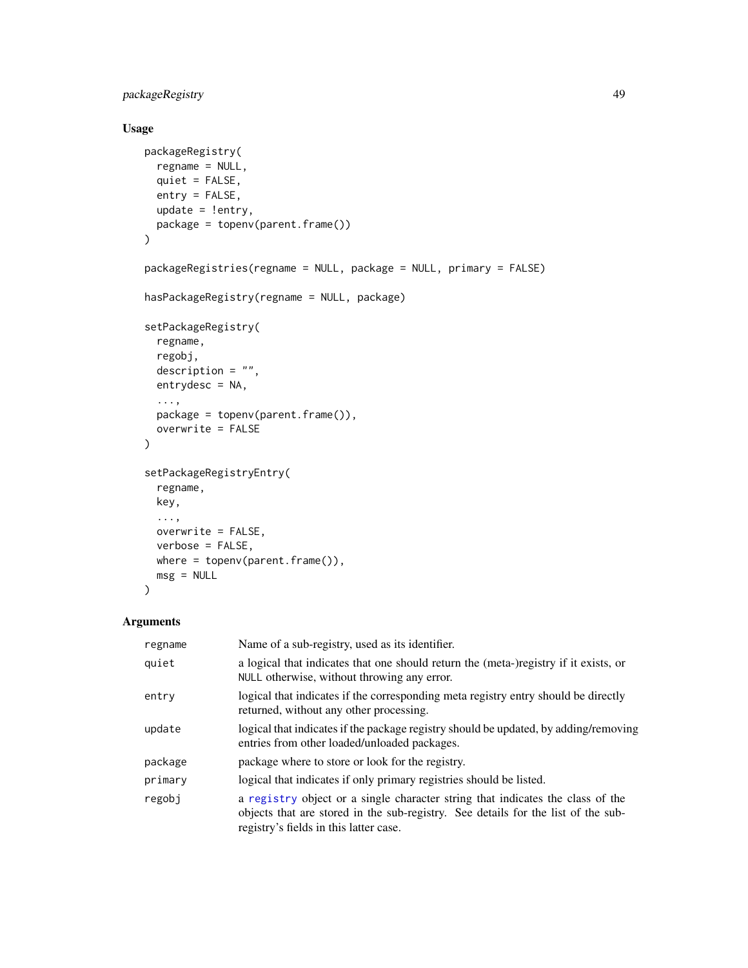# packageRegistry 49

#### Usage

```
packageRegistry(
  regname = NULL,
  quiet = FALSE,entry = FALSE,
  update = !entry,
 package = topenv(parent.frame())
)
packageRegistries(regname = NULL, package = NULL, primary = FALSE)
hasPackageRegistry(regname = NULL, package)
setPackageRegistry(
  regname,
  regobj,
  description = ",
  entrydesc = NA,
  ...,
 package = topenv(parent-frame()),
  overwrite = FALSE
\mathcal{L}setPackageRegistryEntry(
  regname,
  key,
  ...,
  overwrite = FALSE,
 verbose = FALSE,
 where = topenv(parent.frame()),
 msg = NULL
```
# ) Arguments

# regname Name of a sub-registry, used as its identifier. quiet a logical that indicates that one should return the (meta-)registry if it exists, or NULL otherwise, without throwing any error. entry logical that indicates if the corresponding meta registry entry should be directly returned, without any other processing. update logical that indicates if the package registry should be updated, by adding/removing entries from other loaded/unloaded packages. package package where to store or look for the registry. primary logical that indicates if only primary registries should be listed. regobj a [registry](#page-0-0) object or a single character string that indicates the class of the objects that are stored in the sub-registry. See details for the list of the subregistry's fields in this latter case.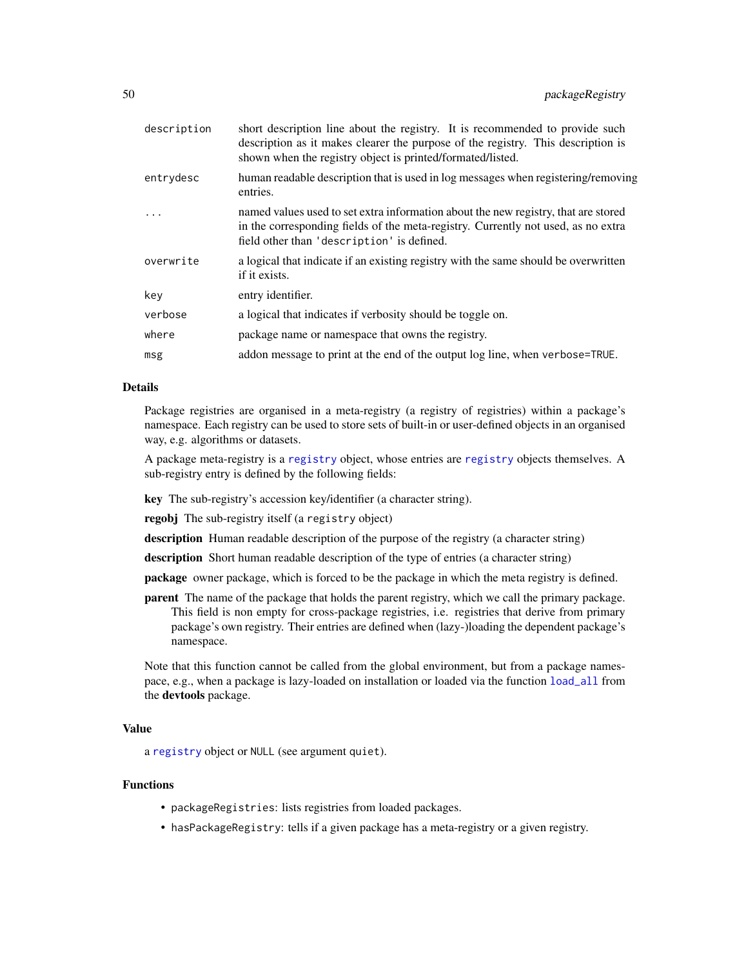| description | short description line about the registry. It is recommended to provide such<br>description as it makes clearer the purpose of the registry. This description is<br>shown when the registry object is printed/formated/listed. |
|-------------|--------------------------------------------------------------------------------------------------------------------------------------------------------------------------------------------------------------------------------|
| entrydesc   | human readable description that is used in log messages when registering/removing<br>entries.                                                                                                                                  |
|             | named values used to set extra information about the new registry, that are stored<br>in the corresponding fields of the meta-registry. Currently not used, as no extra<br>field other than 'description' is defined.          |
| overwrite   | a logical that indicate if an existing registry with the same should be overwritten<br>if it exists.                                                                                                                           |
| key         | entry identifier.                                                                                                                                                                                                              |
| verbose     | a logical that indicates if verbosity should be toggle on.                                                                                                                                                                     |
| where       | package name or namespace that owns the registry.                                                                                                                                                                              |
| msg         | addon message to print at the end of the output log line, when verbose=TRUE.                                                                                                                                                   |
|             |                                                                                                                                                                                                                                |

#### Details

Package registries are organised in a meta-registry (a registry of registries) within a package's namespace. Each registry can be used to store sets of built-in or user-defined objects in an organised way, e.g. algorithms or datasets.

A package meta-registry is a [registry](#page-0-0) object, whose entries are [registry](#page-0-0) objects themselves. A sub-registry entry is defined by the following fields:

key The sub-registry's accession key/identifier (a character string).

regobj The sub-registry itself (a registry object)

description Human readable description of the purpose of the registry (a character string)

description Short human readable description of the type of entries (a character string)

package owner package, which is forced to be the package in which the meta registry is defined.

parent The name of the package that holds the parent registry, which we call the primary package. This field is non empty for cross-package registries, i.e. registries that derive from primary package's own registry. Their entries are defined when (lazy-)loading the dependent package's namespace.

Note that this function cannot be called from the global environment, but from a package namespace, e.g., when a package is lazy-loaded on installation or loaded via the function [load\\_all](#page-0-0) from the devtools package.

#### Value

a [registry](#page-0-0) object or NULL (see argument quiet).

#### Functions

- packageRegistries: lists registries from loaded packages.
- hasPackageRegistry: tells if a given package has a meta-registry or a given registry.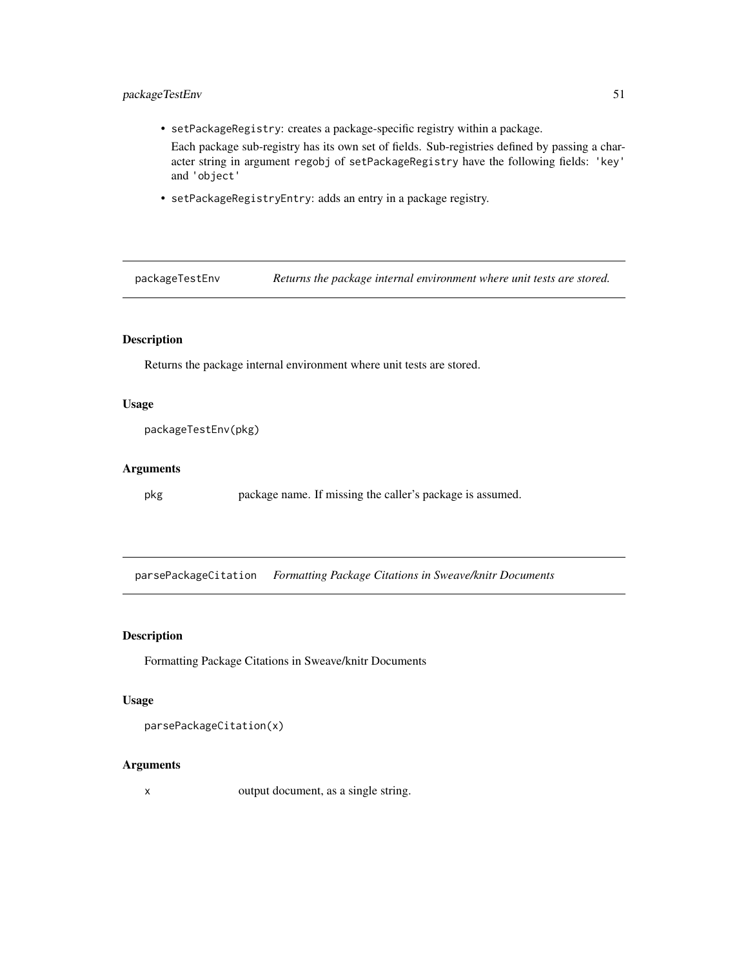# packageTestEnv 51

• setPackageRegistry: creates a package-specific registry within a package.

Each package sub-registry has its own set of fields. Sub-registries defined by passing a character string in argument regobj of setPackageRegistry have the following fields: 'key' and 'object'

• setPackageRegistryEntry: adds an entry in a package registry.

packageTestEnv *Returns the package internal environment where unit tests are stored.*

# Description

Returns the package internal environment where unit tests are stored.

#### Usage

packageTestEnv(pkg)

#### Arguments

pkg package name. If missing the caller's package is assumed.

parsePackageCitation *Formatting Package Citations in Sweave/knitr Documents*

#### Description

Formatting Package Citations in Sweave/knitr Documents

#### Usage

parsePackageCitation(x)

#### Arguments

x output document, as a single string.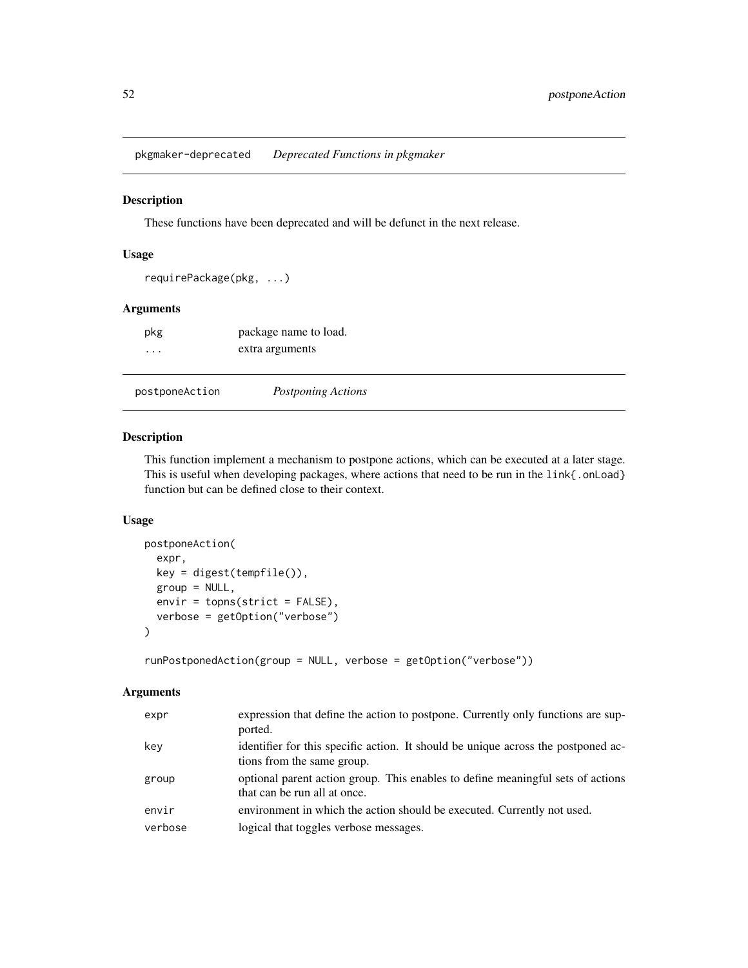pkgmaker-deprecated *Deprecated Functions in pkgmaker*

#### Description

These functions have been deprecated and will be defunct in the next release.

# Usage

```
requirePackage(pkg, ...)
```
# Arguments

| pkg      | package name to load. |
|----------|-----------------------|
| $\cdots$ | extra arguments       |

| postponeAction | Postponing Actions |
|----------------|--------------------|

#### Description

This function implement a mechanism to postpone actions, which can be executed at a later stage. This is useful when developing packages, where actions that need to be run in the link{.onLoad} function but can be defined close to their context.

# Usage

```
postponeAction(
  expr,
 key = digest(tempfile()),
  group = NULL,envir = topns(strict = FALSE),
  verbose = getOption("verbose")
\mathcal{E}
```
runPostponedAction(group = NULL, verbose = getOption("verbose"))

| expr    | expression that define the action to postpone. Currently only functions are sup-<br>ported.                     |
|---------|-----------------------------------------------------------------------------------------------------------------|
| kev     | identifier for this specific action. It should be unique across the postponed ac-<br>tions from the same group. |
| group   | optional parent action group. This enables to define meaningful sets of actions<br>that can be run all at once. |
| envir   | environment in which the action should be executed. Currently not used.                                         |
| verbose | logical that toggles verbose messages.                                                                          |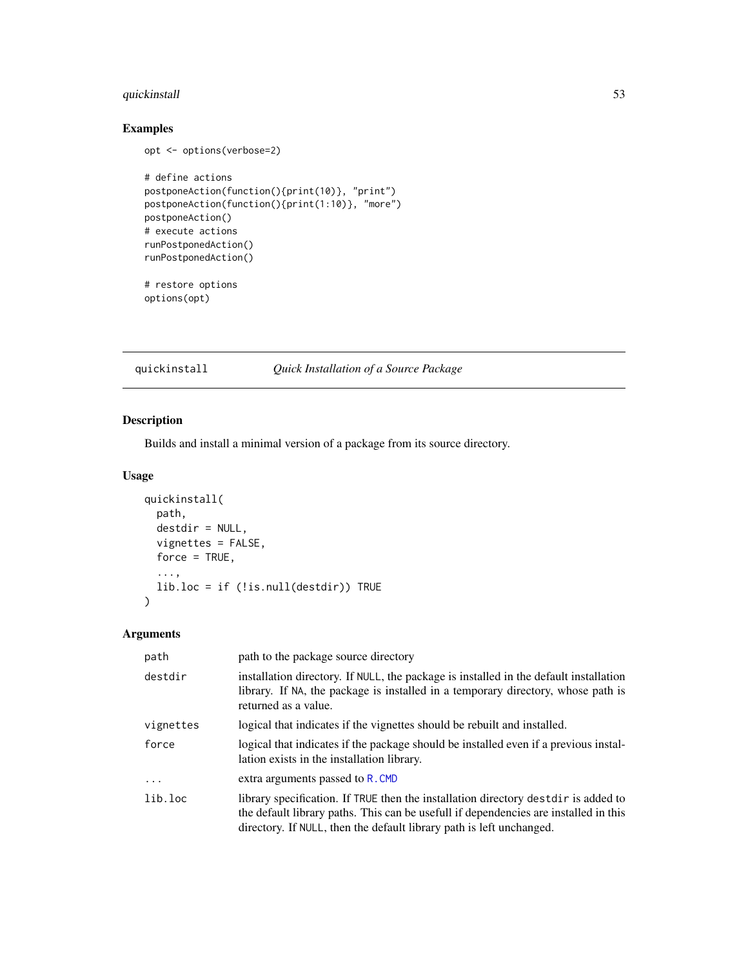# quickinstall 53

# Examples

```
opt <- options(verbose=2)
# define actions
postponeAction(function(){print(10)}, "print")
postponeAction(function(){print(1:10)}, "more")
postponeAction()
# execute actions
runPostponedAction()
runPostponedAction()
# restore options
options(opt)
```
quickinstall *Quick Installation of a Source Package*

# Description

Builds and install a minimal version of a package from its source directory.

#### Usage

```
quickinstall(
 path,
  destdir = NULL,
 vignettes = FALSE,
  force = TRUE,
  ...,
  lib.loc = if (!is.null(destdir)) TRUE
)
```

| path      | path to the package source directory                                                                                                                                                                                                                |
|-----------|-----------------------------------------------------------------------------------------------------------------------------------------------------------------------------------------------------------------------------------------------------|
| destdir   | installation directory. If NULL, the package is installed in the default installation<br>library. If NA, the package is installed in a temporary directory, whose path is<br>returned as a value.                                                   |
| vignettes | logical that indicates if the vignettes should be rebuilt and installed.                                                                                                                                                                            |
| force     | logical that indicates if the package should be installed even if a previous instal-<br>lation exists in the installation library.                                                                                                                  |
| $\ddots$  | extra arguments passed to R. CMD                                                                                                                                                                                                                    |
| lib.loc   | library specification. If TRUE then the installation directory destight is added to<br>the default library paths. This can be usefull if dependencies are installed in this<br>directory. If NULL, then the default library path is left unchanged. |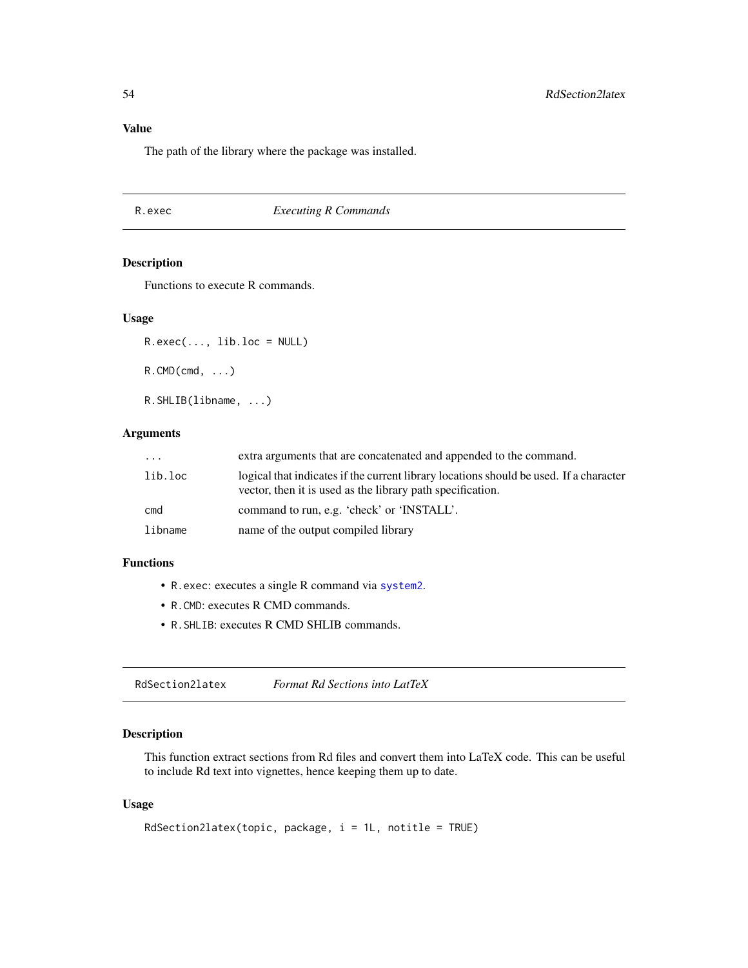# Value

The path of the library where the package was installed.

R.exec *Executing R Commands*

#### <span id="page-53-0"></span>Description

Functions to execute R commands.

#### Usage

 $R.exec(..., lib.loc = NULL)$  $R.$  CMD (cmd,  $\ldots$ ) R.SHLIB(libname, ...)

#### Arguments

| $\cdot$ $\cdot$ $\cdot$ | extra arguments that are concatenated and appended to the command.                                                                                   |
|-------------------------|------------------------------------------------------------------------------------------------------------------------------------------------------|
| lib.loc                 | logical that indicates if the current library locations should be used. If a character<br>vector, then it is used as the library path specification. |
| cmd                     | command to run, e.g. 'check' or 'INSTALL'.                                                                                                           |
| libname                 | name of the output compiled library                                                                                                                  |

#### Functions

- R.exec: executes a single R command via [system2](#page-0-0).
- R.CMD: executes R CMD commands.
- R.SHLIB: executes R CMD SHLIB commands.

RdSection2latex *Format Rd Sections into LatTeX*

#### Description

This function extract sections from Rd files and convert them into LaTeX code. This can be useful to include Rd text into vignettes, hence keeping them up to date.

#### Usage

```
RdSection2latex(topic, package, i = 1L, notitle = TRUE)
```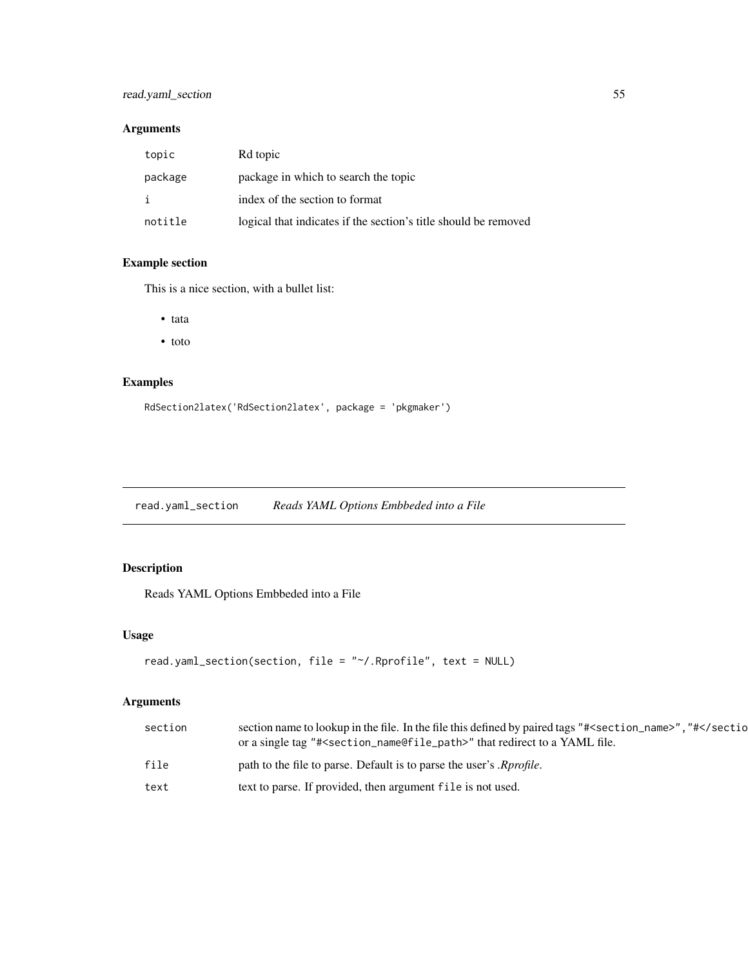# read.yaml\_section 55

# Arguments

| topic   | Rd topic                                                        |
|---------|-----------------------------------------------------------------|
| package | package in which to search the topic                            |
| j.      | index of the section to format                                  |
| notitle | logical that indicates if the section's title should be removed |

# Example section

This is a nice section, with a bullet list:

- tata
- toto

# Examples

```
RdSection2latex('RdSection2latex', package = 'pkgmaker')
```
<span id="page-54-0"></span>read.yaml\_section *Reads YAML Options Embbeded into a File*

# Description

Reads YAML Options Embbeded into a File

#### Usage

```
read.yaml_section(section, file = "~/.Rprofile", text = NULL)
```

| section | section name to lookup in the file. In the file this defined by paired tags "# <section_name>", "#or a single tag "#<section_name@file_path>" that redirect to a YAML file.</section_name@file_path></section_name> |
|---------|---------------------------------------------------------------------------------------------------------------------------------------------------------------------------------------------------------------------|
| file    | path to the file to parse. Default is to parse the user's <i>Rprofile</i> .                                                                                                                                         |
| text    | text to parse. If provided, then argument file is not used.                                                                                                                                                         |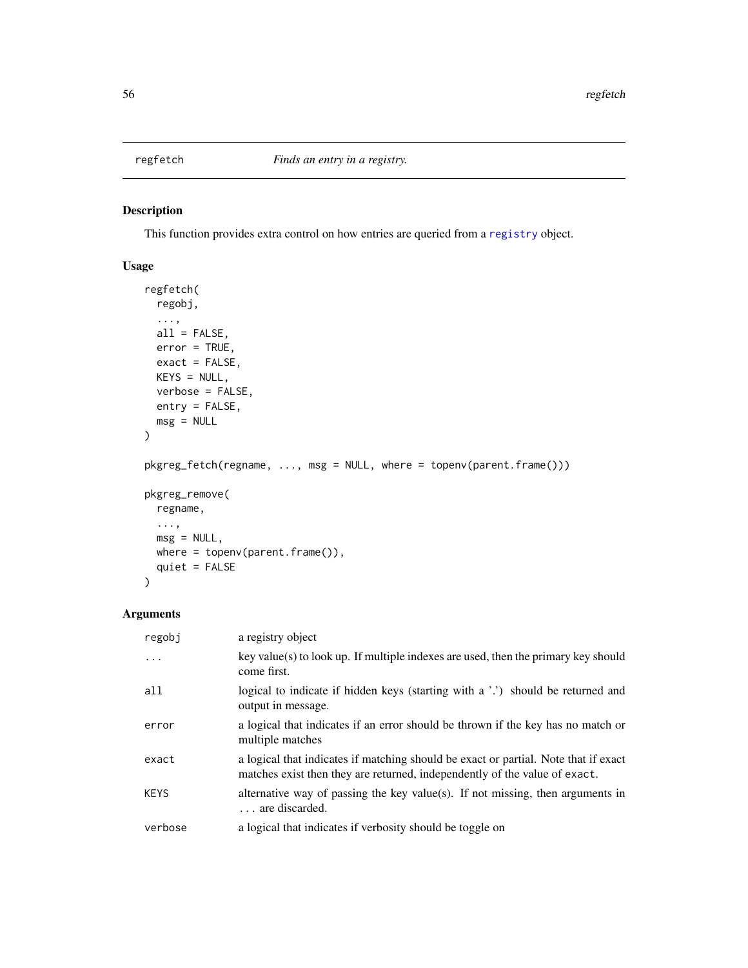# <span id="page-55-0"></span>Description

This function provides extra control on how entries are queried from a [registry](#page-0-0) object.

# Usage

```
regfetch(
 regobj,
  ...,
 all = FALSE,error = TRUE,
 exact = FALSE,KEYS = NULL,verbose = FALSE,
 entry = FALSE,
 msg = NULL
\mathcal{L}pkgreg_fetch(regname, ..., msg = NULL, where = topenv(parent.frame()))
pkgreg_remove(
  regname,
 ...,
 msg = NULL,where = topenv(parent.frame()),
  quiet = FALSE
```
)

| regobi      | a registry object                                                                                                                                                 |
|-------------|-------------------------------------------------------------------------------------------------------------------------------------------------------------------|
| $\ddots$ .  | $key$ value(s) to look up. If multiple indexes are used, then the primary key should<br>come first.                                                               |
| all         | logical to indicate if hidden keys (starting with a '.') should be returned and<br>output in message.                                                             |
| error       | a logical that indicates if an error should be thrown if the key has no match or<br>multiple matches                                                              |
| exact       | a logical that indicates if matching should be exact or partial. Note that if exact<br>matches exist then they are returned, independently of the value of exact. |
| <b>KEYS</b> | alternative way of passing the key value(s). If not missing, then arguments in<br>are discarded.                                                                  |
| verbose     | a logical that indicates if verbosity should be toggle on                                                                                                         |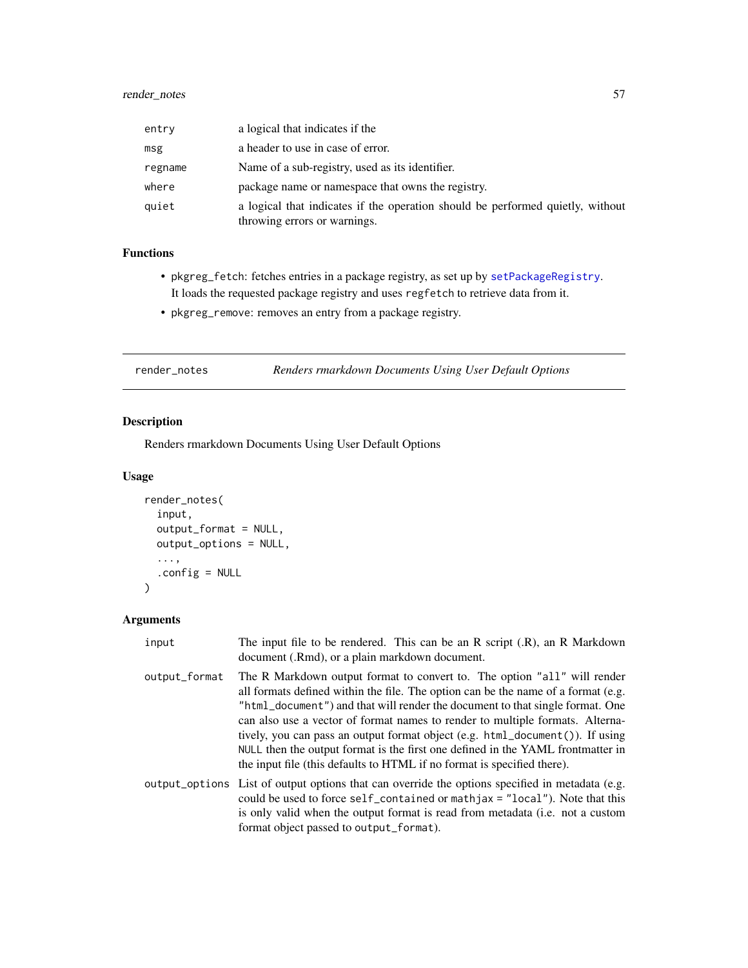| entry   | a logical that indicates if the                                                                                |
|---------|----------------------------------------------------------------------------------------------------------------|
| msg     | a header to use in case of error.                                                                              |
| regname | Name of a sub-registry, used as its identifier.                                                                |
| where   | package name or namespace that owns the registry.                                                              |
| quiet   | a logical that indicates if the operation should be performed quietly, without<br>throwing errors or warnings. |

#### Functions

- pkgreg\_fetch: fetches entries in a package registry, as set up by [setPackageRegistry](#page-47-0). It loads the requested package registry and uses regfetch to retrieve data from it.
- pkgreg\_remove: removes an entry from a package registry.

render\_notes *Renders rmarkdown Documents Using User Default Options*

# Description

Renders rmarkdown Documents Using User Default Options

#### Usage

```
render_notes(
  input,
  output_format = NULL,
 output_options = NULL,
  ...,
  .config = NULL
)
```

| input         | The input file to be rendered. This can be an $R$ script $(R)$ , an $R$ Markdown<br>document (.Rmd), or a plain markdown document.                                                                                                                                                                                                                                                                                                                                                                                                                                                        |
|---------------|-------------------------------------------------------------------------------------------------------------------------------------------------------------------------------------------------------------------------------------------------------------------------------------------------------------------------------------------------------------------------------------------------------------------------------------------------------------------------------------------------------------------------------------------------------------------------------------------|
| output_format | The R Markdown output format to convert to. The option "all" will render<br>all formats defined within the file. The option can be the name of a format (e.g.<br>"html_document") and that will render the document to that single format. One<br>can also use a vector of format names to render to multiple formats. Alterna-<br>tively, you can pass an output format object $(e.g. \text{html\_document}()$ ). If using<br>NULL then the output format is the first one defined in the YAML frontmatter in<br>the input file (this defaults to HTML if no format is specified there). |
|               | output_options List of output options that can override the options specified in metadata (e.g.<br>could be used to force $self_{\text{contained}}$ or mathjax = "local"). Note that this<br>is only valid when the output format is read from metadata (i.e. not a custom<br>format object passed to output_format).                                                                                                                                                                                                                                                                     |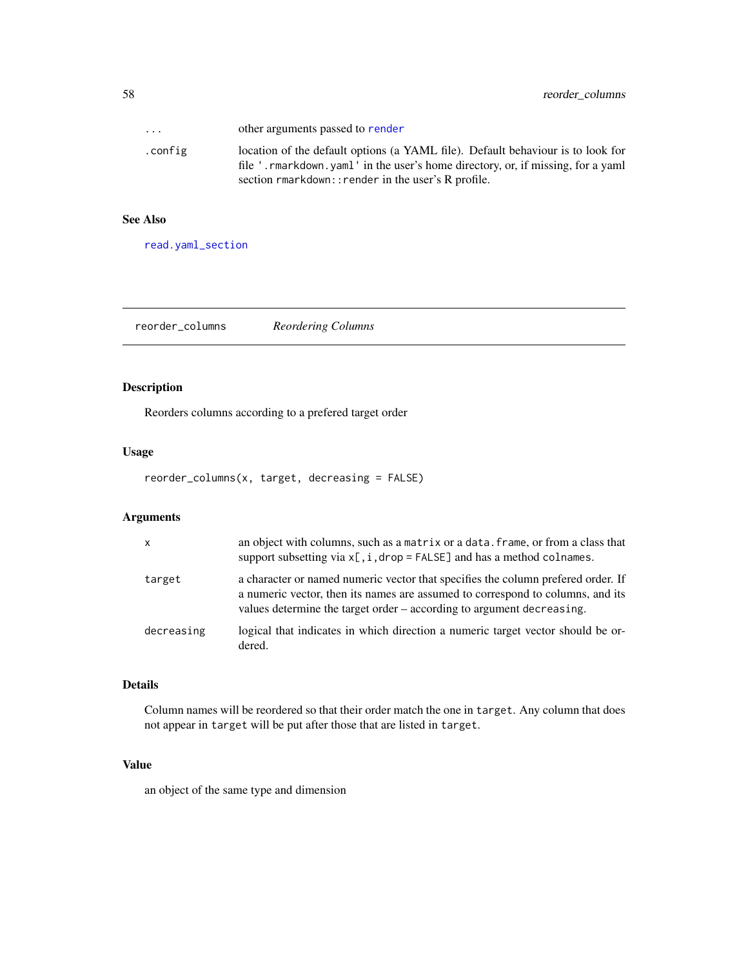| $\cdots$ | other arguments passed to render                                                                                                                                   |
|----------|--------------------------------------------------------------------------------------------------------------------------------------------------------------------|
| .config  | location of the default options (a YAML file). Default behaviour is to look for<br>file '.rmarkdown.yaml' in the user's home directory, or, if missing, for a yaml |
|          | section rmarkdown:: render in the user's R profile.                                                                                                                |

#### See Also

[read.yaml\\_section](#page-54-0)

reorder\_columns *Reordering Columns*

# Description

Reorders columns according to a prefered target order

#### Usage

reorder\_columns(x, target, decreasing = FALSE)

# Arguments

| $\mathsf{x}$ | an object with columns, such as a matrix or a data. frame, or from a class that<br>support subsetting via $x$ [, i, drop = FALSE] and has a method colnames.                                                                                |
|--------------|---------------------------------------------------------------------------------------------------------------------------------------------------------------------------------------------------------------------------------------------|
| target       | a character or named numeric vector that specifies the column prefered order. If<br>a numeric vector, then its names are assumed to correspond to columns, and its<br>values determine the target order – according to argument decreasing. |
| decreasing   | logical that indicates in which direction a numeric target vector should be or-<br>dered.                                                                                                                                                   |

#### Details

Column names will be reordered so that their order match the one in target. Any column that does not appear in target will be put after those that are listed in target.

#### Value

an object of the same type and dimension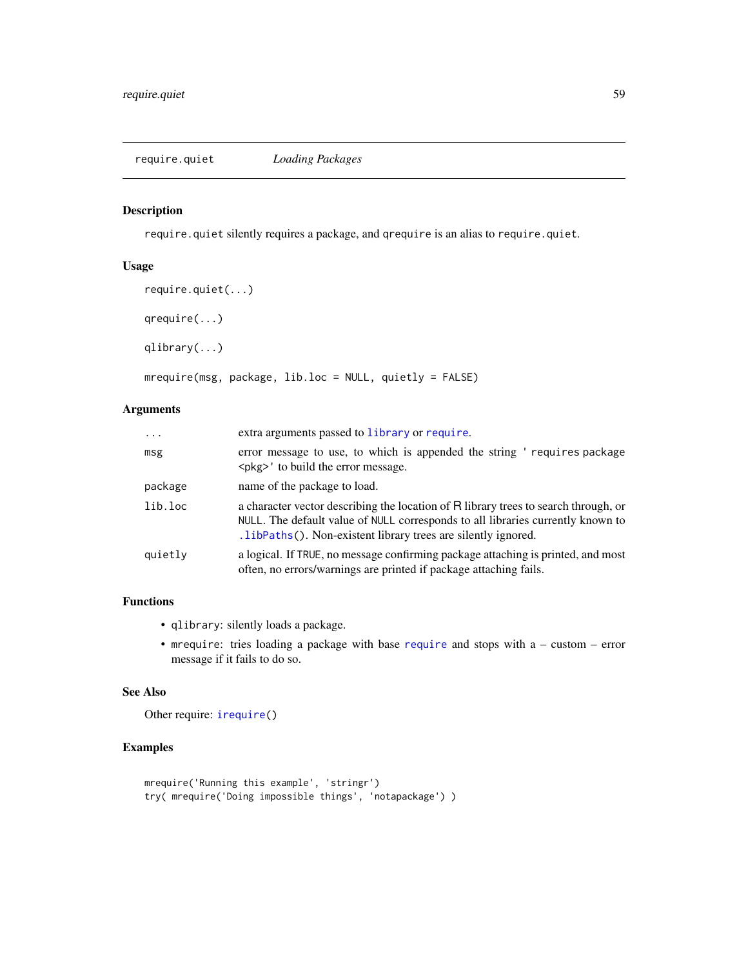#### Description

require.quiet silently requires a package, and qrequire is an alias to require.quiet.

#### Usage

```
require.quiet(...)
qrequire(...)
qlibrary(...)
mrequire(msg, package, lib.loc = NULL, quietly = FALSE)
```
# Arguments

| $\cdot$ | extra arguments passed to library or require.                                                                                                                                                                                           |  |
|---------|-----------------------------------------------------------------------------------------------------------------------------------------------------------------------------------------------------------------------------------------|--|
| msg     | error message to use, to which is appended the string 'requires package<br><pkg>' to build the error message.</pkg>                                                                                                                     |  |
| package | name of the package to load.                                                                                                                                                                                                            |  |
| lib.loc | a character vector describing the location of R library trees to search through, or<br>NULL. The default value of NULL corresponds to all libraries currently known to<br>.1ibPaths(). Non-existent library trees are silently ignored. |  |
| quietly | a logical. If TRUE, no message confirming package attaching is printed, and most<br>often, no errors/warnings are printed if package attaching fails.                                                                                   |  |

# Functions

- qlibrary: silently loads a package.
- mrequire: tries loading a package with base [require](#page-0-0) and stops with a custom error message if it fails to do so.

# See Also

Other require: [irequire\(](#page-22-0))

# Examples

```
mrequire('Running this example', 'stringr')
try( mrequire('Doing impossible things', 'notapackage') )
```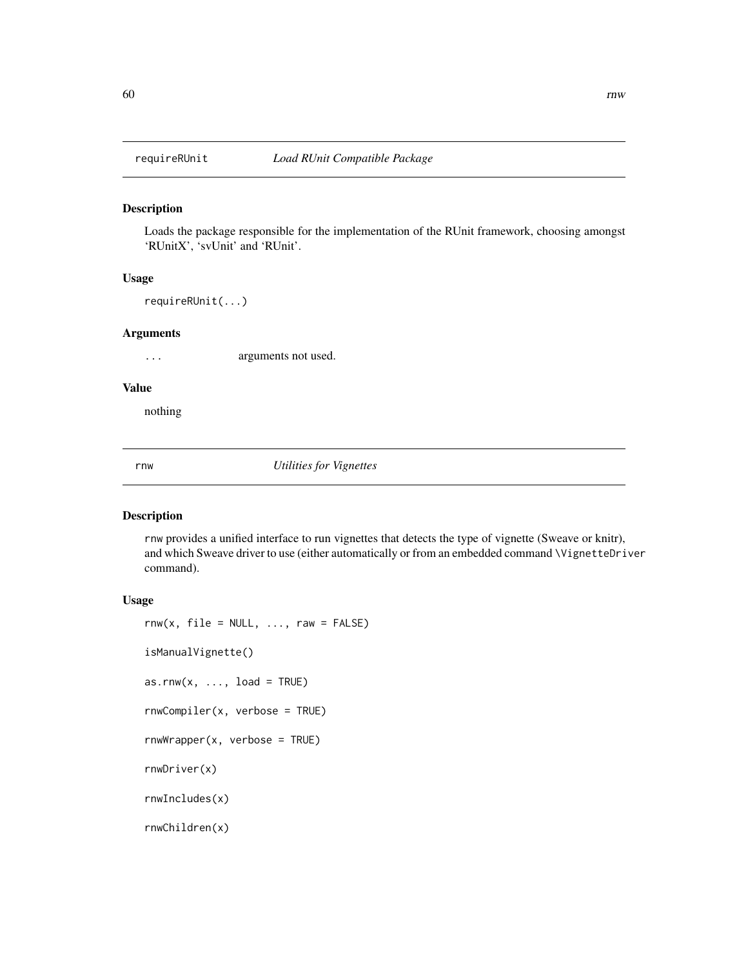#### Description

Loads the package responsible for the implementation of the RUnit framework, choosing amongst 'RUnitX', 'svUnit' and 'RUnit'.

#### Usage

requireRUnit(...)

#### Arguments

... arguments not used.

#### Value

nothing

rnw *Utilities for Vignettes*

# Description

rnw provides a unified interface to run vignettes that detects the type of vignette (Sweave or knitr), and which Sweave driver to use (either automatically or from an embedded command \VignetteDriver command).

#### Usage

```
rnw(x, file = NULL, ..., raw = FALSE)isManualVignette()
as.rnw(x, \ldots, \text{load} = \text{TRUE})rnwCompiler(x, verbose = TRUE)
rnwWrapper(x, verbose = TRUE)
rnwDriver(x)
rnwIncludes(x)
rnwChildren(x)
```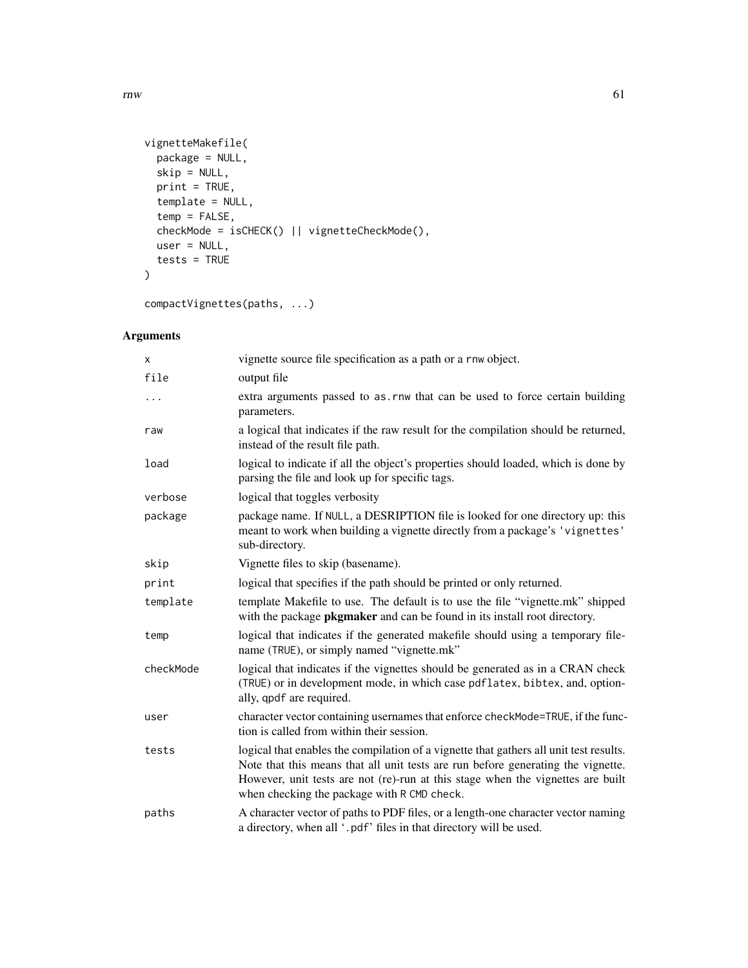```
vignetteMakefile(
 package = NULL,
 skip = NULL,
 print = TRUE,
 template = NULL,
 temp = FALSE,
 checkMode = isCHECK() || vignetteCheckMode(),
 user = NULL,
  tests = TRUE
\mathcal{L}
```
compactVignettes(paths, ...)

# Arguments

| X         | vignette source file specification as a path or a rnw object.                                                                                                                                                                                                                                                |  |
|-----------|--------------------------------------------------------------------------------------------------------------------------------------------------------------------------------------------------------------------------------------------------------------------------------------------------------------|--|
| file      | output file                                                                                                                                                                                                                                                                                                  |  |
| .         | extra arguments passed to as .rnw that can be used to force certain building<br>parameters.                                                                                                                                                                                                                  |  |
| raw       | a logical that indicates if the raw result for the compilation should be returned,<br>instead of the result file path.                                                                                                                                                                                       |  |
| load      | logical to indicate if all the object's properties should loaded, which is done by<br>parsing the file and look up for specific tags.                                                                                                                                                                        |  |
| verbose   | logical that toggles verbosity                                                                                                                                                                                                                                                                               |  |
| package   | package name. If NULL, a DESRIPTION file is looked for one directory up: this<br>meant to work when building a vignette directly from a package's 'vignettes'<br>sub-directory.                                                                                                                              |  |
| skip      | Vignette files to skip (basename).                                                                                                                                                                                                                                                                           |  |
| print     | logical that specifies if the path should be printed or only returned.                                                                                                                                                                                                                                       |  |
| template  | template Makefile to use. The default is to use the file "vignette.mk" shipped<br>with the package <b>pkgmaker</b> and can be found in its install root directory.                                                                                                                                           |  |
| temp      | logical that indicates if the generated makefile should using a temporary file-<br>name (TRUE), or simply named "vignette.mk"                                                                                                                                                                                |  |
| checkMode | logical that indicates if the vignettes should be generated as in a CRAN check<br>(TRUE) or in development mode, in which case pdflatex, bibtex, and, option-<br>ally, qpdf are required.                                                                                                                    |  |
| user      | character vector containing usernames that enforce checkMode=TRUE, if the func-<br>tion is called from within their session.                                                                                                                                                                                 |  |
| tests     | logical that enables the compilation of a vignette that gathers all unit test results.<br>Note that this means that all unit tests are run before generating the vignette.<br>However, unit tests are not (re)-run at this stage when the vignettes are built<br>when checking the package with R CMD check. |  |
| paths     | A character vector of paths to PDF files, or a length-one character vector naming<br>a directory, when all '.pdf' files in that directory will be used.                                                                                                                                                      |  |

 $r_{\rm{mw}}$  61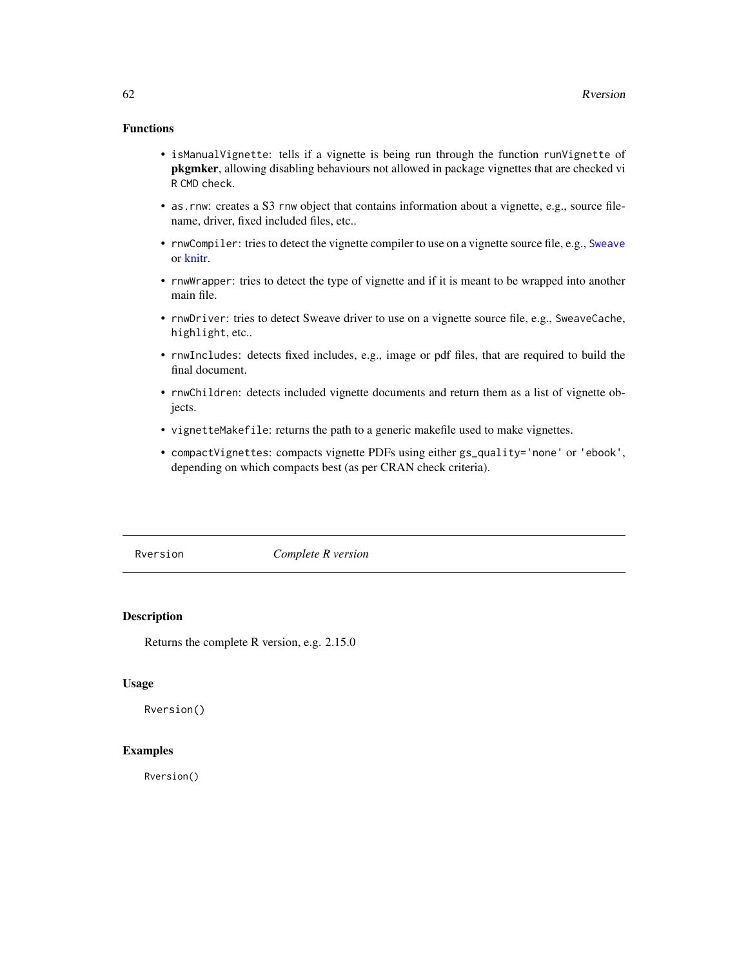# Functions

- isManualVignette: tells if a vignette is being run through the function runVignette of pkgmker, allowing disabling behaviours not allowed in package vignettes that are checked vi R CMD check.
- as.rnw: creates a S3 rnw object that contains information about a vignette, e.g., source filename, driver, fixed included files, etc..
- rnwCompiler: tries to detect the vignette compiler to use on a vignette source file, e.g., [Sweave](#page-0-0) or [knitr.](#page-0-0)
- rnwWrapper: tries to detect the type of vignette and if it is meant to be wrapped into another main file.
- rnwDriver: tries to detect Sweave driver to use on a vignette source file, e.g., SweaveCache, highlight, etc..
- rnwIncludes: detects fixed includes, e.g., image or pdf files, that are required to build the final document.
- rnwChildren: detects included vignette documents and return them as a list of vignette objects.
- vignetteMakefile: returns the path to a generic makefile used to make vignettes.
- compactVignettes: compacts vignette PDFs using either gs\_quality='none' or 'ebook', depending on which compacts best (as per CRAN check criteria).

Rversion *Complete R version*

#### Description

Returns the complete R version, e.g. 2.15.0

#### Usage

Rversion()

#### Examples

Rversion()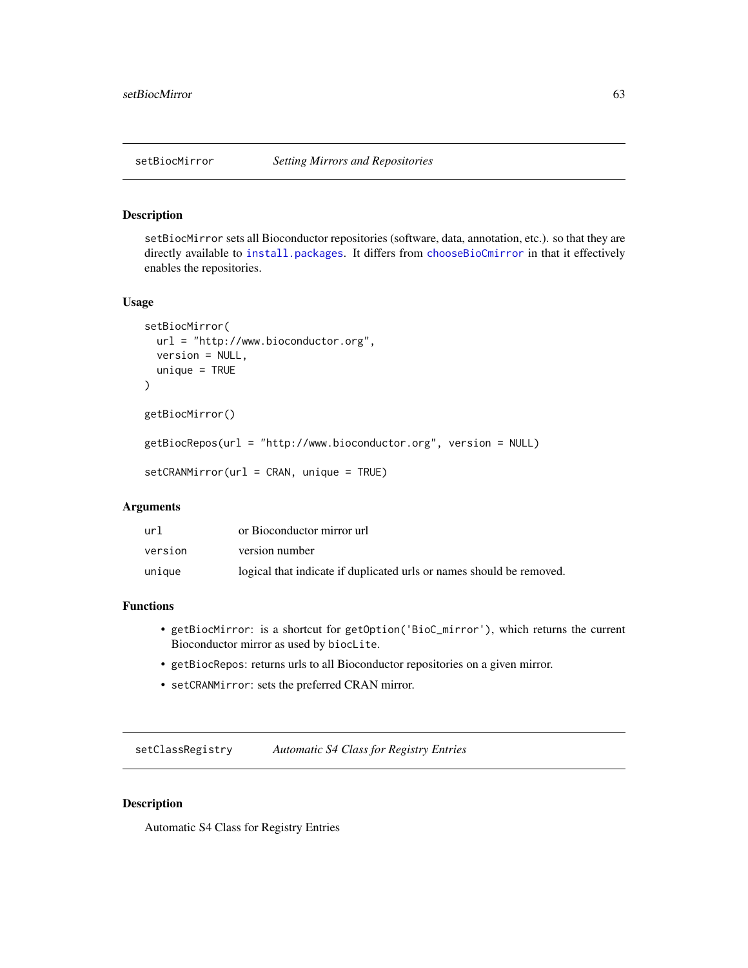# Description

setBiocMirror sets all Bioconductor repositories (software, data, annotation, etc.). so that they are directly available to [install.packages](#page-0-0). It differs from [chooseBioCmirror](#page-0-0) in that it effectively enables the repositories.

#### Usage

```
setBiocMirror(
 url = "http://www.bioconductor.org",
 version = NULL,
 unique = TRUE
)
getBiocMirror()
getBiocRepos(url = "http://www.bioconductor.org", version = NULL)
setCRANMirror(url = CRAN, unique = TRUE)
```
#### Arguments

| url     | or Bioconductor mirror url                                           |
|---------|----------------------------------------------------------------------|
| version | version number                                                       |
| unique  | logical that indicate if duplicated urls or names should be removed. |

# Functions

- getBiocMirror: is a shortcut for getOption('BioC\_mirror'), which returns the current Bioconductor mirror as used by biocLite.
- getBiocRepos: returns urls to all Bioconductor repositories on a given mirror.
- setCRANMirror: sets the preferred CRAN mirror.

setClassRegistry *Automatic S4 Class for Registry Entries*

#### Description

Automatic S4 Class for Registry Entries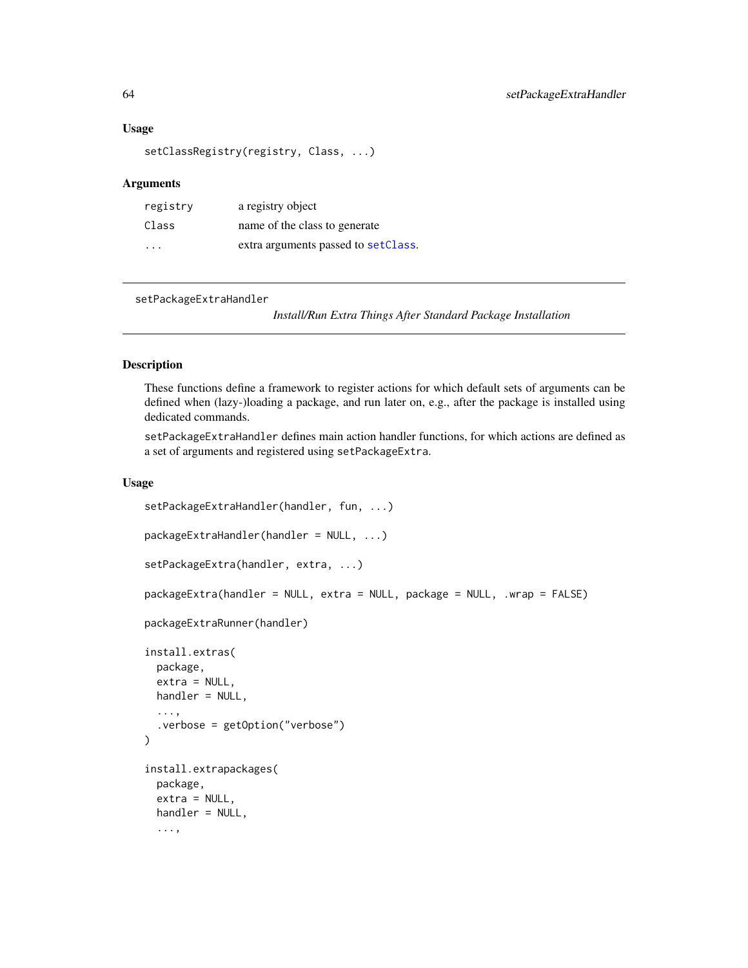#### Usage

```
setClassRegistry(registry, Class, ...)
```
#### Arguments

| registry | a registry object                    |
|----------|--------------------------------------|
| Class    | name of the class to generate        |
| .        | extra arguments passed to set Class. |

```
setPackageExtraHandler
```
*Install/Run Extra Things After Standard Package Installation*

#### Description

These functions define a framework to register actions for which default sets of arguments can be defined when (lazy-)loading a package, and run later on, e.g., after the package is installed using dedicated commands.

setPackageExtraHandler defines main action handler functions, for which actions are defined as a set of arguments and registered using setPackageExtra.

#### Usage

```
setPackageExtraHandler(handler, fun, ...)
packageExtraHandler(handler = NULL, ...)
setPackageExtra(handler, extra, ...)
packageExtra(handler = NULL, extra = NULL, package = NULL, .wrap = FALSE)
packageExtraRunner(handler)
install.extras(
 package,
 extra = NULL,
 handler = NULL,
  ...,
  .verbose = getOption("verbose")
\mathcal{L}install.extrapackages(
 package,
  extra = NULL,handler = NULL,
  ...,
```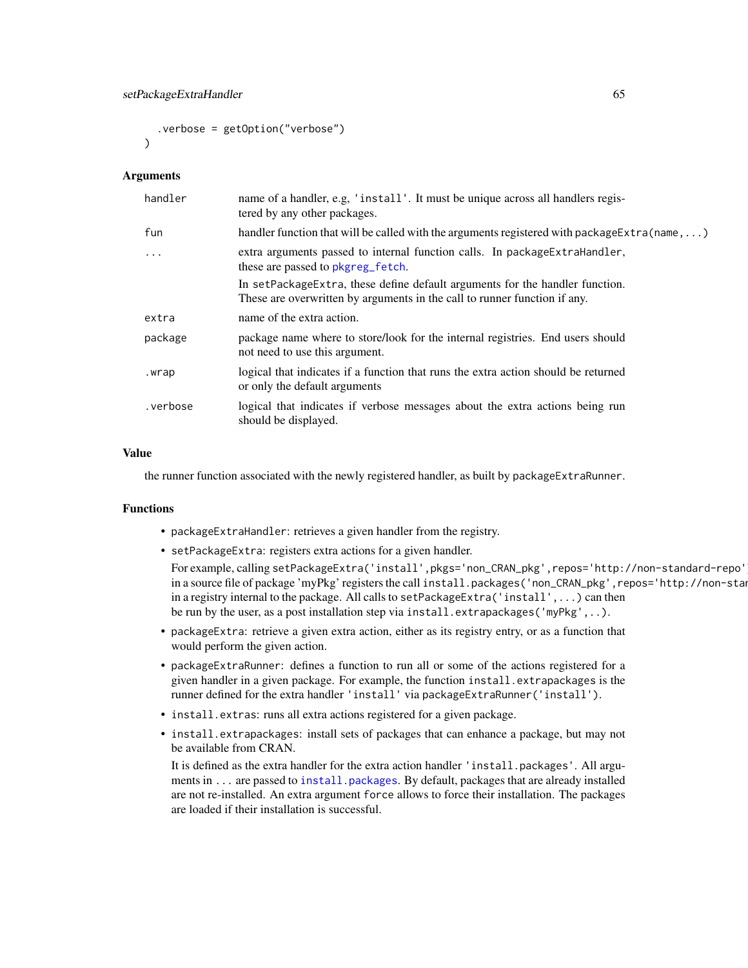```
.verbose = getOption("verbose")
\lambda
```
#### Arguments

| handler    | name of a handler, e.g. 'install'. It must be unique across all handlers regis-<br>tered by any other packages.                                           |
|------------|-----------------------------------------------------------------------------------------------------------------------------------------------------------|
| fun        | handler function that will be called with the arguments registered with package $Extra(name, )$                                                           |
| $\ddots$ . | extra arguments passed to internal function calls. In package Extra Handler,<br>these are passed to pkgreg_fetch.                                         |
|            | In setPackageExtra, these define default arguments for the handler function.<br>These are overwritten by arguments in the call to runner function if any. |
| extra      | name of the extra action.                                                                                                                                 |
| package    | package name where to store/look for the internal registries. End users should<br>not need to use this argument.                                          |
| .wrap      | logical that indicates if a function that runs the extra action should be returned<br>or only the default arguments                                       |
| .verbose   | logical that indicates if verbose messages about the extra actions being run<br>should be displayed.                                                      |

#### Value

the runner function associated with the newly registered handler, as built by packageExtraRunner.

#### Functions

- packageExtraHandler: retrieves a given handler from the registry.
- setPackageExtra: registers extra actions for a given handler.

For example, calling setPackageExtra('install',pkgs='non\_CRAN\_pkg',repos='http://non-standard-repo') in a source file of package 'myPkg' registers the call install.packages('non\_CRAN\_pkg',repos='http://non-stan in a registry internal to the package. All calls to setPackageExtra('install',...) can then be run by the user, as a post installation step via install.extrapackages('myPkg',..).

- packageExtra: retrieve a given extra action, either as its registry entry, or as a function that would perform the given action.
- packageExtraRunner: defines a function to run all or some of the actions registered for a given handler in a given package. For example, the function install.extrapackages is the runner defined for the extra handler 'install' via packageExtraRunner('install').
- install.extras: runs all extra actions registered for a given package.
- install.extrapackages: install sets of packages that can enhance a package, but may not be available from CRAN.

It is defined as the extra handler for the extra action handler 'install.packages'. All arguments in ... are passed to [install.packages](#page-0-0). By default, packages that are already installed are not re-installed. An extra argument force allows to force their installation. The packages are loaded if their installation is successful.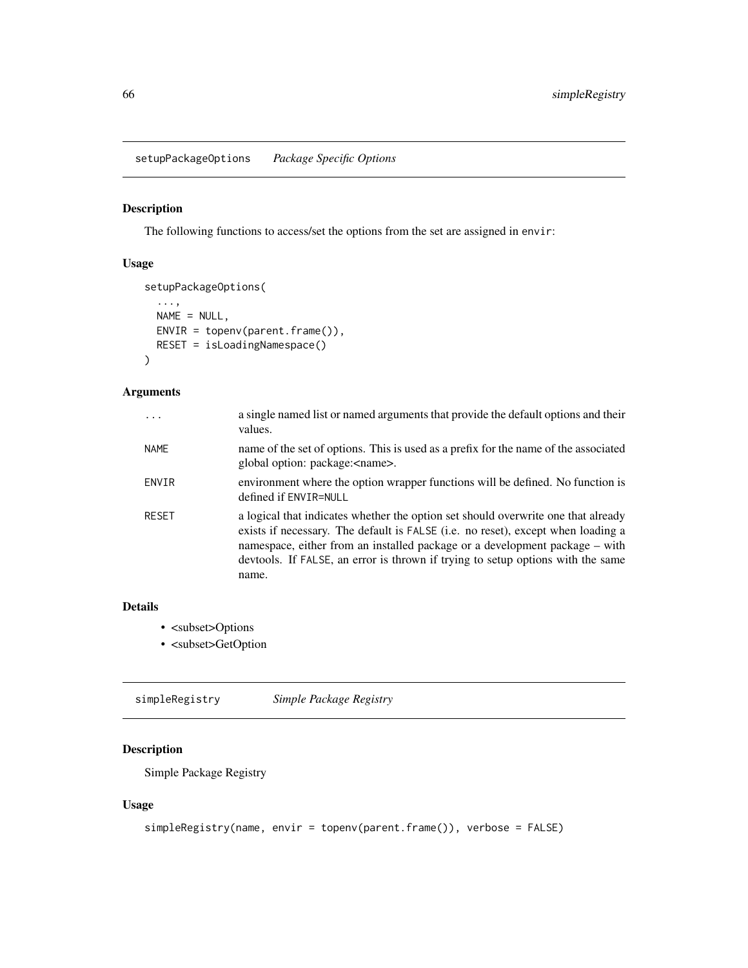<span id="page-65-0"></span>setupPackageOptions *Package Specific Options*

# Description

The following functions to access/set the options from the set are assigned in envir:

# Usage

```
setupPackageOptions(
  ...,
 NAME = NULL,
 ENVIR = topenv(parent-frame(),RESET = isLoadingNamespace()
)
```
#### Arguments

| $\ddotsc$    | a single named list or named arguments that provide the default options and their<br>values.                                                                                                                                                                                                                                                     |
|--------------|--------------------------------------------------------------------------------------------------------------------------------------------------------------------------------------------------------------------------------------------------------------------------------------------------------------------------------------------------|
| <b>NAME</b>  | name of the set of options. This is used as a prefix for the name of the associated<br>global option: package: <name>.</name>                                                                                                                                                                                                                    |
| ENVIR        | environment where the option wrapper functions will be defined. No function is<br>defined if ENVIR=NULL                                                                                                                                                                                                                                          |
| <b>RESET</b> | a logical that indicates whether the option set should overwrite one that already<br>exists if necessary. The default is FALSE (i.e. no reset), except when loading a<br>namespace, either from an installed package or a development package – with<br>devtools. If FALSE, an error is thrown if trying to setup options with the same<br>name. |

# Details

- <subset>Options
- <subset>GetOption

simpleRegistry *Simple Package Registry*

# Description

Simple Package Registry

# Usage

```
simpleRegistry(name, envir = topenv(parent.frame()), verbose = FALSE)
```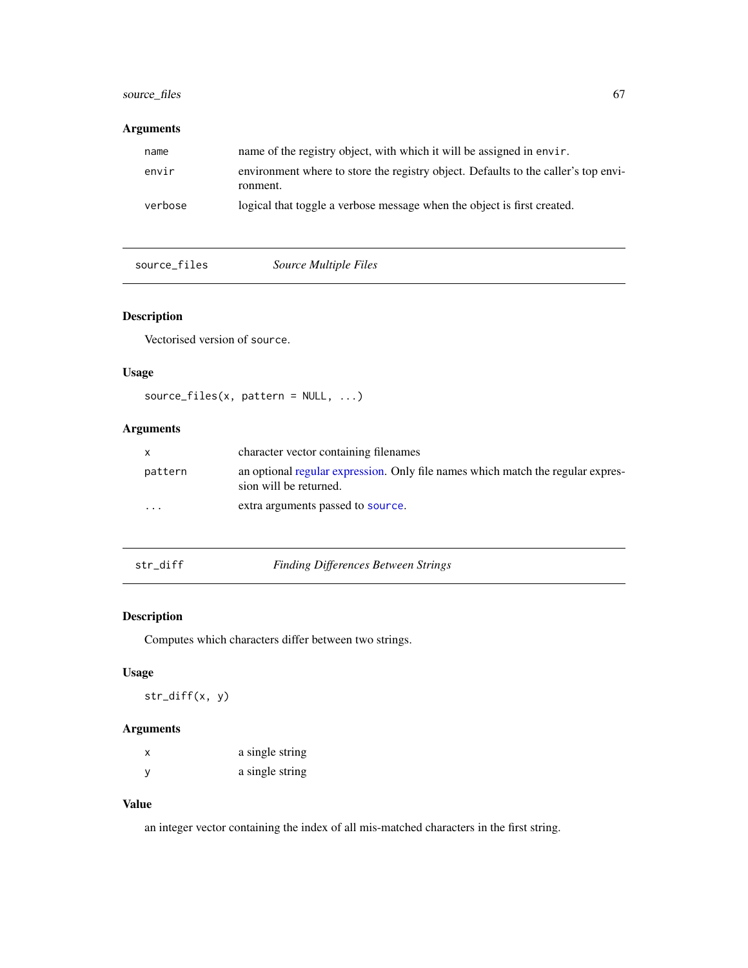# source\_files 67

# Arguments

| name    | name of the registry object, with which it will be assigned in envir.                          |  |
|---------|------------------------------------------------------------------------------------------------|--|
| envir   | environment where to store the registry object. Defaults to the caller's top envi-<br>ronment. |  |
| verbose | logical that toggle a verbose message when the object is first created.                        |  |

source\_files *Source Multiple Files*

# Description

Vectorised version of source.

# Usage

source\_files(x, pattern = NULL, ...)

# Arguments

| $\mathsf{x}$ | character vector containing filenames                                                                     |
|--------------|-----------------------------------------------------------------------------------------------------------|
| pattern      | an optional regular expression. Only file names which match the regular expres-<br>sion will be returned. |
| .            | extra arguments passed to source.                                                                         |

# str\_diff *Finding Differences Between Strings*

# Description

Computes which characters differ between two strings.

# Usage

str\_diff(x, y)

# Arguments

| X            | a single string |
|--------------|-----------------|
| <sub>V</sub> | a single string |

# Value

an integer vector containing the index of all mis-matched characters in the first string.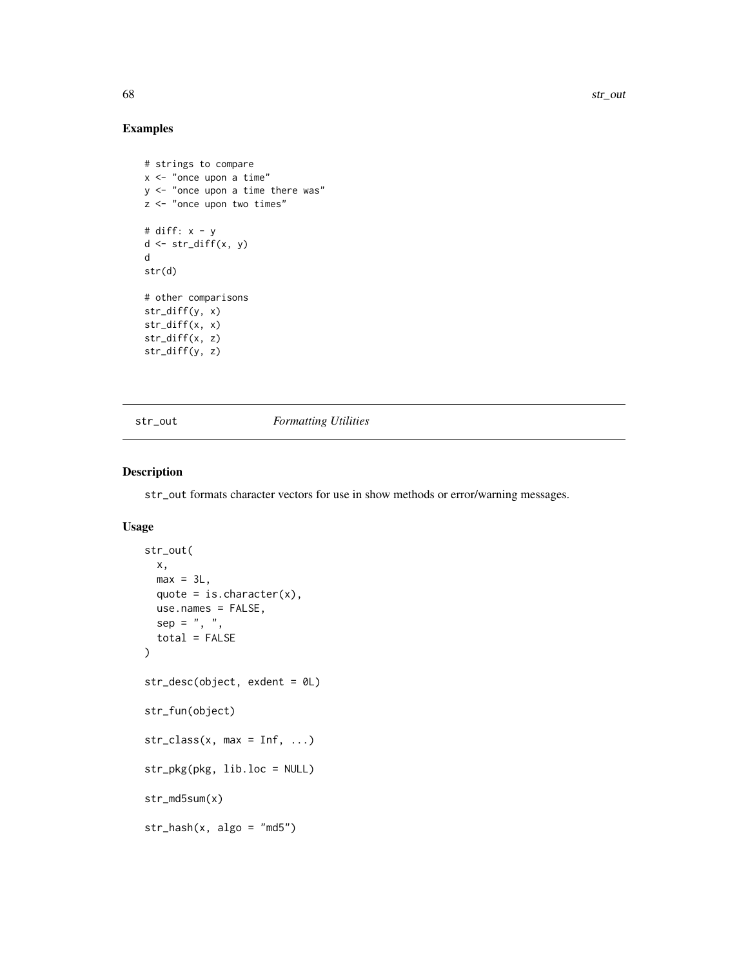68 str\_out and the strategies of the strategies of the strategies of the strategies of the strategies of the strategies of the strategies of the strategies of the strategies of the strategies of the strategies of the strat

# Examples

```
# strings to compare
x <- "once upon a time"
y <- "once upon a time there was"
z <- "once upon two times"
# diff: x - y
d \leftarrow str\_diff(x, y)d
str(d)
# other comparisons
str_diff(y, x)
str_diff(x, x)
str_diff(x, z)
str_diff(y, z)
```
str\_out *Formatting Utilities*

# Description

str\_out formats character vectors for use in show methods or error/warning messages.

#### Usage

```
str_out(
 x,
 max = 3L,
 quote = is.character(x),
 use.names = FALSE,
 sep = ", ",
  total = FALSE
\mathcal{E}str_desc(object, exdent = 0L)
str_fun(object)
str\_class(x, max = Inf, ...)str_pkg(pkg, lib.loc = NULL)
str_md5sum(x)
str\_hash(x, algo = "md5")
```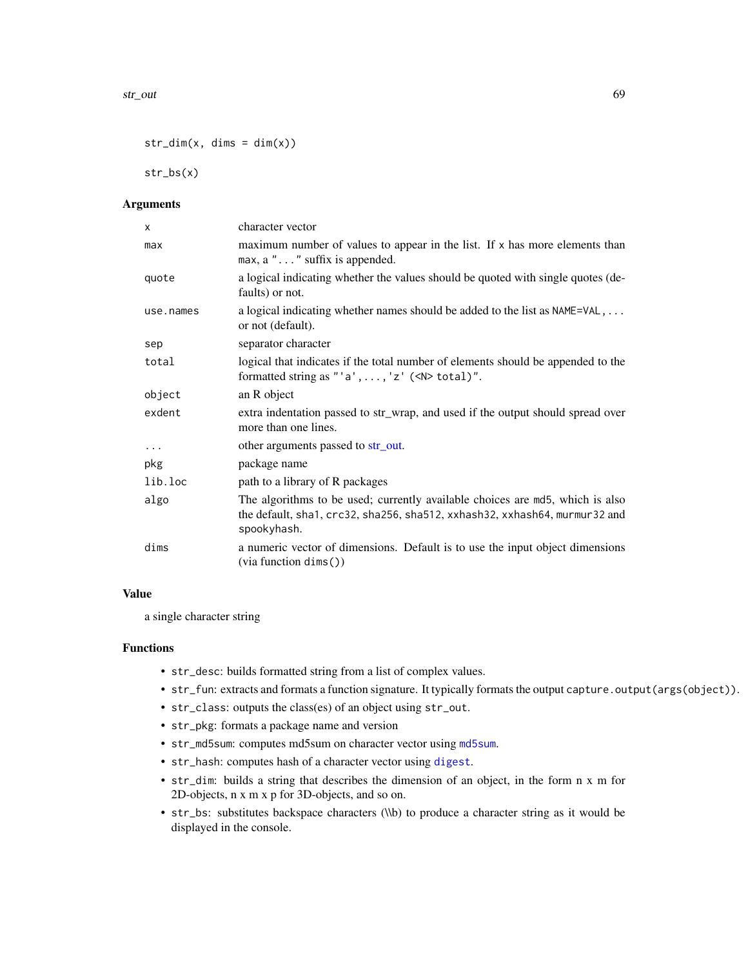$str\_dim(x, \text{ dims } = \text{ dim}(x))$ 

str\_bs(x)

#### Arguments

| X         | character vector                                                                                                                                                           |
|-----------|----------------------------------------------------------------------------------------------------------------------------------------------------------------------------|
| max       | maximum number of values to appear in the list. If x has more elements than<br>$max, a$ "" suffix is appended.                                                             |
| quote     | a logical indicating whether the values should be quoted with single quotes (de-<br>faults) or not.                                                                        |
| use.names | a logical indicating whether names should be added to the list as NAME=VAL,<br>or not (default).                                                                           |
| sep       | separator character                                                                                                                                                        |
| total     | logical that indicates if the total number of elements should be appended to the<br>formatted string as "'a', , 'z' $(\langle N \rangle \text{ total})$ ".                 |
| object    | an R object                                                                                                                                                                |
| exdent    | extra indentation passed to str_wrap, and used if the output should spread over<br>more than one lines.                                                                    |
| $\cdots$  | other arguments passed to str_out.                                                                                                                                         |
| pkg       | package name                                                                                                                                                               |
| lib.loc   | path to a library of R packages                                                                                                                                            |
| algo      | The algorithms to be used; currently available choices are md5, which is also<br>the default, sha1, crc32, sha256, sha512, xxhash32, xxhash64, murmur32 and<br>spookyhash. |
| dims      | a numeric vector of dimensions. Default is to use the input object dimensions<br>(via function dims())                                                                     |

#### Value

a single character string

#### Functions

- str\_desc: builds formatted string from a list of complex values.
- str\_fun: extracts and formats a function signature. It typically formats the output capture.output(args(object)).
- str\_class: outputs the class(es) of an object using str\_out.
- str\_pkg: formats a package name and version
- str\_md5sum: computes md5sum on character vector using [md5sum](#page-0-0).
- str\_hash: computes hash of a character vector using [digest](#page-0-0).
- str\_dim: builds a string that describes the dimension of an object, in the form n x m for 2D-objects, n x m x p for 3D-objects, and so on.
- str\_bs: substitutes backspace characters (\\b) to produce a character string as it would be displayed in the console.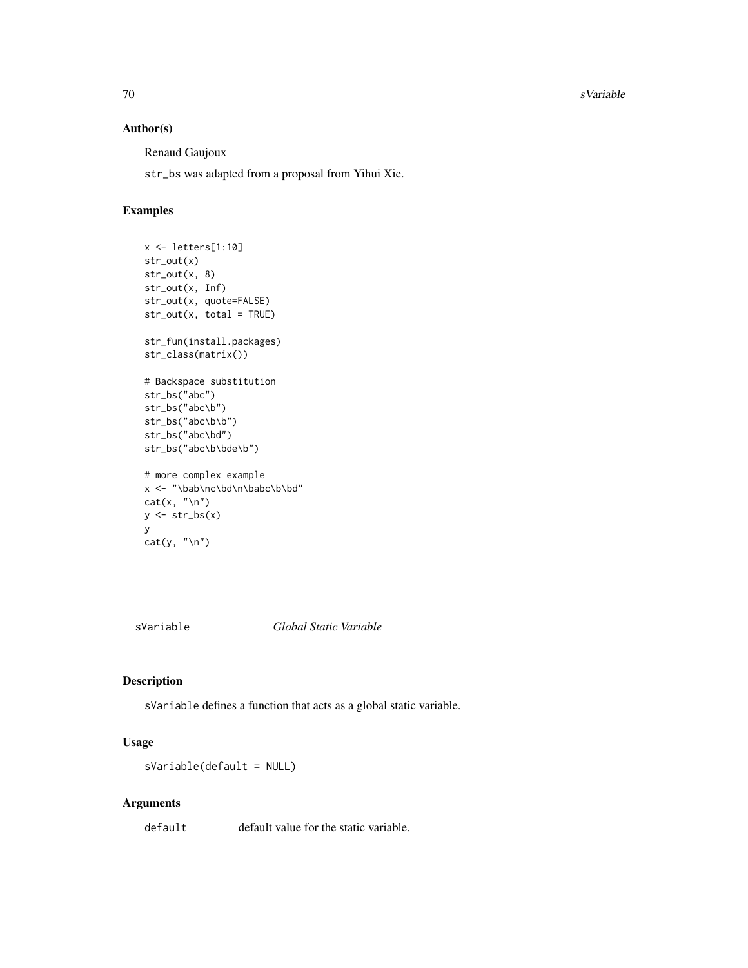70 svariable states of the state of the state of the state state state state state state state state state state state state state state state state state state state state state state state state state state state state s

#### Author(s)

Renaud Gaujoux

str\_bs was adapted from a proposal from Yihui Xie.

# Examples

```
x <- letters[1:10]
str_out(x)
str_out(x, 8)
str_out(x, Inf)
str_out(x, quote=FALSE)
str_out(x, total = TRUE)
str_fun(install.packages)
str_class(matrix())
# Backspace substitution
str_bs("abc")
str_bs("abc\b")
str_bs("abc\b\b")
str_bs("abc\bd")
str_bs("abc\b\bde\b")
# more complex example
x <- "\bab\nc\bd\n\babc\b\bd"
cat(x, "\\n")y \leftarrow str\_bs(x)y
cat(y, "\\n")
```
sVariable *Global Static Variable*

#### Description

sVariable defines a function that acts as a global static variable.

#### Usage

```
sVariable(default = NULL)
```
#### Arguments

default default value for the static variable.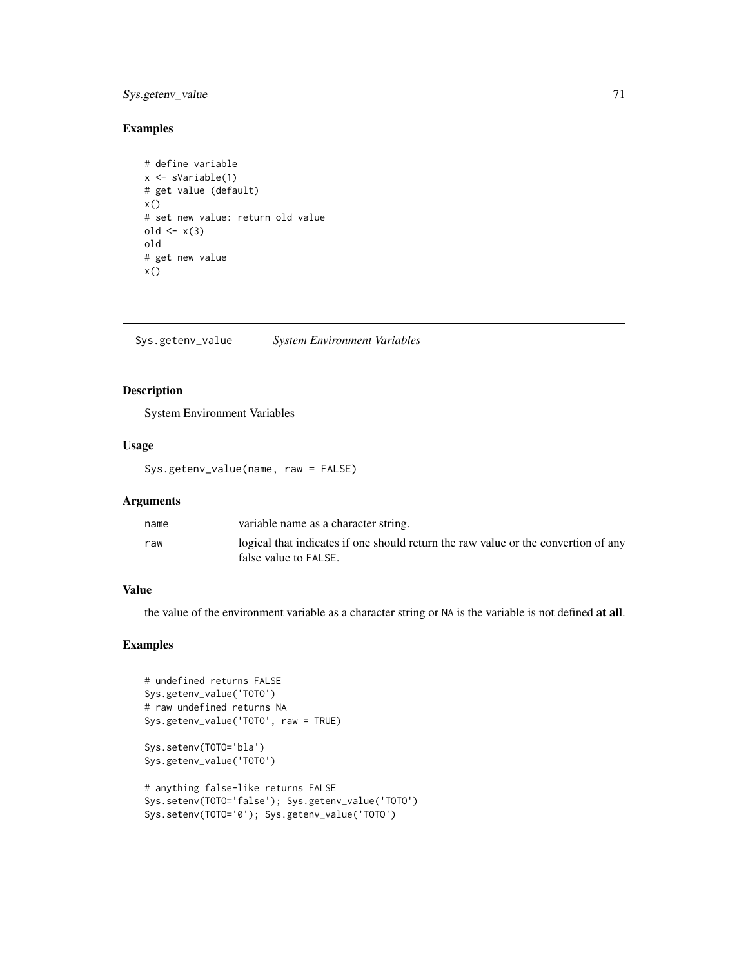# Sys.getenv\_value 71

#### Examples

```
# define variable
x <- sVariable(1)
# get value (default)
x()# set new value: return old value
old \leftarrow x(3)old
# get new value
x()
```
Sys.getenv\_value *System Environment Variables*

# Description

System Environment Variables

#### Usage

Sys.getenv\_value(name, raw = FALSE)

# Arguments

| name | variable name as a character string.                                                                        |
|------|-------------------------------------------------------------------------------------------------------------|
| raw  | logical that indicates if one should return the raw value or the convertion of any<br>false value to FALSE. |

#### Value

the value of the environment variable as a character string or NA is the variable is not defined at all.

# Examples

```
# undefined returns FALSE
Sys.getenv_value('TOTO')
# raw undefined returns NA
Sys.getenv_value('TOTO', raw = TRUE)
Sys.setenv(TOTO='bla')
Sys.getenv_value('TOTO')
# anything false-like returns FALSE
Sys.setenv(TOTO='false'); Sys.getenv_value('TOTO')
Sys.setenv(TOTO='0'); Sys.getenv_value('TOTO')
```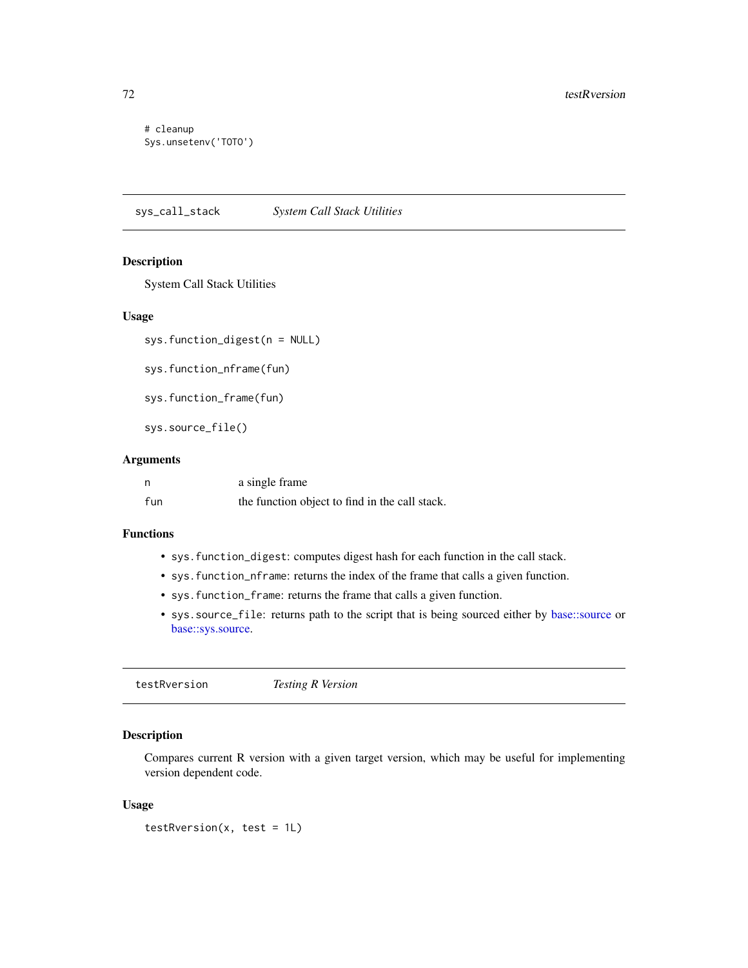# cleanup Sys.unsetenv('TOTO')

sys\_call\_stack *System Call Stack Utilities*

# Description

System Call Stack Utilities

#### Usage

sys.function\_digest(n = NULL)

sys.function\_nframe(fun)

sys.function\_frame(fun)

sys.source\_file()

#### Arguments

| n   | a single frame                                 |
|-----|------------------------------------------------|
| fun | the function object to find in the call stack. |

#### Functions

- sys.function\_digest: computes digest hash for each function in the call stack.
- sys.function\_nframe: returns the index of the frame that calls a given function.
- sys.function\_frame: returns the frame that calls a given function.
- sys.source\_file: returns path to the script that is being sourced either by [base::source](#page-0-0) or [base::sys.source.](#page-0-0)

testRversion *Testing R Version*

#### Description

Compares current R version with a given target version, which may be useful for implementing version dependent code.

#### Usage

```
testRversion(x, test = 1L)
```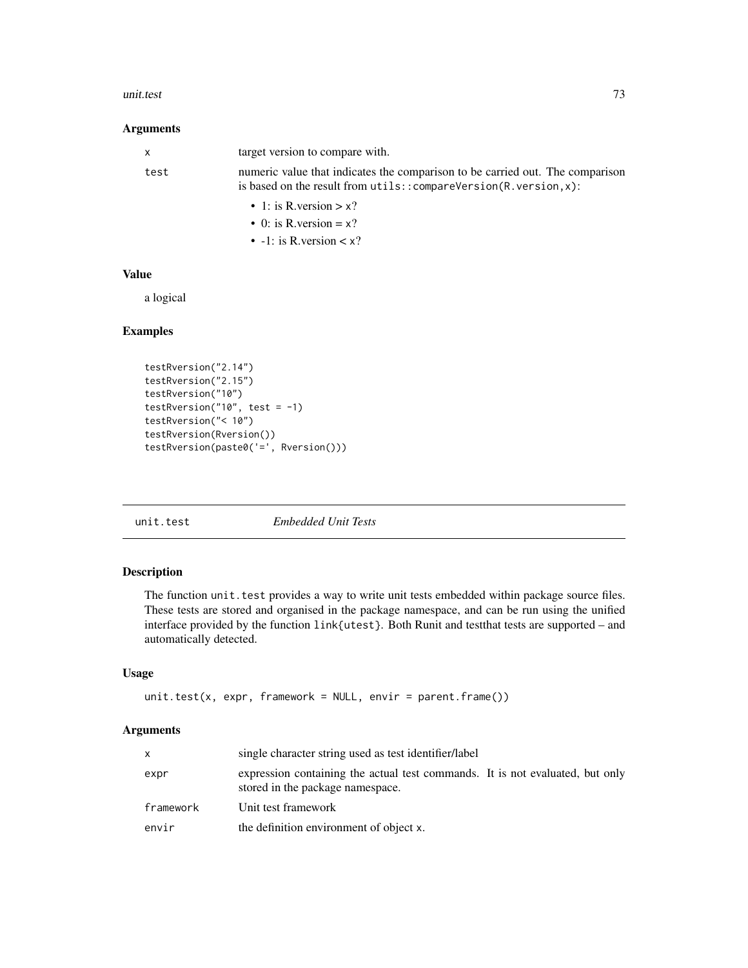#### <span id="page-72-0"></span>unit.test 73

## Arguments

| $\mathbf{x}$ | target version to compare with.                                                                                                                          |
|--------------|----------------------------------------------------------------------------------------------------------------------------------------------------------|
| test         | numeric value that indicates the comparison to be carried out. The comparison<br>is based on the result from $u$ tils:: $compareVersion(R.version, x)$ : |
|              | • 1: is R version $> x$ ?                                                                                                                                |
|              | $\bullet$ 0: is R, version = x?                                                                                                                          |
|              | • $-1$ : is R. version $\lt x$ ?                                                                                                                         |

## Value

a logical

# Examples

```
testRversion("2.14")
testRversion("2.15")
testRversion("10")
testRversion("10", test = -1)
testRversion("< 10")
testRversion(Rversion())
testRversion(paste0('=', Rversion()))
```
unit.test *Embedded Unit Tests*

# Description

The function unit. test provides a way to write unit tests embedded within package source files. These tests are stored and organised in the package namespace, and can be run using the unified interface provided by the function link{utest}. Both Runit and testthat tests are supported – and automatically detected.

# Usage

```
unit.test(x, expr, framework = NULL, envir = parent.frame())
```
# Arguments

|           | single character string used as test identifier/label                                                             |
|-----------|-------------------------------------------------------------------------------------------------------------------|
| expr      | expression containing the actual test commands. It is not evaluated, but only<br>stored in the package namespace. |
| framework | Unit test framework                                                                                               |
| envir     | the definition environment of object x.                                                                           |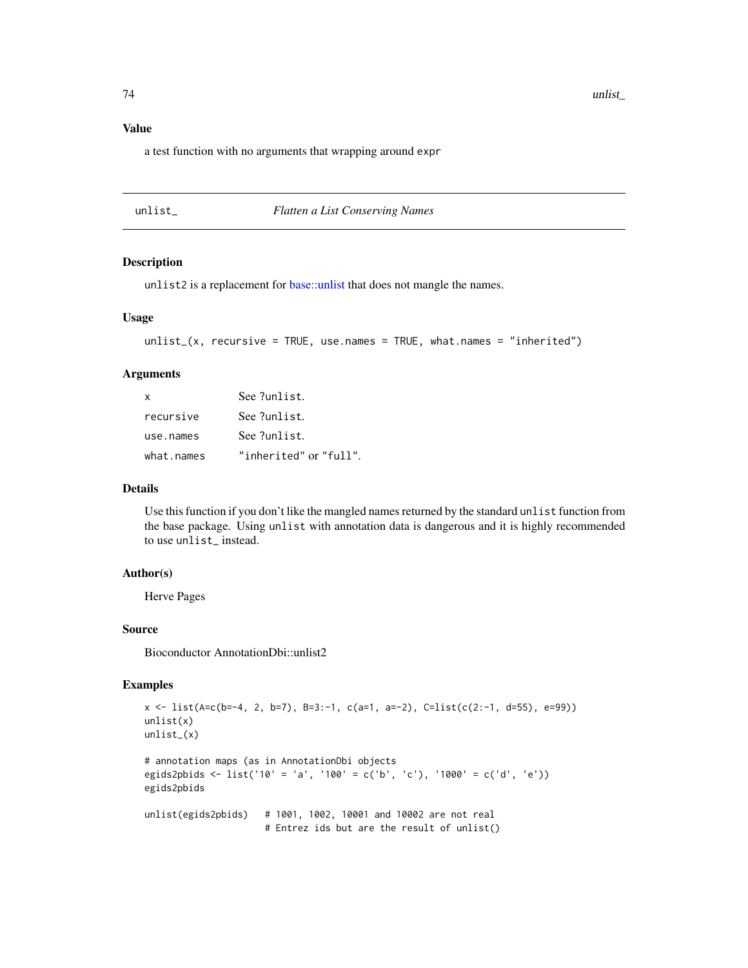# <span id="page-73-0"></span>Value

a test function with no arguments that wrapping around expr

| un I |  |
|------|--|
|      |  |

#### $Flatten a List Conserving Names$

# Description

unlist2 is a replacement for [base::unlist](#page-0-0) that does not mangle the names.

## Usage

```
unlist_(x, recursive = TRUE, use.names = TRUE, what.names = "inherited")
```
#### Arguments

| $\mathsf{x}$ | See ?unlist.           |
|--------------|------------------------|
| recursive    | See ?unlist.           |
| use.names    | See ?unlist.           |
| what.names   | "inherited" or "full". |

## Details

Use this function if you don't like the mangled names returned by the standard unlist function from the base package. Using unlist with annotation data is dangerous and it is highly recommended to use unlist\_ instead.

#### Author(s)

Herve Pages

#### Source

Bioconductor AnnotationDbi::unlist2

# Examples

```
x <- list(A=c(b=-4, 2, b=7), B=3:-1, c(a=1, a=-2), C=list(c(2:-1, d=55), e=99))
unlist(x)
unlist_(x)
# annotation maps (as in AnnotationDbi objects
egids2pbids <- list('10' = 'a', '100' = c('b', 'c'), '1000' = c('d', 'e'))
egids2pbids
unlist(egids2pbids) # 1001, 1002, 10001 and 10002 are not real
                     # Entrez ids but are the result of unlist()
```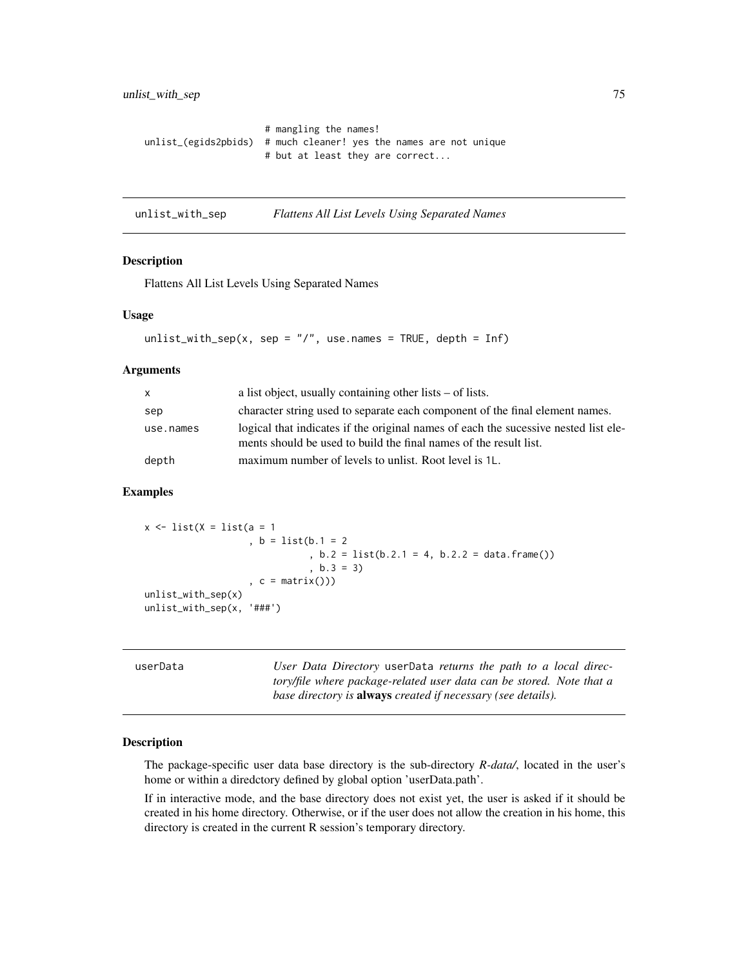```
# mangling the names!
unlist_(egids2pbids) # much cleaner! yes the names are not unique
                      # but at least they are correct...
```
unlist\_with\_sep *Flattens All List Levels Using Separated Names*

#### Description

Flattens All List Levels Using Separated Names

#### Usage

```
unlist_with_sep(x, sep = \frac{n}{r}, use.names = TRUE, depth = Inf)
```
## Arguments

| $\mathsf{x}$ | a list object, usually containing other lists $-$ of lists.                                                                                              |
|--------------|----------------------------------------------------------------------------------------------------------------------------------------------------------|
| sep          | character string used to separate each component of the final element names.                                                                             |
| use.names    | logical that indicates if the original names of each the sucessive nested list ele-<br>ments should be used to build the final names of the result list. |
| depth        | maximum number of levels to unlist. Root level is 1L.                                                                                                    |

# Examples

```
x \leftarrow list(X = list(a = 1), b = 1ist(b.1 = 2)
                                , b.2 = list(b.2.1 = 4, b.2.2 = data frame() ), b.3 = 3), c = matrix()))
unlist_with_sep(x)
unlist_with_sep(x, '###')
```
userData *User Data Directory* userData *returns the path to a local directory/file where package-related user data can be stored. Note that a base directory is* always *created if necessary (see details).*

#### Description

The package-specific user data base directory is the sub-directory *R-data/*, located in the user's home or within a diredctory defined by global option 'userData.path'.

If in interactive mode, and the base directory does not exist yet, the user is asked if it should be created in his home directory. Otherwise, or if the user does not allow the creation in his home, this directory is created in the current R session's temporary directory.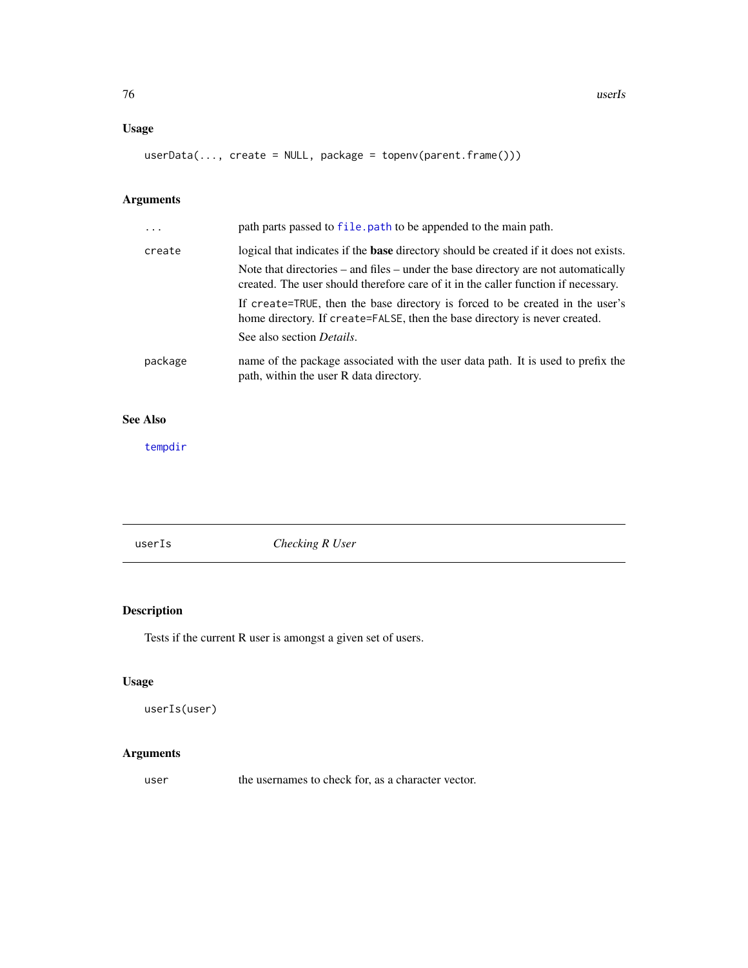# <span id="page-75-0"></span>Usage

```
userData(..., create = NULL, package = topenv(parent.frame()))
```
# Arguments

| path parts passed to file. path to be appended to the main path.                                                                                                             |
|------------------------------------------------------------------------------------------------------------------------------------------------------------------------------|
| logical that indicates if the <b>base</b> directory should be created if it does not exists.                                                                                 |
| Note that directories $-$ and files $-$ under the base directory are not automatically<br>created. The user should therefore care of it in the caller function if necessary. |
| If create=TRUE, then the base directory is forced to be created in the user's<br>home directory. If create=FALSE, then the base directory is never created.                  |
| See also section <i>Details</i> .                                                                                                                                            |
| name of the package associated with the user data path. It is used to prefix the<br>path, within the user R data directory.                                                  |
|                                                                                                                                                                              |

# See Also

[tempdir](#page-0-0)

userIs *Checking R User*

# Description

Tests if the current R user is amongst a given set of users.

# Usage

```
userIs(user)
```
# Arguments

user the usernames to check for, as a character vector.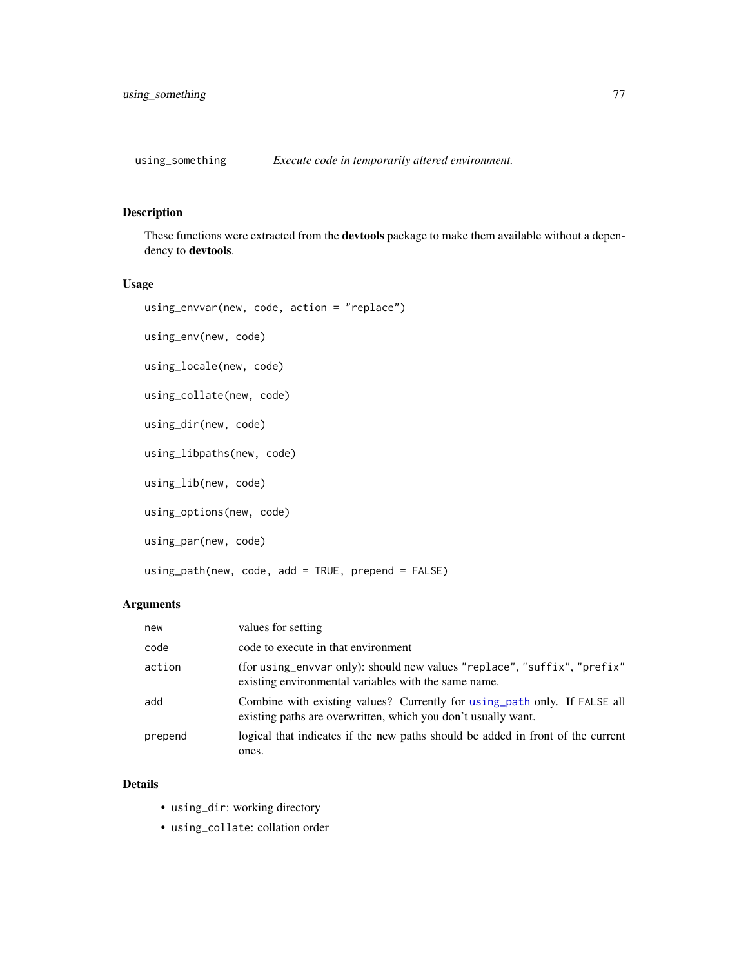<span id="page-76-1"></span>

# <span id="page-76-0"></span>Description

These functions were extracted from the **devtools** package to make them available without a dependency to devtools.

## Usage

```
using_envvar(new, code, action = "replace")
using_env(new, code)
```
using\_locale(new, code)

```
using_collate(new, code)
```
using\_dir(new, code)

using\_libpaths(new, code)

using\_lib(new, code)

```
using_options(new, code)
```
using\_par(new, code)

using\_path(new, code, add = TRUE, prepend = FALSE)

# Arguments

| new     | values for setting                                                                                                                         |
|---------|--------------------------------------------------------------------------------------------------------------------------------------------|
| code    | code to execute in that environment                                                                                                        |
| action  | (for using_envvar only): should new values "replace", "suffix", "prefix"<br>existing environmental variables with the same name.           |
| add     | Combine with existing values? Currently for using path only. If FALSE all<br>existing paths are overwritten, which you don't usually want. |
| prepend | logical that indicates if the new paths should be added in front of the current<br>ones.                                                   |

## Details

- using\_dir: working directory
- using\_collate: collation order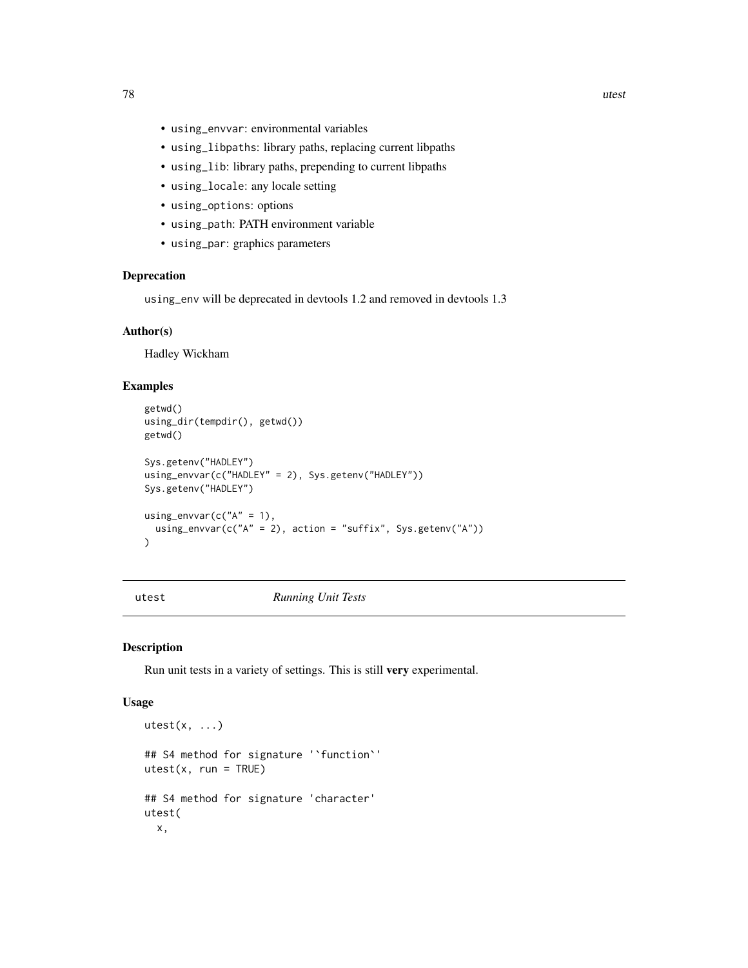- <span id="page-77-1"></span>• using\_envvar: environmental variables
- using\_libpaths: library paths, replacing current libpaths
- using\_lib: library paths, prepending to current libpaths
- using\_locale: any locale setting
- using\_options: options
- using\_path: PATH environment variable
- using\_par: graphics parameters

# Deprecation

using\_env will be deprecated in devtools 1.2 and removed in devtools 1.3

## Author(s)

Hadley Wickham

## Examples

```
getwd()
using_dir(tempdir(), getwd())
getwd()
Sys.getenv("HADLEY")
using_envvar(c("HADLEY" = 2), Sys.getenv("HADLEY"))
Sys.getenv("HADLEY")
using_envvar(c("A" = 1),
  using_envvar(c("A" = 2), action = "suffix", Sys.getenv("A"))
)
```
<span id="page-77-0"></span>utest *Running Unit Tests*

## Description

Run unit tests in a variety of settings. This is still very experimental.

#### Usage

```
utest(x, \ldots)## S4 method for signature '`function`'
utest(x, run = TRUE)## S4 method for signature 'character'
utest(
  x,
```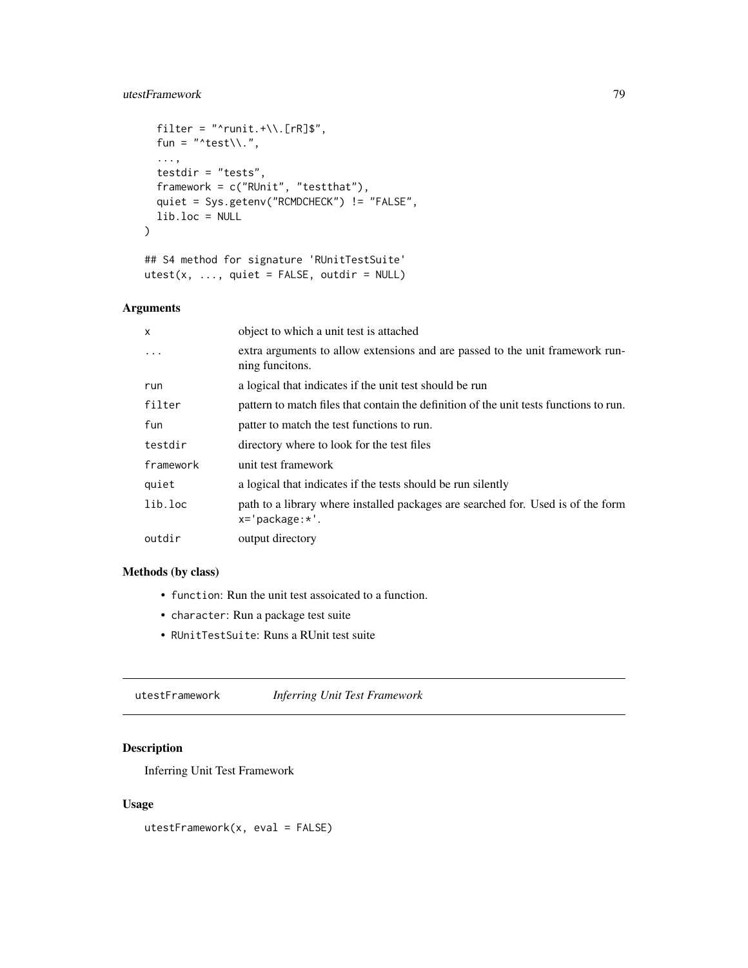# <span id="page-78-0"></span>utestFramework 79

```
filter = "\text{runit.}+\wedge\wedge. [rR]$",
  fun = "^test\\.",
  ...,
  testdir = "tests",
 framework = c("RUnit", "testthat"),
  quiet = Sys.getenv("RCMDCHECK") != "FALSE",
 lib.loc = NULL
\mathcal{L}
```

```
## S4 method for signature 'RUnitTestSuite'
utest(x, ..., quite = FALSE, outdir = NULL)
```
# Arguments

| X         | object to which a unit test is attached                                                                 |
|-----------|---------------------------------------------------------------------------------------------------------|
| $\cdot$   | extra arguments to allow extensions and are passed to the unit framework run-<br>ning funcitons.        |
| run       | a logical that indicates if the unit test should be run                                                 |
| filter    | pattern to match files that contain the definition of the unit tests functions to run.                  |
| fun       | patter to match the test functions to run.                                                              |
| testdir   | directory where to look for the test files                                                              |
| framework | unit test framework                                                                                     |
| quiet     | a logical that indicates if the tests should be run silently                                            |
| lib.loc   | path to a library where installed packages are searched for. Used is of the form<br>$x = 'package: *'.$ |
| outdir    | output directory                                                                                        |

# Methods (by class)

- function: Run the unit test assoicated to a function.
- character: Run a package test suite
- RUnitTestSuite: Runs a RUnit test suite

utestFramework *Inferring Unit Test Framework*

# Description

Inferring Unit Test Framework

# Usage

utestFramework(x, eval = FALSE)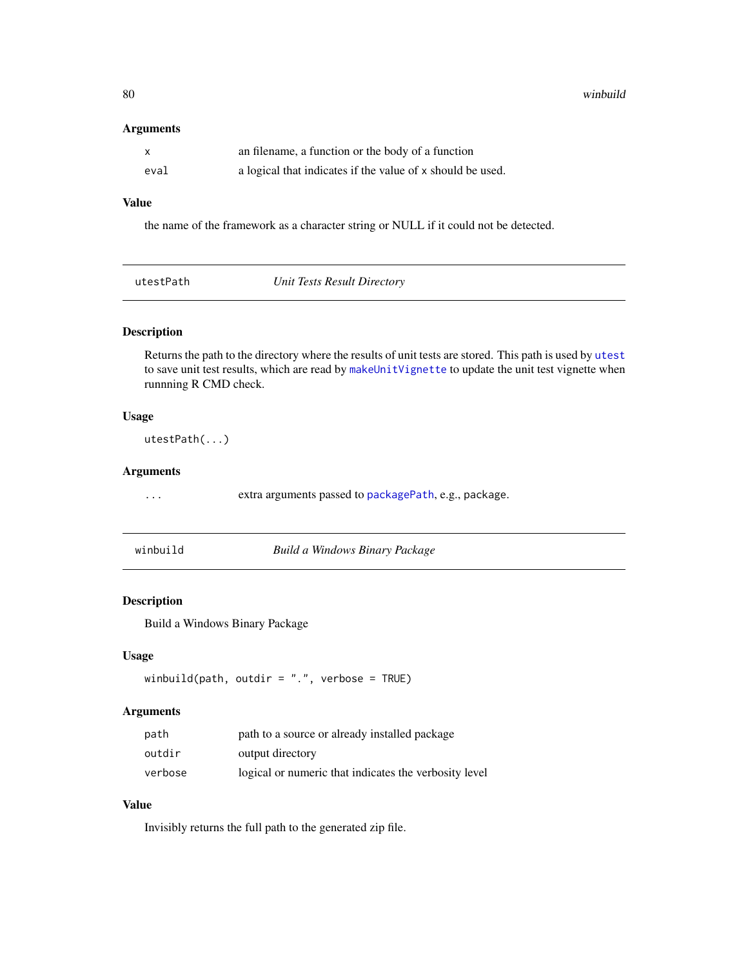<span id="page-79-0"></span>80 winbuild

## Arguments

| X    | an filename, a function or the body of a function          |
|------|------------------------------------------------------------|
| eval | a logical that indicates if the value of x should be used. |

# Value

the name of the framework as a character string or NULL if it could not be detected.

|  |  | utestPath |  |
|--|--|-----------|--|
|--|--|-----------|--|

**utests Result Directory** *Unit Tests Result Directory* 

# Description

Returns the path to the directory where the results of unit tests are stored. This path is used by [utest](#page-77-0) to save unit test results, which are read by [makeUnitVignette](#page-36-0) to update the unit test vignette when runnning R CMD check.

# Usage

utestPath(...)

# Arguments

... extra arguments passed to [packagePath](#page-45-0), e.g., package.

| winbuild | Build a Windows Binary Package |  |
|----------|--------------------------------|--|
|----------|--------------------------------|--|

## Description

Build a Windows Binary Package

## Usage

```
winbuild(path, outdir = ".", verbose = TRUE)
```
# Arguments

| path    | path to a source or already installed package         |
|---------|-------------------------------------------------------|
| outdir  | output directory                                      |
| verbose | logical or numeric that indicates the verbosity level |

# Value

Invisibly returns the full path to the generated zip file.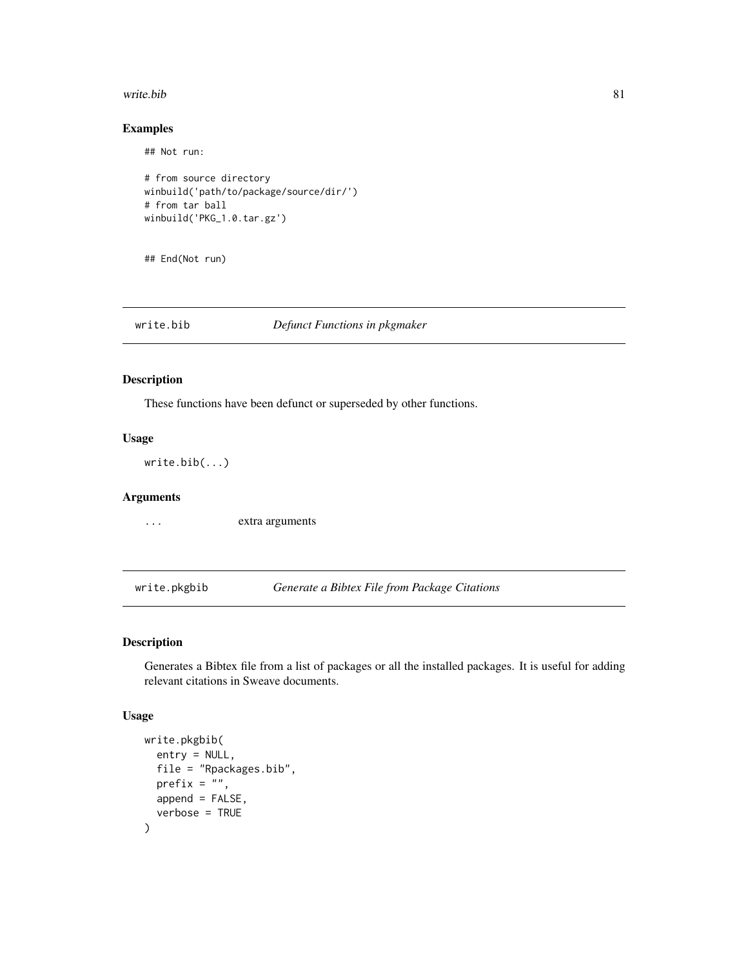#### <span id="page-80-0"></span>write.bib 81

# Examples

## Not run:

```
# from source directory
winbuild('path/to/package/source/dir/')
# from tar ball
winbuild('PKG_1.0.tar.gz')
```
## End(Not run)

write.bib *Defunct Functions in pkgmaker*

## Description

These functions have been defunct or superseded by other functions.

## Usage

write.bib(...)

# Arguments

... extra arguments

write.pkgbib *Generate a Bibtex File from Package Citations*

# Description

Generates a Bibtex file from a list of packages or all the installed packages. It is useful for adding relevant citations in Sweave documents.

#### Usage

```
write.pkgbib(
  entry = NULL,
  file = "Rpackages.bib",
  prefix = ",
  append = FALSE,verbose = TRUE
\mathcal{E}
```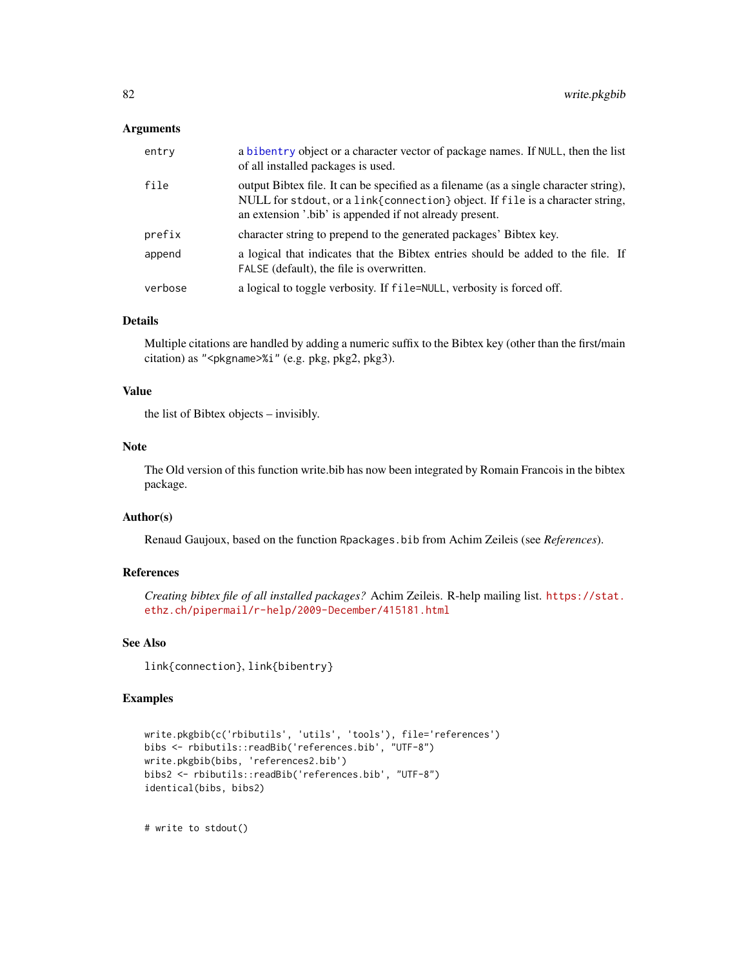## <span id="page-81-0"></span>Arguments

| entry   | a bibentry object or a character vector of package names. If NULL, then the list<br>of all installed packages is used.                                                                                                            |
|---------|-----------------------------------------------------------------------------------------------------------------------------------------------------------------------------------------------------------------------------------|
| file    | output Bibtex file. It can be specified as a filename (as a single character string),<br>NULL for stdout, or a link{connection} object. If file is a character string,<br>an extension '.bib' is appended if not already present. |
| prefix  | character string to prepend to the generated packages' Bibtex key.                                                                                                                                                                |
| append  | a logical that indicates that the Bibtex entries should be added to the file. If<br>FALSE (default), the file is overwritten.                                                                                                     |
| verbose | a logical to toggle verbosity. If file=NULL, verbosity is forced off.                                                                                                                                                             |

# Details

Multiple citations are handled by adding a numeric suffix to the Bibtex key (other than the first/main citation) as "<pkgname>%i" (e.g. pkg, pkg2, pkg3).

## Value

the list of Bibtex objects – invisibly.

# Note

The Old version of this function write.bib has now been integrated by Romain Francois in the bibtex package.

# Author(s)

Renaud Gaujoux, based on the function Rpackages.bib from Achim Zeileis (see *References*).

# References

*Creating bibtex file of all installed packages?* Achim Zeileis. R-help mailing list. [https://stat.](https://stat.ethz.ch/pipermail/r-help/2009-December/415181.html) [ethz.ch/pipermail/r-help/2009-December/415181.html](https://stat.ethz.ch/pipermail/r-help/2009-December/415181.html)

# See Also

link{connection}, link{bibentry}

# Examples

```
write.pkgbib(c('rbibutils', 'utils', 'tools'), file='references')
bibs <- rbibutils::readBib('references.bib', "UTF-8")
write.pkgbib(bibs, 'references2.bib')
bibs2 <- rbibutils::readBib('references.bib', "UTF-8")
identical(bibs, bibs2)
```
# write to stdout()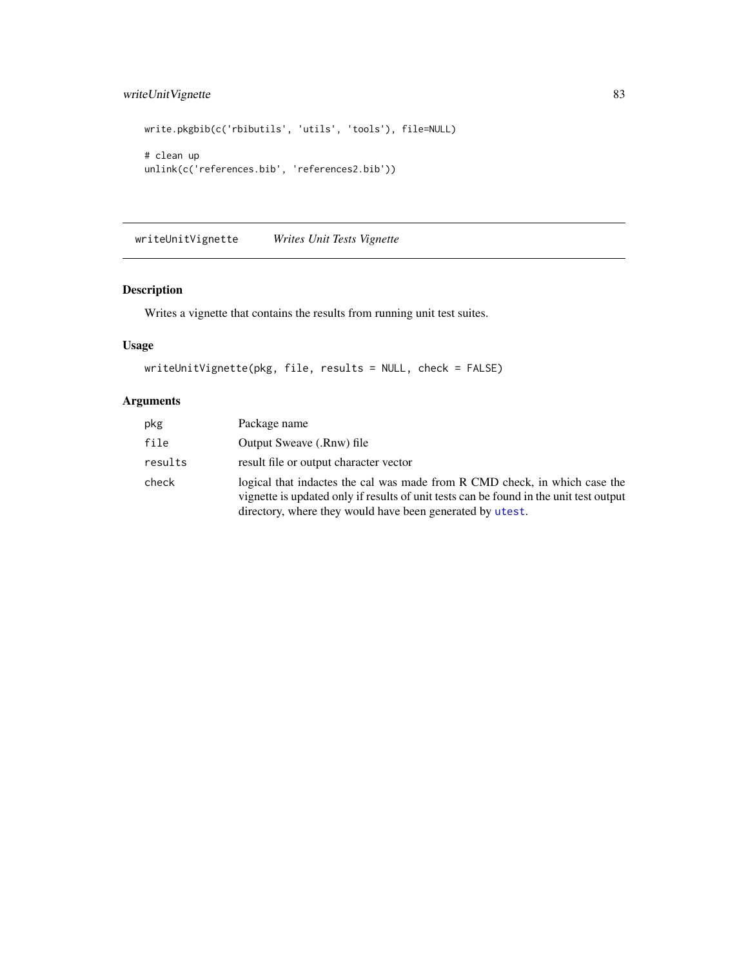# <span id="page-82-0"></span>writeUnitVignette 83

```
write.pkgbib(c('rbibutils', 'utils', 'tools'), file=NULL)
# clean up
unlink(c('references.bib', 'references2.bib'))
```
writeUnitVignette *Writes Unit Tests Vignette*

# Description

Writes a vignette that contains the results from running unit test suites.

# Usage

```
writeUnitVignette(pkg, file, results = NULL, check = FALSE)
```
# Arguments

| pkg     | Package name                                                                                                                                                                                                                      |
|---------|-----------------------------------------------------------------------------------------------------------------------------------------------------------------------------------------------------------------------------------|
| file    | Output Sweave (.Rnw) file                                                                                                                                                                                                         |
| results | result file or output character vector                                                                                                                                                                                            |
| check   | logical that inductes the cal was made from R CMD check, in which case the<br>vignette is updated only if results of unit tests can be found in the unit test output<br>directory, where they would have been generated by utest. |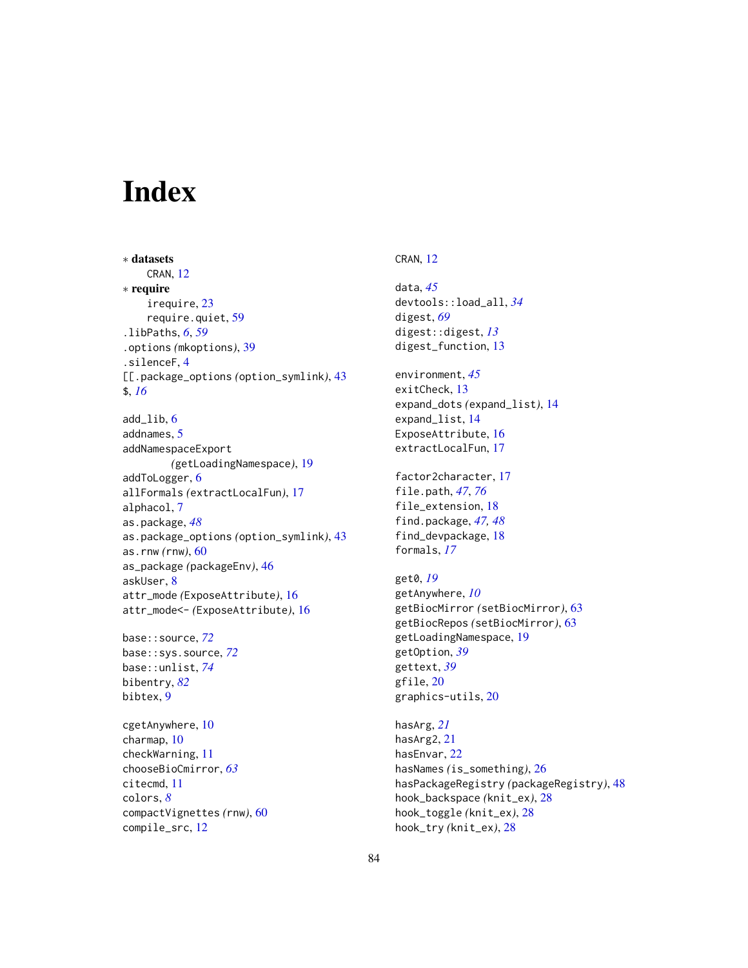# **Index**

∗ datasets CRAN, [12](#page-11-0) ∗ require irequire, [23](#page-22-0) require.quiet, [59](#page-58-0) .libPaths, *[6](#page-5-0)*, *[59](#page-58-0)* .options *(*mkoptions*)*, [39](#page-38-0) .silenceF, [4](#page-3-0) [[.package\_options *(*option\_symlink*)*, [43](#page-42-0) \$, *[16](#page-15-0)* add  $lib. 6$  $lib. 6$ addnames, [5](#page-4-0) addNamespaceExport *(*getLoadingNamespace*)*, [19](#page-18-0) addToLogger, [6](#page-5-0) allFormals *(*extractLocalFun*)*, [17](#page-16-0) alphacol, [7](#page-6-0) as.package, *[48](#page-47-0)* as.package\_options *(*option\_symlink*)*, [43](#page-42-0) as.rnw *(*rnw*)*, [60](#page-59-0) as\_package *(*packageEnv*)*, [46](#page-45-1) askUser, [8](#page-7-0) attr\_mode *(*ExposeAttribute*)*, [16](#page-15-0) attr\_mode<- *(*ExposeAttribute*)*, [16](#page-15-0)

base::source, *[72](#page-71-0)* base::sys.source, *[72](#page-71-0)* base::unlist, *[74](#page-73-0)* bibentry, *[82](#page-81-0)* bibtex, [9](#page-8-0)

cgetAnywhere, [10](#page-9-0) charmap, [10](#page-9-0) checkWarning, [11](#page-10-0) chooseBioCmirror, *[63](#page-62-0)* citecmd, [11](#page-10-0) colors, *[8](#page-7-0)* compactVignettes *(*rnw*)*, [60](#page-59-0) compile\_src, [12](#page-11-0)

## CRAN, [12](#page-11-0)

data, *[45](#page-44-0)* devtools::load\_all, *[34](#page-33-0)* digest, *[69](#page-68-0)* digest::digest, *[13](#page-12-0)* digest\_function, [13](#page-12-0) environment, *[45](#page-44-0)* exitCheck, [13](#page-12-0) expand\_dots *(*expand\_list*)*, [14](#page-13-0) expand\_list, [14](#page-13-0) ExposeAttribute, [16](#page-15-0) extractLocalFun, [17](#page-16-0) factor2character, [17](#page-16-0) file.path, *[47](#page-46-0)*, *[76](#page-75-0)* file\_extension, [18](#page-17-0) find.package, *[47,](#page-46-0) [48](#page-47-0)* find\_devpackage, [18](#page-17-0) formals, *[17](#page-16-0)* get0, *[19](#page-18-0)* getAnywhere, *[10](#page-9-0)* getBiocMirror *(*setBiocMirror*)*, [63](#page-62-0) getBiocRepos *(*setBiocMirror*)*, [63](#page-62-0) getLoadingNamespace, [19](#page-18-0) getOption, *[39](#page-38-0)* gettext, *[39](#page-38-0)* gfile, [20](#page-19-0) graphics-utils, [20](#page-19-0) hasArg, *[21](#page-20-0)* hasArg2, [21](#page-20-0) hasEnvar, [22](#page-21-0)

hasNames *(*is\_something*)*, [26](#page-25-0) hasPackageRegistry *(*packageRegistry*)*, [48](#page-47-0) hook\_backspace *(*knit\_ex*)*, [28](#page-27-0) hook\_toggle *(*knit\_ex*)*, [28](#page-27-0) hook\_try *(*knit\_ex*)*, [28](#page-27-0)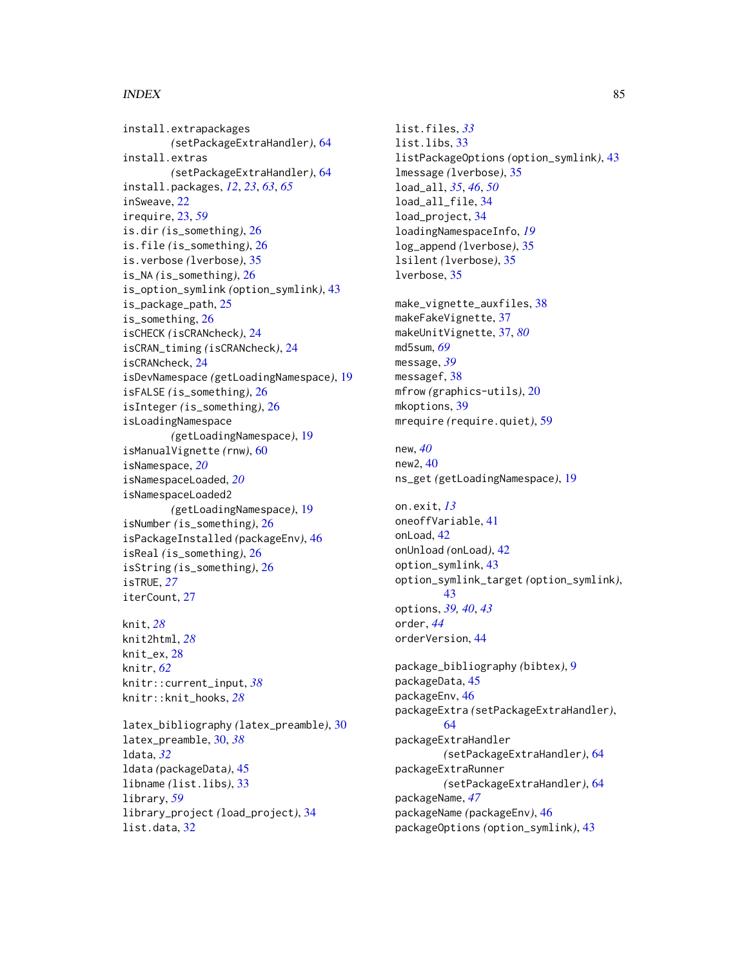## $INDEX$  85

install.extrapackages *(*setPackageExtraHandler*)*, [64](#page-63-0) install.extras *(*setPackageExtraHandler*)*, [64](#page-63-0) install.packages, *[12](#page-11-0)*, *[23](#page-22-0)*, *[63](#page-62-0)*, *[65](#page-64-0)* inSweave, [22](#page-21-0) irequire, [23,](#page-22-0) *[59](#page-58-0)* is.dir *(*is\_something*)*, [26](#page-25-0) is.file *(*is\_something*)*, [26](#page-25-0) is.verbose *(*lverbose*)*, [35](#page-34-0) is\_NA *(*is\_something*)*, [26](#page-25-0) is\_option\_symlink *(*option\_symlink*)*, [43](#page-42-0) is\_package\_path, [25](#page-24-0) is\_something, [26](#page-25-0) isCHECK *(*isCRANcheck*)*, [24](#page-23-0) isCRAN\_timing *(*isCRANcheck*)*, [24](#page-23-0) isCRANcheck, [24](#page-23-0) isDevNamespace *(*getLoadingNamespace*)*, [19](#page-18-0) isFALSE *(*is\_something*)*, [26](#page-25-0) isInteger *(*is\_something*)*, [26](#page-25-0) isLoadingNamespace *(*getLoadingNamespace*)*, [19](#page-18-0) isManualVignette *(*rnw*)*, [60](#page-59-0) isNamespace, *[20](#page-19-0)* isNamespaceLoaded, *[20](#page-19-0)* isNamespaceLoaded2 *(*getLoadingNamespace*)*, [19](#page-18-0) isNumber *(*is\_something*)*, [26](#page-25-0) isPackageInstalled *(*packageEnv*)*, [46](#page-45-1) isReal *(*is\_something*)*, [26](#page-25-0) isString *(*is\_something*)*, [26](#page-25-0) isTRUE, *[27](#page-26-0)* iterCount, [27](#page-26-0) knit, *[28](#page-27-0)* knit2html, *[28](#page-27-0)* knit\_ex, [28](#page-27-0) knitr, *[62](#page-61-0)*

latex\_bibliography *(*latex\_preamble*)*, [30](#page-29-0) latex\_preamble, [30,](#page-29-0) *[38](#page-37-0)* ldata, *[32](#page-31-0)* ldata *(*packageData*)*, [45](#page-44-0) libname *(*list.libs*)*, [33](#page-32-0) library, *[59](#page-58-0)* library\_project *(*load\_project*)*, [34](#page-33-0) list.data, [32](#page-31-0)

knitr::current\_input, *[38](#page-37-0)* knitr::knit\_hooks, *[28](#page-27-0)*

list.files, *[33](#page-32-0)* list.libs, [33](#page-32-0) listPackageOptions *(*option\_symlink*)*, [43](#page-42-0) lmessage *(*lverbose*)*, [35](#page-34-0) load\_all, *[35](#page-34-0)*, *[46](#page-45-1)*, *[50](#page-49-0)* load\_all\_file, [34](#page-33-0) load\_project, [34](#page-33-0) loadingNamespaceInfo, *[19](#page-18-0)* log\_append *(*lverbose*)*, [35](#page-34-0) lsilent *(*lverbose*)*, [35](#page-34-0) lverbose, [35](#page-34-0) make\_vignette\_auxfiles, [38](#page-37-0) makeFakeVignette, [37](#page-36-1) makeUnitVignette, [37,](#page-36-1) *[80](#page-79-0)* md5sum, *[69](#page-68-0)* message, *[39](#page-38-0)* messagef, [38](#page-37-0) mfrow *(*graphics-utils*)*, [20](#page-19-0) mkoptions, [39](#page-38-0) mrequire *(*require.quiet*)*, [59](#page-58-0) new, *[40](#page-39-0)* new2, [40](#page-39-0) ns\_get *(*getLoadingNamespace*)*, [19](#page-18-0) on.exit, *[13](#page-12-0)* oneoffVariable, [41](#page-40-0) onLoad, [42](#page-41-0) onUnload *(*onLoad*)*, [42](#page-41-0) option\_symlink, [43](#page-42-0) option\_symlink\_target *(*option\_symlink*)*, [43](#page-42-0) options, *[39,](#page-38-0) [40](#page-39-0)*, *[43](#page-42-0)* order, *[44](#page-43-0)* orderVersion, [44](#page-43-0) package\_bibliography *(*bibtex*)*, [9](#page-8-0) packageData, [45](#page-44-0) packageEnv, [46](#page-45-1) packageExtra *(*setPackageExtraHandler*)*, [64](#page-63-0) packageExtraHandler *(*setPackageExtraHandler*)*, [64](#page-63-0) packageExtraRunner *(*setPackageExtraHandler*)*, [64](#page-63-0) packageName, *[47](#page-46-0)* packageName *(*packageEnv*)*, [46](#page-45-1) packageOptions *(*option\_symlink*)*, [43](#page-42-0)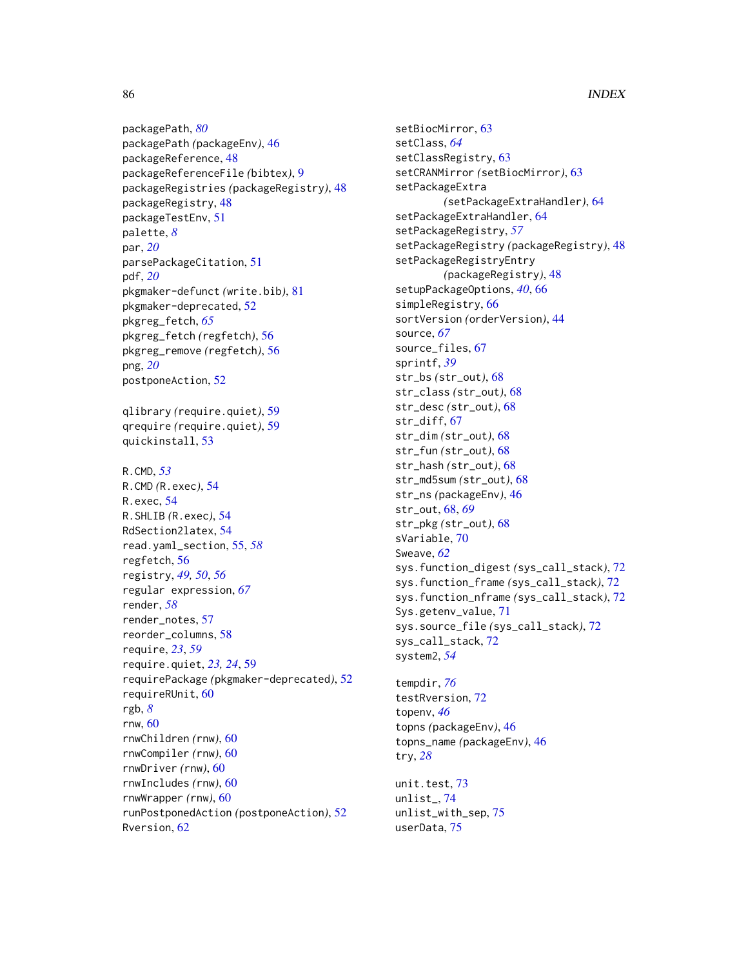86 INDEX

packagePath, *[80](#page-79-0)* packagePath *(*packageEnv*)*, [46](#page-45-1) packageReference, [48](#page-47-0) packageReferenceFile *(*bibtex*)*, [9](#page-8-0) packageRegistries *(*packageRegistry*)*, [48](#page-47-0) packageRegistry, [48](#page-47-0) packageTestEnv, [51](#page-50-0) palette, *[8](#page-7-0)* par, *[20](#page-19-0)* parsePackageCitation, [51](#page-50-0) pdf, *[20](#page-19-0)* pkgmaker-defunct *(*write.bib*)*, [81](#page-80-0) pkgmaker-deprecated, [52](#page-51-0) pkgreg\_fetch, *[65](#page-64-0)* pkgreg\_fetch *(*regfetch*)*, [56](#page-55-0) pkgreg\_remove *(*regfetch*)*, [56](#page-55-0) png, *[20](#page-19-0)* postponeAction, [52](#page-51-0) qlibrary *(*require.quiet*)*, [59](#page-58-0) qrequire *(*require.quiet*)*, [59](#page-58-0) quickinstall, [53](#page-52-0) R.CMD, *[53](#page-52-0)* R.CMD *(*R.exec*)*, [54](#page-53-0) R.exec, [54](#page-53-0) R.SHLIB *(*R.exec*)*, [54](#page-53-0) RdSection2latex, [54](#page-53-0) read.yaml\_section, [55,](#page-54-0) *[58](#page-57-0)* regfetch, [56](#page-55-0) registry, *[49,](#page-48-0) [50](#page-49-0)*, *[56](#page-55-0)* regular expression, *[67](#page-66-0)* render, *[58](#page-57-0)* render\_notes, [57](#page-56-0) reorder\_columns, [58](#page-57-0) require, *[23](#page-22-0)*, *[59](#page-58-0)* require.quiet, *[23,](#page-22-0) [24](#page-23-0)*, [59](#page-58-0) requirePackage *(*pkgmaker-deprecated*)*, [52](#page-51-0) requireRUnit, [60](#page-59-0) rgb, *[8](#page-7-0)* rnw, [60](#page-59-0) rnwChildren *(*rnw*)*, [60](#page-59-0) rnwCompiler *(*rnw*)*, [60](#page-59-0) rnwDriver *(*rnw*)*, [60](#page-59-0) rnwIncludes *(*rnw*)*, [60](#page-59-0) rnwWrapper *(*rnw*)*, [60](#page-59-0) runPostponedAction *(*postponeAction*)*, [52](#page-51-0) Rversion, [62](#page-61-0)

setBiocMirror, [63](#page-62-0) setClass, *[64](#page-63-0)* setClassRegistry, [63](#page-62-0) setCRANMirror *(*setBiocMirror*)*, [63](#page-62-0) setPackageExtra *(*setPackageExtraHandler*)*, [64](#page-63-0) setPackageExtraHandler, [64](#page-63-0) setPackageRegistry, *[57](#page-56-0)* setPackageRegistry *(*packageRegistry*)*, [48](#page-47-0) setPackageRegistryEntry *(*packageRegistry*)*, [48](#page-47-0) setupPackageOptions, *[40](#page-39-0)*, [66](#page-65-0) simpleRegistry, [66](#page-65-0) sortVersion *(*orderVersion*)*, [44](#page-43-0) source, *[67](#page-66-0)* source\_files, [67](#page-66-0) sprintf, *[39](#page-38-0)* str\_bs *(*str\_out*)*, [68](#page-67-0) str\_class *(*str\_out*)*, [68](#page-67-0) str\_desc *(*str\_out*)*, [68](#page-67-0) str\_diff, [67](#page-66-0) str\_dim *(*str\_out*)*, [68](#page-67-0) str\_fun *(*str\_out*)*, [68](#page-67-0) str\_hash *(*str\_out*)*, [68](#page-67-0) str\_md5sum *(*str\_out*)*, [68](#page-67-0) str\_ns *(*packageEnv*)*, [46](#page-45-1) str\_out, [68,](#page-67-0) *[69](#page-68-0)* str\_pkg *(*str\_out*)*, [68](#page-67-0) sVariable, [70](#page-69-0) Sweave, *[62](#page-61-0)* sys.function\_digest *(*sys\_call\_stack*)*, [72](#page-71-0) sys.function\_frame *(*sys\_call\_stack*)*, [72](#page-71-0) sys.function\_nframe *(*sys\_call\_stack*)*, [72](#page-71-0) Sys.getenv\_value, [71](#page-70-0) sys.source\_file *(*sys\_call\_stack*)*, [72](#page-71-0) sys\_call\_stack, [72](#page-71-0) system2, *[54](#page-53-0)* tempdir, *[76](#page-75-0)*

testRversion, [72](#page-71-0) topenv, *[46](#page-45-1)* topns *(*packageEnv*)*, [46](#page-45-1) topns\_name *(*packageEnv*)*, [46](#page-45-1) try, *[28](#page-27-0)*

unit.test, [73](#page-72-0) unlist\_, [74](#page-73-0) unlist\_with\_sep, [75](#page-74-0) userData, [75](#page-74-0)